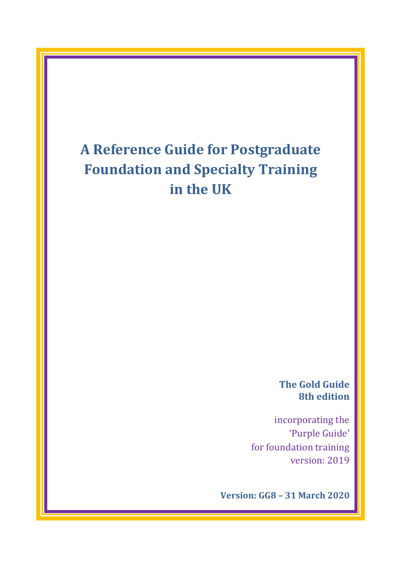# **A Reference Guide for Postgraduate Foundation and Specialty Training in the UK**

**The Gold Guide 8th edition**

incorporating the 'Purple Guide' for foundation training version: 2019

**Version: GG8 – 31 March 2020**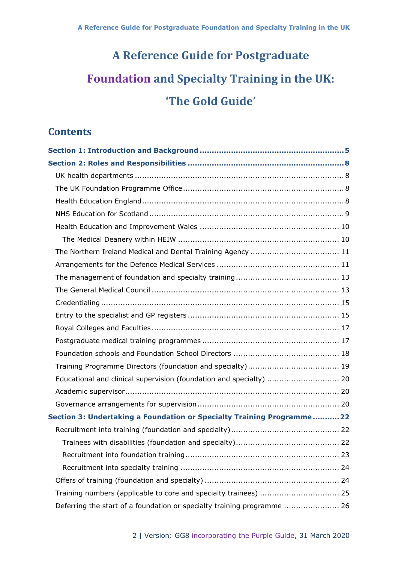# **A Reference Guide for Postgraduate Foundation and Specialty Training in the UK: 'The Gold Guide'**

# **Contents**

| Educational and clinical supervision (foundation and specialty)  20     |  |
|-------------------------------------------------------------------------|--|
|                                                                         |  |
|                                                                         |  |
| Section 3: Undertaking a Foundation or Specialty Training Programme 22  |  |
|                                                                         |  |
|                                                                         |  |
|                                                                         |  |
|                                                                         |  |
|                                                                         |  |
| Training numbers (applicable to core and specialty trainees)  25        |  |
| Deferring the start of a foundation or specialty training programme  26 |  |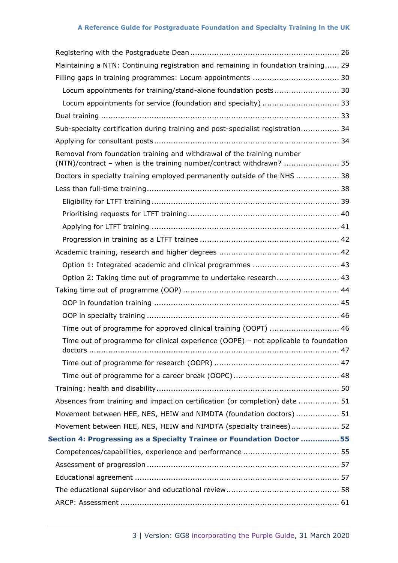|                                                                       | Maintaining a NTN: Continuing registration and remaining in foundation training 29                                                             |  |  |
|-----------------------------------------------------------------------|------------------------------------------------------------------------------------------------------------------------------------------------|--|--|
|                                                                       |                                                                                                                                                |  |  |
|                                                                       | Locum appointments for training/stand-alone foundation posts 30                                                                                |  |  |
|                                                                       |                                                                                                                                                |  |  |
|                                                                       |                                                                                                                                                |  |  |
|                                                                       | Sub-specialty certification during training and post-specialist registration 34                                                                |  |  |
|                                                                       |                                                                                                                                                |  |  |
|                                                                       | Removal from foundation training and withdrawal of the training number<br>(NTN)/contract - when is the training number/contract withdrawn?  35 |  |  |
|                                                                       | Doctors in specialty training employed permanently outside of the NHS  38                                                                      |  |  |
|                                                                       |                                                                                                                                                |  |  |
|                                                                       |                                                                                                                                                |  |  |
|                                                                       |                                                                                                                                                |  |  |
|                                                                       |                                                                                                                                                |  |  |
|                                                                       |                                                                                                                                                |  |  |
|                                                                       |                                                                                                                                                |  |  |
|                                                                       | Option 1: Integrated academic and clinical programmes  43                                                                                      |  |  |
|                                                                       | Option 2: Taking time out of programme to undertake research 43                                                                                |  |  |
|                                                                       |                                                                                                                                                |  |  |
|                                                                       |                                                                                                                                                |  |  |
|                                                                       |                                                                                                                                                |  |  |
|                                                                       | Time out of programme for approved clinical training (OOPT)  46                                                                                |  |  |
|                                                                       | Time out of programme for clinical experience (OOPE) - not applicable to foundation                                                            |  |  |
|                                                                       |                                                                                                                                                |  |  |
|                                                                       |                                                                                                                                                |  |  |
|                                                                       |                                                                                                                                                |  |  |
|                                                                       | Absences from training and impact on certification (or completion) date  51                                                                    |  |  |
|                                                                       | Movement between HEE, NES, HEIW and NIMDTA (foundation doctors)  51                                                                            |  |  |
|                                                                       | Movement between HEE, NES, HEIW and NIMDTA (specialty trainees) 52                                                                             |  |  |
| Section 4: Progressing as a Specialty Trainee or Foundation Doctor 55 |                                                                                                                                                |  |  |
|                                                                       |                                                                                                                                                |  |  |
|                                                                       |                                                                                                                                                |  |  |
|                                                                       |                                                                                                                                                |  |  |
|                                                                       |                                                                                                                                                |  |  |
|                                                                       |                                                                                                                                                |  |  |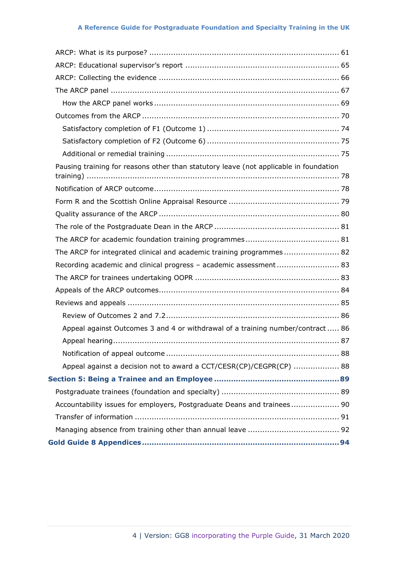| Pausing training for reasons other than statutory leave (not applicable in foundation |  |
|---------------------------------------------------------------------------------------|--|
|                                                                                       |  |
|                                                                                       |  |
|                                                                                       |  |
|                                                                                       |  |
|                                                                                       |  |
| The ARCP for integrated clinical and academic training programmes 82                  |  |
| Recording academic and clinical progress - academic assessment 83                     |  |
|                                                                                       |  |
|                                                                                       |  |
|                                                                                       |  |
|                                                                                       |  |
| Appeal against Outcomes 3 and 4 or withdrawal of a training number/contract  86       |  |
|                                                                                       |  |
|                                                                                       |  |
| Appeal against a decision not to award a CCT/CESR(CP)/CEGPR(CP)  88                   |  |
|                                                                                       |  |
|                                                                                       |  |
| Accountability issues for employers, Postgraduate Deans and trainees 90               |  |
|                                                                                       |  |
|                                                                                       |  |
|                                                                                       |  |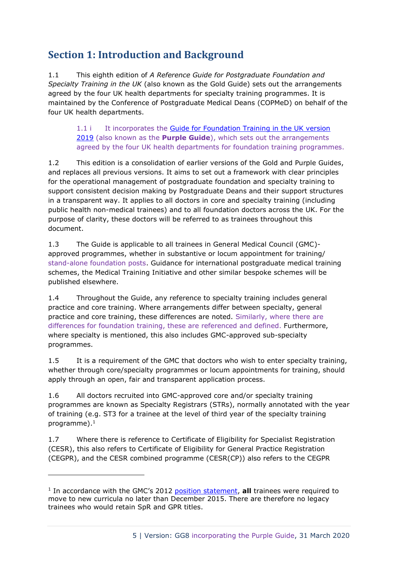# <span id="page-4-0"></span>**Section 1: Introduction and Background**

1.1 This eighth edition of *A Reference Guide for Postgraduate Foundation and Specialty Training in the UK* (also known as the Gold Guide) sets out the arrangements agreed by the four UK health departments for specialty training programmes. It is maintained by the Conference of Postgraduate Medical Deans (COPMeD) on behalf of the four UK health departments.

1.1 i It incorporates the Guide for Foundation Training in the UK version [2019](https://foundationprogramme.nhs.uk/wp-content/uploads/sites/2/2019/11/FoundationGuideTraining_Sept19_Update-1.pdf) (also known as the **Purple Guide**), which sets out the arrangements agreed by the four UK health departments for foundation training programmes.

1.2 This edition is a consolidation of earlier versions of the Gold and Purple Guides, and replaces all previous versions. It aims to set out a framework with clear principles for the operational management of postgraduate foundation and specialty training to support consistent decision making by Postgraduate Deans and their support structures in a transparent way. It applies to all doctors in core and specialty training (including public health non-medical trainees) and to all foundation doctors across the UK. For the purpose of clarity, these doctors will be referred to as trainees throughout this document.

1.3 The Guide is applicable to all trainees in General Medical Council (GMC) approved programmes, whether in substantive or locum appointment for training/ stand-alone foundation posts. Guidance for international postgraduate medical training schemes, the Medical Training Initiative and other similar bespoke schemes will be published elsewhere.

1.4 Throughout the Guide, any reference to specialty training includes general practice and core training. Where arrangements differ between specialty, general practice and core training, these differences are noted. Similarly, where there are differences for foundation training, these are referenced and defined. Furthermore, where specialty is mentioned, this also includes GMC-approved sub-specialty programmes.

1.5 It is a requirement of the GMC that doctors who wish to enter specialty training, whether through core/specialty programmes or locum appointments for training, should apply through an open, fair and transparent application process.

1.6 All doctors recruited into GMC-approved core and/or specialty training programmes are known as Specialty Registrars (STRs), normally annotated with the year of training (e.g. ST3 for a trainee at the level of third year of the specialty training programme). 1

1.7 Where there is reference to Certificate of Eligibility for Specialist Registration (CESR), this also refers to Certificate of Eligibility for General Practice Registration (CEGPR), and the CESR combined programme (CESR(CP)) also refers to the CEGPR

<sup>&</sup>lt;sup>1</sup> In accordance with the GMC's 2012 [position statement,](https://www.gmc-uk.org/-/media/documents/moving-to-current-curriculum-position-statement-nov-2012_pdf-57653277.pdf) **all** trainees were required to move to new curricula no later than December 2015. There are therefore no legacy trainees who would retain SpR and GPR titles.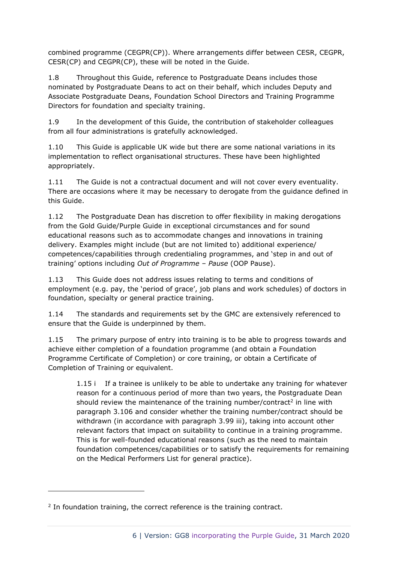combined programme (CEGPR(CP)). Where arrangements differ between CESR, CEGPR, CESR(CP) and CEGPR(CP), these will be noted in the Guide.

1.8 Throughout this Guide, reference to Postgraduate Deans includes those nominated by Postgraduate Deans to act on their behalf, which includes Deputy and Associate Postgraduate Deans, Foundation School Directors and Training Programme Directors for foundation and specialty training.

1.9 In the development of this Guide, the contribution of stakeholder colleagues from all four administrations is gratefully acknowledged.

1.10 This Guide is applicable UK wide but there are some national variations in its implementation to reflect organisational structures. These have been highlighted appropriately.

1.11 The Guide is not a contractual document and will not cover every eventuality. There are occasions where it may be necessary to derogate from the guidance defined in this Guide.

1.12 The Postgraduate Dean has discretion to offer flexibility in making derogations from the Gold Guide/Purple Guide in exceptional circumstances and for sound educational reasons such as to accommodate changes and innovations in training delivery. Examples might include (but are not limited to) additional experience/ competences/capabilities through credentialing programmes, and 'step in and out of training' options including *Out of Programme – Pause* (OOP Pause).

1.13 This Guide does not address issues relating to terms and conditions of employment (e.g. pay, the 'period of grace', job plans and work schedules) of doctors in foundation, specialty or general practice training.

1.14 The standards and requirements set by the GMC are extensively referenced to ensure that the Guide is underpinned by them.

1.15 The primary purpose of entry into training is to be able to progress towards and achieve either completion of a foundation programme (and obtain a Foundation Programme Certificate of Completion) or core training, or obtain a Certificate of Completion of Training or equivalent.

1.15 i If a trainee is unlikely to be able to undertake any training for whatever reason for a continuous period of more than two years, the Postgraduate Dean should review the maintenance of the training number/contract<sup>2</sup> in line with paragraph 3.106 and consider whether the training number/contract should be withdrawn (in accordance with paragraph 3.99 iii), taking into account other relevant factors that impact on suitability to continue in a training programme. This is for well-founded educational reasons (such as the need to maintain foundation competences/capabilities or to satisfy the requirements for remaining on the Medical Performers List for general practice).

 $2$  In foundation training, the correct reference is the training contract.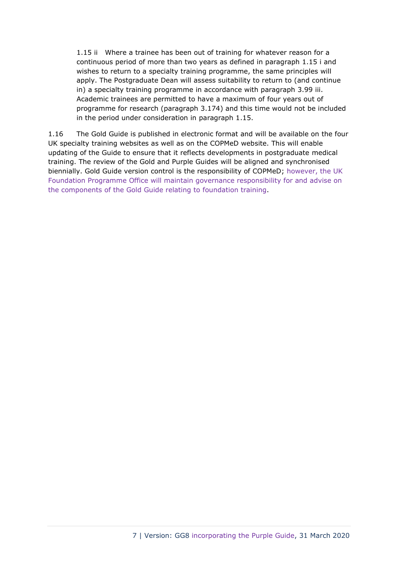1.15 ii Where a trainee has been out of training for whatever reason for a continuous period of more than two years as defined in paragraph 1.15 i and wishes to return to a specialty training programme, the same principles will apply. The Postgraduate Dean will assess suitability to return to (and continue in) a specialty training programme in accordance with paragraph 3.99 iii. Academic trainees are permitted to have a maximum of four years out of programme for research (paragraph 3.174) and this time would not be included in the period under consideration in paragraph 1.15.

1.16 The Gold Guide is published in electronic format and will be available on the four UK specialty training websites as well as on the COPMeD website. This will enable updating of the Guide to ensure that it reflects developments in postgraduate medical training. The review of the Gold and Purple Guides will be aligned and synchronised biennially. Gold Guide version control is the responsibility of COPMeD; however, the UK Foundation Programme Office will maintain governance responsibility for and advise on the components of the Gold Guide relating to foundation training.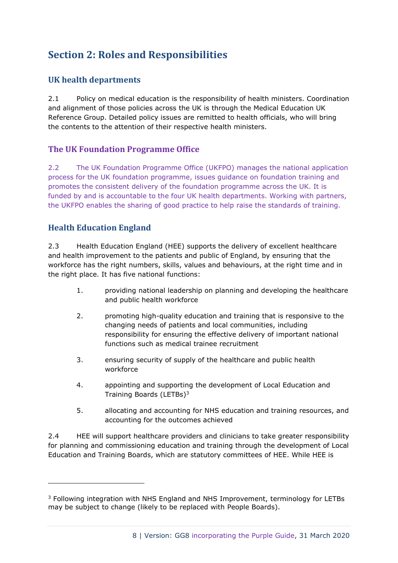# <span id="page-7-0"></span>**Section 2: Roles and Responsibilities**

# <span id="page-7-1"></span>**UK health departments**

2.1 Policy on medical education is the responsibility of health ministers. Coordination and alignment of those policies across the UK is through the Medical Education UK Reference Group. Detailed policy issues are remitted to health officials, who will bring the contents to the attention of their respective health ministers.

# <span id="page-7-2"></span>**The UK Foundation Programme Office**

2.2 The UK Foundation Programme Office (UKFPO) manages the national application process for the UK foundation programme, issues guidance on foundation training and promotes the consistent delivery of the foundation programme across the UK. It is funded by and is accountable to the four UK health departments. Working with partners, the UKFPO enables the sharing of good practice to help raise the standards of training.

# <span id="page-7-3"></span>**Health Education England**

2.3 Health Education England (HEE) supports the delivery of excellent healthcare and health improvement to the patients and public of England, by ensuring that the workforce has the right numbers, skills, values and behaviours, at the right time and in the right place. It has five national functions:

- 1. providing national leadership on planning and developing the healthcare and public health workforce
- 2. promoting high-quality education and training that is responsive to the changing needs of patients and local communities, including responsibility for ensuring the effective delivery of important national functions such as medical trainee recruitment
- 3. ensuring security of supply of the healthcare and public health workforce
- 4. appointing and supporting the development of Local Education and Training Boards (LETBs)<sup>3</sup>
- 5. allocating and accounting for NHS education and training resources, and accounting for the outcomes achieved

2.4 HEE will support healthcare providers and clinicians to take greater responsibility for planning and commissioning education and training through the development of Local Education and Training Boards, which are statutory committees of HEE. While HEE is

<sup>3</sup> Following integration with NHS England and NHS Improvement, terminology for LETBs may be subject to change (likely to be replaced with People Boards).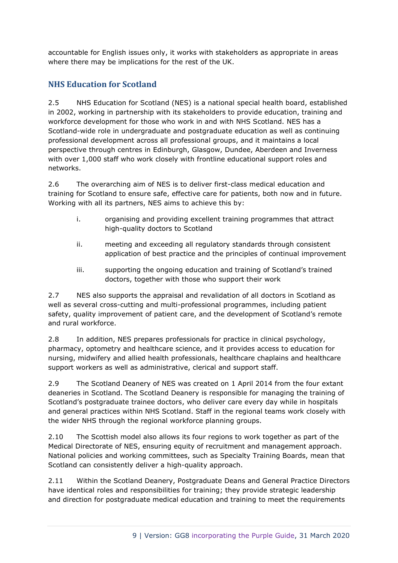accountable for English issues only, it works with stakeholders as appropriate in areas where there may be implications for the rest of the UK.

# <span id="page-8-0"></span>**NHS Education for Scotland**

2.5 NHS Education for Scotland (NES) is a national special health board, established in 2002, working in partnership with its stakeholders to provide education, training and workforce development for those who work in and with NHS Scotland. NES has a Scotland-wide role in undergraduate and postgraduate education as well as continuing professional development across all professional groups, and it maintains a local perspective through centres in Edinburgh, Glasgow, Dundee, Aberdeen and Inverness with over 1,000 staff who work closely with frontline educational support roles and networks.

2.6 The overarching aim of NES is to deliver first-class medical education and training for Scotland to ensure safe, effective care for patients, both now and in future. Working with all its partners, NES aims to achieve this by:

- i. organising and providing excellent training programmes that attract high-quality doctors to Scotland
- ii. meeting and exceeding all regulatory standards through consistent application of best practice and the principles of continual improvement
- iii. supporting the ongoing education and training of Scotland's trained doctors, together with those who support their work

2.7 NES also supports the appraisal and revalidation of all doctors in Scotland as well as several cross-cutting and multi-professional programmes, including patient safety, quality improvement of patient care, and the development of Scotland's remote and rural workforce.

2.8 In addition, NES prepares professionals for practice in clinical psychology, pharmacy, optometry and healthcare science, and it provides access to education for nursing, midwifery and allied health professionals, healthcare chaplains and healthcare support workers as well as administrative, clerical and support staff.

2.9 The Scotland Deanery of NES was created on 1 April 2014 from the four extant deaneries in Scotland. The Scotland Deanery is responsible for managing the training of Scotland's postgraduate trainee doctors, who deliver care every day while in hospitals and general practices within NHS Scotland. Staff in the regional teams work closely with the wider NHS through the regional workforce planning groups.

2.10 The Scottish model also allows its four regions to work together as part of the Medical Directorate of NES, ensuring equity of recruitment and management approach. National policies and working committees, such as Specialty Training Boards, mean that Scotland can consistently deliver a high-quality approach.

2.11 Within the Scotland Deanery, Postgraduate Deans and General Practice Directors have identical roles and responsibilities for training; they provide strategic leadership and direction for postgraduate medical education and training to meet the requirements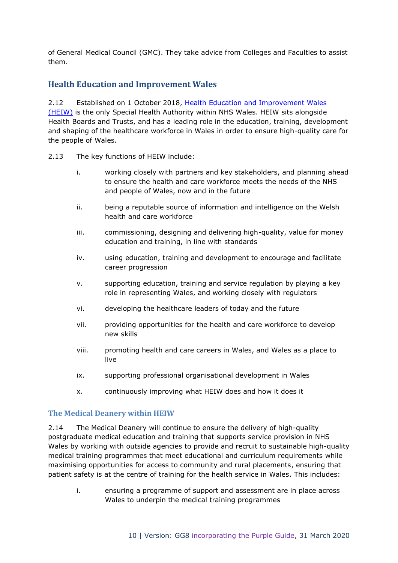of General Medical Council (GMC). They take advice from Colleges and Faculties to assist them.

# <span id="page-9-0"></span>**Health Education and Improvement Wales**

2.12 Established on 1 October 2018, [Health Education and Improvement Wales](https://heiw.nhs.wales/)  [\(HEIW\)](https://heiw.nhs.wales/) is the only Special Health Authority within NHS Wales. HEIW sits alongside Health Boards and Trusts, and has a leading role in the education, training, development and shaping of the healthcare workforce in Wales in order to ensure high-quality care for the people of Wales.

- 2.13 The key functions of HEIW include:
	- i. working closely with partners and key stakeholders, and planning ahead to ensure the health and care workforce meets the needs of the NHS and people of Wales, now and in the future
	- ii. being a reputable source of information and intelligence on the Welsh health and care workforce
	- iii. commissioning, designing and delivering high-quality, value for money education and training, in line with standards
	- iv. using education, training and development to encourage and facilitate career progression
	- v. supporting education, training and service regulation by playing a key role in representing Wales, and working closely with regulators
	- vi. developing the healthcare leaders of today and the future
	- vii. providing opportunities for the health and care workforce to develop new skills
	- viii. promoting health and care careers in Wales, and Wales as a place to live
	- ix. supporting professional organisational development in Wales
	- x. continuously improving what HEIW does and how it does it

#### <span id="page-9-1"></span>**The Medical Deanery within HEIW**

2.14 The Medical Deanery will continue to ensure the delivery of high-quality postgraduate medical education and training that supports service provision in NHS Wales by working with outside agencies to provide and recruit to sustainable high-quality medical training programmes that meet educational and curriculum requirements while maximising opportunities for access to community and rural placements, ensuring that patient safety is at the centre of training for the health service in Wales. This includes:

i. ensuring a programme of support and assessment are in place across Wales to underpin the medical training programmes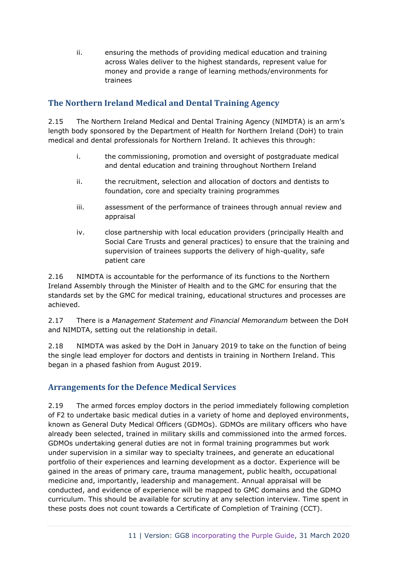ii. ensuring the methods of providing medical education and training across Wales deliver to the highest standards, represent value for money and provide a range of learning methods/environments for trainees

# <span id="page-10-0"></span>**The Northern Ireland Medical and Dental Training Agency**

2.15 The Northern Ireland Medical and Dental Training Agency (NIMDTA) is an arm's length body sponsored by the Department of Health for Northern Ireland (DoH) to train medical and dental professionals for Northern Ireland. It achieves this through:

- i. the commissioning, promotion and oversight of postgraduate medical and dental education and training throughout Northern Ireland
- ii. the recruitment, selection and allocation of doctors and dentists to foundation, core and specialty training programmes
- iii. assessment of the performance of trainees through annual review and appraisal
- iv. close partnership with local education providers (principally Health and Social Care Trusts and general practices) to ensure that the training and supervision of trainees supports the delivery of high-quality, safe patient care

2.16 NIMDTA is accountable for the performance of its functions to the Northern Ireland Assembly through the Minister of Health and to the GMC for ensuring that the standards set by the GMC for medical training, educational structures and processes are achieved.

2.17 There is a *Management Statement and Financial Memorandum* between the DoH and NIMDTA, setting out the relationship in detail.

2.18 NIMDTA was asked by the DoH in January 2019 to take on the function of being the single lead employer for doctors and dentists in training in Northern Ireland. This began in a phased fashion from August 2019.

# <span id="page-10-1"></span>**Arrangements for the Defence Medical Services**

2.19 The armed forces employ doctors in the period immediately following completion of F2 to undertake basic medical duties in a variety of home and deployed environments, known as General Duty Medical Officers (GDMOs). GDMOs are military officers who have already been selected, trained in military skills and commissioned into the armed forces. GDMOs undertaking general duties are not in formal training programmes but work under supervision in a similar way to specialty trainees, and generate an educational portfolio of their experiences and learning development as a doctor. Experience will be gained in the areas of primary care, trauma management, public health, occupational medicine and, importantly, leadership and management. Annual appraisal will be conducted, and evidence of experience will be mapped to GMC domains and the GDMO curriculum. This should be available for scrutiny at any selection interview. Time spent in these posts does not count towards a Certificate of Completion of Training (CCT).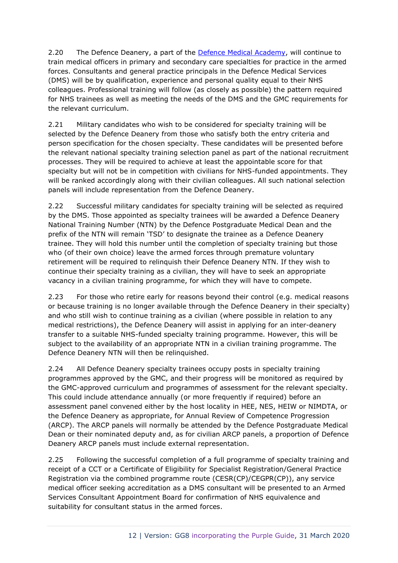2.20 The Defence Deanery, a part of the [Defence Medical Academy,](https://assets.publishing.service.gov.uk/government/uploads/system/uploads/attachment_data/file/822207/20190722_DMA_Prospectus_Full.pdf) will continue to train medical officers in primary and secondary care specialties for practice in the armed forces. Consultants and general practice principals in the Defence Medical Services (DMS) will be by qualification, experience and personal quality equal to their NHS colleagues. Professional training will follow (as closely as possible) the pattern required for NHS trainees as well as meeting the needs of the DMS and the GMC requirements for the relevant curriculum.

2.21 Military candidates who wish to be considered for specialty training will be selected by the Defence Deanery from those who satisfy both the entry criteria and person specification for the chosen specialty. These candidates will be presented before the relevant national specialty training selection panel as part of the national recruitment processes. They will be required to achieve at least the appointable score for that specialty but will not be in competition with civilians for NHS-funded appointments. They will be ranked accordingly along with their civilian colleagues. All such national selection panels will include representation from the Defence Deanery.

2.22 Successful military candidates for specialty training will be selected as required by the DMS. Those appointed as specialty trainees will be awarded a Defence Deanery National Training Number (NTN) by the Defence Postgraduate Medical Dean and the prefix of the NTN will remain 'TSD' to designate the trainee as a Defence Deanery trainee. They will hold this number until the completion of specialty training but those who (of their own choice) leave the armed forces through premature voluntary retirement will be required to relinquish their Defence Deanery NTN. If they wish to continue their specialty training as a civilian, they will have to seek an appropriate vacancy in a civilian training programme, for which they will have to compete.

2.23 For those who retire early for reasons beyond their control (e.g. medical reasons or because training is no longer available through the Defence Deanery in their specialty) and who still wish to continue training as a civilian (where possible in relation to any medical restrictions), the Defence Deanery will assist in applying for an inter-deanery transfer to a suitable NHS-funded specialty training programme. However, this will be subject to the availability of an appropriate NTN in a civilian training programme. The Defence Deanery NTN will then be relinquished.

2.24 All Defence Deanery specialty trainees occupy posts in specialty training programmes approved by the GMC, and their progress will be monitored as required by the GMC-approved curriculum and programmes of assessment for the relevant specialty. This could include attendance annually (or more frequently if required) before an assessment panel convened either by the host locality in HEE, NES, HEIW or NIMDTA, or the Defence Deanery as appropriate, for Annual Review of Competence Progression (ARCP). The ARCP panels will normally be attended by the Defence Postgraduate Medical Dean or their nominated deputy and, as for civilian ARCP panels, a proportion of Defence Deanery ARCP panels must include external representation.

2.25 Following the successful completion of a full programme of specialty training and receipt of a CCT or a Certificate of Eligibility for Specialist Registration/General Practice Registration via the combined programme route (CESR(CP)/CEGPR(CP)), any service medical officer seeking accreditation as a DMS consultant will be presented to an Armed Services Consultant Appointment Board for confirmation of NHS equivalence and suitability for consultant status in the armed forces.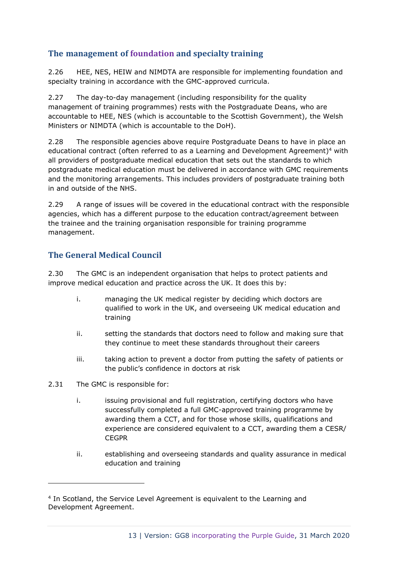# <span id="page-12-0"></span>**The management of foundation and specialty training**

2.26 HEE, NES, HEIW and NIMDTA are responsible for implementing foundation and specialty training in accordance with the GMC-approved curricula.

2.27 The day-to-day management (including responsibility for the quality management of training programmes) rests with the Postgraduate Deans, who are accountable to HEE, NES (which is accountable to the Scottish Government), the Welsh Ministers or NIMDTA (which is accountable to the DoH).

2.28 The responsible agencies above require Postgraduate Deans to have in place an educational contract (often referred to as a Learning and Development Agreement)<sup>4</sup> with all providers of postgraduate medical education that sets out the standards to which postgraduate medical education must be delivered in accordance with GMC requirements and the monitoring arrangements. This includes providers of postgraduate training both in and outside of the NHS.

2.29 A range of issues will be covered in the educational contract with the responsible agencies, which has a different purpose to the education contract/agreement between the trainee and the training organisation responsible for training programme management.

# <span id="page-12-1"></span>**The General Medical Council**

2.30 The GMC is an independent organisation that helps to protect patients and improve medical education and practice across the UK. It does this by:

- i. managing the UK medical register by deciding which doctors are qualified to work in the UK, and overseeing UK medical education and training
- ii. setting the standards that doctors need to follow and making sure that they continue to meet these standards throughout their careers
- iii. taking action to prevent a doctor from putting the safety of patients or the public's confidence in doctors at risk
- 2.31 The GMC is responsible for:
	- i. issuing provisional and full registration, certifying doctors who have successfully completed a full GMC-approved training programme by awarding them a CCT, and for those whose skills, qualifications and experience are considered equivalent to a CCT, awarding them a CESR/ **CEGPR**
	- ii. establishing and overseeing standards and quality assurance in medical education and training

<sup>4</sup> In Scotland, the Service Level Agreement is equivalent to the Learning and Development Agreement.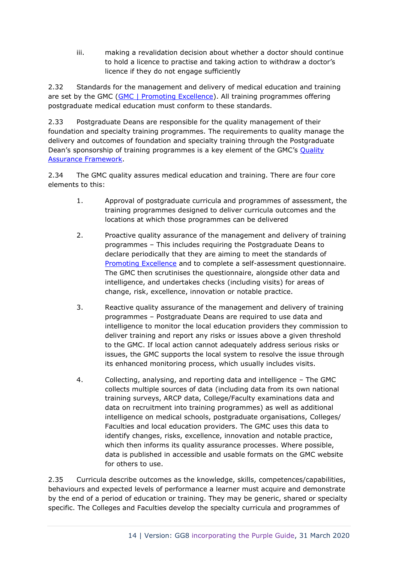iii. making a revalidation decision about whether a doctor should continue to hold a licence to practise and taking action to withdraw a doctor's licence if they do not engage sufficiently

2.32 Standards for the management and delivery of medical education and training are set by the GMC [\(GMC | Promoting Excellence\)](http://www.gmc-uk.org/Promoting_excellence_standards_for_medical_education_and_training_0715.pdf_61939165.pdf). All training programmes offering postgraduate medical education must conform to these standards.

2.33 Postgraduate Deans are responsible for the quality management of their foundation and specialty training programmes. The requirements to quality manage the delivery and outcomes of foundation and specialty training through the Postgraduate Dean's sponsorship of training programmes is a key element of the GMC's Quality [Assurance Framework.](http://www.gmc-uk.org/education/qaf.asp)

2.34 The GMC quality assures medical education and training. There are four core elements to this:

- 1. Approval of postgraduate curricula and programmes of assessment, the training programmes designed to deliver curricula outcomes and the locations at which those programmes can be delivered
- 2. Proactive quality assurance of the management and delivery of training programmes – This includes requiring the Postgraduate Deans to declare periodically that they are aiming to meet the standards of [Promoting Excellence](http://www.gmc-uk.org/Promoting_excellence_standards_for_medical_education_and_training_0715.pdf_61939165.pdf) and to complete a self-assessment questionnaire. The GMC then scrutinises the questionnaire, alongside other data and intelligence, and undertakes checks (including visits) for areas of change, risk, excellence, innovation or notable practice.
- 3. Reactive quality assurance of the management and delivery of training programmes – Postgraduate Deans are required to use data and intelligence to monitor the local education providers they commission to deliver training and report any risks or issues above a given threshold to the GMC. If local action cannot adequately address serious risks or issues, the GMC supports the local system to resolve the issue through its enhanced monitoring process, which usually includes visits.
- 4. Collecting, analysing, and reporting data and intelligence The GMC collects multiple sources of data (including data from its own national training surveys, ARCP data, College/Faculty examinations data and data on recruitment into training programmes) as well as additional intelligence on medical schools, postgraduate organisations, Colleges/ Faculties and local education providers. The GMC uses this data to identify changes, risks, excellence, innovation and notable practice, which then informs its quality assurance processes. Where possible, data is published in accessible and usable formats on the GMC website for others to use.

2.35 Curricula describe outcomes as the knowledge, skills, competences/capabilities, behaviours and expected levels of performance a learner must acquire and demonstrate by the end of a period of education or training. They may be generic, shared or specialty specific. The Colleges and Faculties develop the specialty curricula and programmes of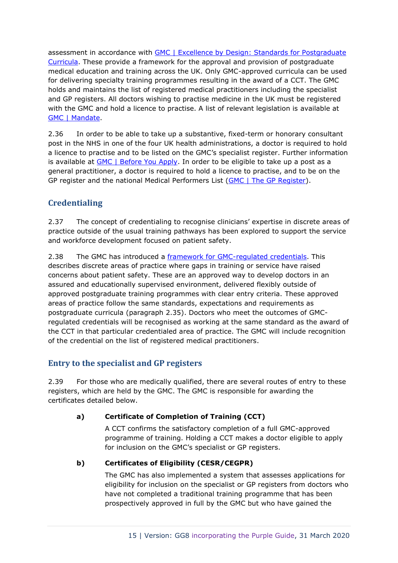assessment in accordance with [GMC | Excellence by Design: Standards for Postgraduate](http://www.gmc-uk.org/education/postgraduate/excellence_by_design.asp)  [Curricula.](http://www.gmc-uk.org/education/postgraduate/excellence_by_design.asp) These provide a framework for the approval and provision of postgraduate medical education and training across the UK. Only GMC-approved curricula can be used for delivering specialty training programmes resulting in the award of a CCT. The GMC holds and maintains the list of registered medical practitioners including the specialist and GP registers. All doctors wishing to practise medicine in the UK must be registered with the GMC and hold a licence to practise. A list of relevant legislation is available at [GMC | Mandate.](http://www.gmc-uk.org/about/legislation.asp)

2.36 In order to be able to take up a substantive, fixed-term or honorary consultant post in the NHS in one of the four UK health administrations, a doctor is required to hold a licence to practise and to be listed on the GMC's specialist register. Further information is available at [GMC | Before You Apply.](https://www.gmc-uk.org/registration-and-licensing/join-the-register/before-you-apply) In order to be eligible to take up a post as a general practitioner, a doctor is required to hold a licence to practise, and to be on the GP register and the national Medical Performers List [\(GMC | The GP Register\)](http://www.gmc-uk.org/doctors/register/gp_register.asp).

# <span id="page-14-0"></span>**Credentialing**

2.37 The concept of credentialing to recognise clinicians' expertise in discrete areas of practice outside of the usual training pathways has been explored to support the service and workforce development focused on patient safety.

2.38 The GMC has introduced a [framework for GMC-regulated credentials.](https://www.gmc-uk.org/-/media/documents/annex-b-credentialing-framework_pdf-78983531.pdf) This describes discrete areas of practice where gaps in training or service have raised concerns about patient safety. These are an approved way to develop doctors in an assured and educationally supervised environment, delivered flexibly outside of approved postgraduate training programmes with clear entry criteria. These approved areas of practice follow the same standards, expectations and requirements as postgraduate curricula (paragraph 2.35). Doctors who meet the outcomes of GMCregulated credentials will be recognised as working at the same standard as the award of the CCT in that particular credentialed area of practice. The GMC will include recognition of the credential on the list of registered medical practitioners.

## <span id="page-14-1"></span>**Entry to the specialist and GP registers**

2.39 For those who are medically qualified, there are several routes of entry to these registers, which are held by the GMC. The GMC is responsible for awarding the certificates detailed below.

## **a) Certificate of Completion of Training (CCT)**

A CCT confirms the satisfactory completion of a full GMC-approved programme of training. Holding a CCT makes a doctor eligible to apply for inclusion on the GMC's specialist or GP registers.

## **b) Certificates of Eligibility (CESR/CEGPR)**

The GMC has also implemented a system that assesses applications for eligibility for inclusion on the specialist or GP registers from doctors who have not completed a traditional training programme that has been prospectively approved in full by the GMC but who have gained the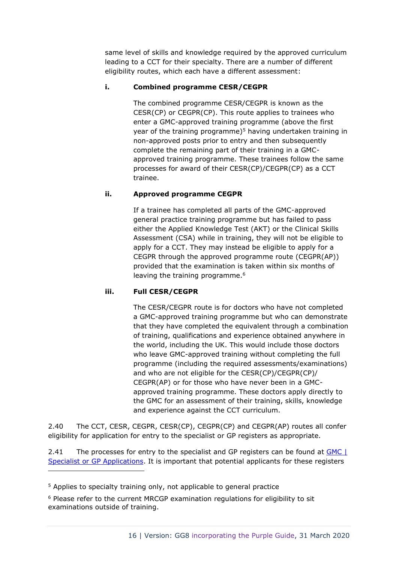same level of skills and knowledge required by the approved curriculum leading to a CCT for their specialty. There are a number of different eligibility routes, which each have a different assessment:

## **i. Combined programme CESR/CEGPR**

The combined programme CESR/CEGPR is known as the CESR(CP) or CEGPR(CP). This route applies to trainees who enter a GMC-approved training programme (above the first year of the training programme) $5$  having undertaken training in non-approved posts prior to entry and then subsequently complete the remaining part of their training in a GMCapproved training programme. These trainees follow the same processes for award of their CESR(CP)/CEGPR(CP) as a CCT trainee.

## **ii. Approved programme CEGPR**

If a trainee has completed all parts of the GMC-approved general practice training programme but has failed to pass either the Applied Knowledge Test (AKT) or the Clinical Skills Assessment (CSA) while in training, they will not be eligible to apply for a CCT. They may instead be eligible to apply for a CEGPR through the approved programme route (CEGPR(AP)) provided that the examination is taken within six months of leaving the training programme.<sup>6</sup>

#### **iii. Full CESR/CEGPR**

The CESR/CEGPR route is for doctors who have not completed a GMC-approved training programme but who can demonstrate that they have completed the equivalent through a combination of training, qualifications and experience obtained anywhere in the world, including the UK. This would include those doctors who leave GMC-approved training without completing the full programme (including the required assessments/examinations) and who are not eligible for the CESR(CP)/CEGPR(CP)/ CEGPR(AP) or for those who have never been in a GMCapproved training programme. These doctors apply directly to the GMC for an assessment of their training, skills, knowledge and experience against the CCT curriculum.

2.40 The CCT, CESR, CEGPR, CESR(CP), CEGPR(CP) and CEGPR(AP) routes all confer eligibility for application for entry to the specialist or GP registers as appropriate.

2.41 The processes for entry to the specialist and GP registers can be found at GMC | [Specialist or GP Applications.](https://www.gmc-uk.org/registration-and-licensing/the-medical-register/a-guide-to-the-medical-register/specialist-and-gp-application-types) It is important that potential applicants for these registers

<sup>&</sup>lt;sup>5</sup> Applies to specialty training only, not applicable to general practice

<sup>6</sup> Please refer to the current MRCGP examination regulations for eligibility to sit examinations outside of training.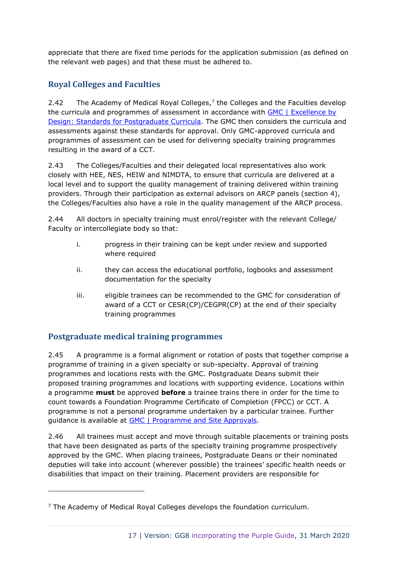appreciate that there are fixed time periods for the application submission (as defined on the relevant web pages) and that these must be adhered to.

# <span id="page-16-0"></span>**Royal Colleges and Faculties**

2.42 The Academy of Medical Royal Colleges,<sup>7</sup> the Colleges and the Faculties develop the curricula and programmes of assessment in accordance with [GMC | Excellence by](http://www.gmc-uk.org/education/postgraduate/excellence_by_design.asp)  [Design: Standards for Postgraduate Curricula.](http://www.gmc-uk.org/education/postgraduate/excellence_by_design.asp) The GMC then considers the curricula and assessments against these standards for approval. Only GMC-approved curricula and programmes of assessment can be used for delivering specialty training programmes resulting in the award of a CCT.

2.43 The Colleges/Faculties and their delegated local representatives also work closely with HEE, NES, HEIW and NIMDTA, to ensure that curricula are delivered at a local level and to support the quality management of training delivered within training providers. Through their participation as external advisors on ARCP panels (section 4), the Colleges/Faculties also have a role in the quality management of the ARCP process.

2.44 All doctors in specialty training must enrol/register with the relevant College/ Faculty or intercollegiate body so that:

- i. progress in their training can be kept under review and supported where required
- ii. they can access the educational portfolio, logbooks and assessment documentation for the specialty
- iii. eligible trainees can be recommended to the GMC for consideration of award of a CCT or CESR(CP)/CEGPR(CP) at the end of their specialty training programmes

# <span id="page-16-1"></span>**Postgraduate medical training programmes**

2.45 A programme is a formal alignment or rotation of posts that together comprise a programme of training in a given specialty or sub-specialty. Approval of training programmes and locations rests with the GMC. Postgraduate Deans submit their proposed training programmes and locations with supporting evidence. Locations within a programme **must** be approved **before** a trainee trains there in order for the time to count towards a Foundation Programme Certificate of Completion (FPCC) or CCT. A programme is not a personal programme undertaken by a particular trainee. Further guidance is available at [GMC | Programme and Site Approvals.](http://www.gmc-uk.org/education/approval_post_and_programme.asp)

2.46 All trainees must accept and move through suitable placements or training posts that have been designated as parts of the specialty training programme prospectively approved by the GMC. When placing trainees, Postgraduate Deans or their nominated deputies will take into account (wherever possible) the trainees' specific health needs or disabilities that impact on their training. Placement providers are responsible for

 $<sup>7</sup>$  The Academy of Medical Royal Colleges develops the foundation curriculum.</sup>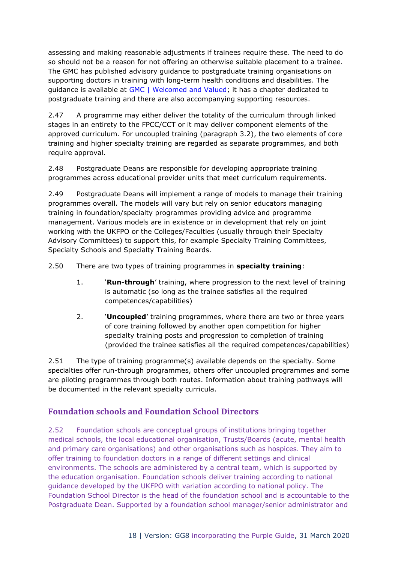assessing and making reasonable adjustments if trainees require these. The need to do so should not be a reason for not offering an otherwise suitable placement to a trainee. The GMC has published advisory guidance to postgraduate training organisations on supporting doctors in training with long-term health conditions and disabilities. The guidance is available at [GMC | Welcomed and Valued;](https://www.gmc-uk.org/education/standards-guidance-and-curricula/guidance/welcomed-and-valued) it has a chapter dedicated to postgraduate training and there are also accompanying supporting resources.

2.47 A programme may either deliver the totality of the curriculum through linked stages in an entirety to the FPCC/CCT or it may deliver component elements of the approved curriculum. For uncoupled training (paragraph 3.2), the two elements of core training and higher specialty training are regarded as separate programmes, and both require approval.

2.48 Postgraduate Deans are responsible for developing appropriate training programmes across educational provider units that meet curriculum requirements.

2.49 Postgraduate Deans will implement a range of models to manage their training programmes overall. The models will vary but rely on senior educators managing training in foundation/specialty programmes providing advice and programme management. Various models are in existence or in development that rely on joint working with the UKFPO or the Colleges/Faculties (usually through their Specialty Advisory Committees) to support this, for example Specialty Training Committees, Specialty Schools and Specialty Training Boards.

2.50 There are two types of training programmes in **specialty training**:

- 1. '**Run-through**' training, where progression to the next level of training is automatic (so long as the trainee satisfies all the required competences/capabilities)
- 2. '**Uncoupled**' training programmes, where there are two or three years of core training followed by another open competition for higher specialty training posts and progression to completion of training (provided the trainee satisfies all the required competences/capabilities)

2.51 The type of training programme(s) available depends on the specialty. Some specialties offer run-through programmes, others offer uncoupled programmes and some are piloting programmes through both routes. Information about training pathways will be documented in the relevant specialty curricula.

# <span id="page-17-0"></span>**Foundation schools and Foundation School Directors**

2.52 Foundation schools are conceptual groups of institutions bringing together medical schools, the local educational organisation, Trusts/Boards (acute, mental health and primary care organisations) and other organisations such as hospices. They aim to offer training to foundation doctors in a range of different settings and clinical environments. The schools are administered by a central team, which is supported by the education organisation. Foundation schools deliver training according to national guidance developed by the UKFPO with variation according to national policy. The Foundation School Director is the head of the foundation school and is accountable to the Postgraduate Dean. Supported by a foundation school manager/senior administrator and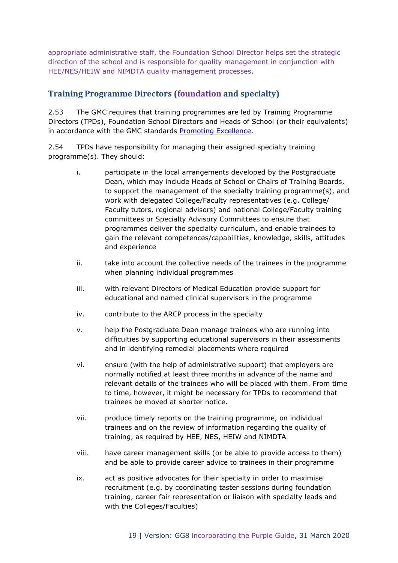appropriate administrative staff, the Foundation School Director helps set the strategic direction of the school and is responsible for quality management in conjunction with HEE/NES/HEIW and NIMDTA quality management processes.

# <span id="page-18-0"></span>**Training Programme Directors (foundation and specialty)**

2.53 The GMC requires that training programmes are led by Training Programme Directors (TPDs), Foundation School Directors and Heads of School (or their equivalents) in accordance with the GMC standards [Promoting Excellence.](http://www.gmc-uk.org/Promoting_excellence_standards_for_medical_education_and_training_0715.pdf_61939165.pdf)

2.54 TPDs have responsibility for managing their assigned specialty training programme(s). They should:

- i. participate in the local arrangements developed by the Postgraduate Dean, which may include Heads of School or Chairs of Training Boards, to support the management of the specialty training programme(s), and work with delegated College/Faculty representatives (e.g. College/ Faculty tutors, regional advisors) and national College/Faculty training committees or Specialty Advisory Committees to ensure that programmes deliver the specialty curriculum, and enable trainees to gain the relevant competences/capabilities, knowledge, skills, attitudes and experience
- ii. take into account the collective needs of the trainees in the programme when planning individual programmes
- iii. with relevant Directors of Medical Education provide support for educational and named clinical supervisors in the programme
- iv. contribute to the ARCP process in the specialty
- v. help the Postgraduate Dean manage trainees who are running into difficulties by supporting educational supervisors in their assessments and in identifying remedial placements where required
- vi. ensure (with the help of administrative support) that employers are normally notified at least three months in advance of the name and relevant details of the trainees who will be placed with them. From time to time, however, it might be necessary for TPDs to recommend that trainees be moved at shorter notice.
- vii. produce timely reports on the training programme, on individual trainees and on the review of information regarding the quality of training, as required by HEE, NES, HEIW and NIMDTA
- viii. have career management skills (or be able to provide access to them) and be able to provide career advice to trainees in their programme
- ix. act as positive advocates for their specialty in order to maximise recruitment (e.g. by coordinating taster sessions during foundation training, career fair representation or liaison with specialty leads and with the Colleges/Faculties)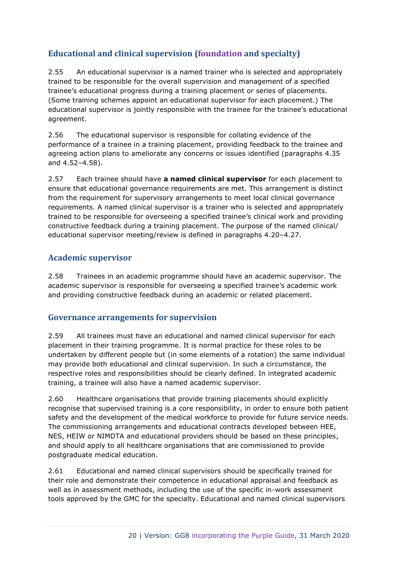# <span id="page-19-0"></span>**Educational and clinical supervision (foundation and specialty)**

2.55 An educational supervisor is a named trainer who is selected and appropriately trained to be responsible for the overall supervision and management of a specified trainee's educational progress during a training placement or series of placements. (Some training schemes appoint an educational supervisor for each placement.) The educational supervisor is jointly responsible with the trainee for the trainee's educational agreement.

2.56 The educational supervisor is responsible for collating evidence of the performance of a trainee in a training placement, providing feedback to the trainee and agreeing action plans to ameliorate any concerns or issues identified (paragraphs 4.35 and 4.52–4.58).

2.57 Each trainee should have **a named clinical supervisor** for each placement to ensure that educational governance requirements are met. This arrangement is distinct from the requirement for supervisory arrangements to meet local clinical governance requirements. A named clinical supervisor is a trainer who is selected and appropriately trained to be responsible for overseeing a specified trainee's clinical work and providing constructive feedback during a training placement. The purpose of the named clinical/ educational supervisor meeting/review is defined in paragraphs 4.20–4.27.

# <span id="page-19-1"></span>**Academic supervisor**

2.58 Trainees in an academic programme should have an academic supervisor. The academic supervisor is responsible for overseeing a specified trainee's academic work and providing constructive feedback during an academic or related placement.

# <span id="page-19-2"></span>**Governance arrangements for supervision**

2.59 All trainees must have an educational and named clinical supervisor for each placement in their training programme. It is normal practice for these roles to be undertaken by different people but (in some elements of a rotation) the same individual may provide both educational and clinical supervision. In such a circumstance, the respective roles and responsibilities should be clearly defined. In integrated academic training, a trainee will also have a named academic supervisor.

2.60 Healthcare organisations that provide training placements should explicitly recognise that supervised training is a core responsibility, in order to ensure both patient safety and the development of the medical workforce to provide for future service needs. The commissioning arrangements and educational contracts developed between HEE, NES, HEIW or NIMDTA and educational providers should be based on these principles, and should apply to all healthcare organisations that are commissioned to provide postgraduate medical education.

2.61 Educational and named clinical supervisors should be specifically trained for their role and demonstrate their competence in educational appraisal and feedback as well as in assessment methods, including the use of the specific in-work assessment tools approved by the GMC for the specialty. Educational and named clinical supervisors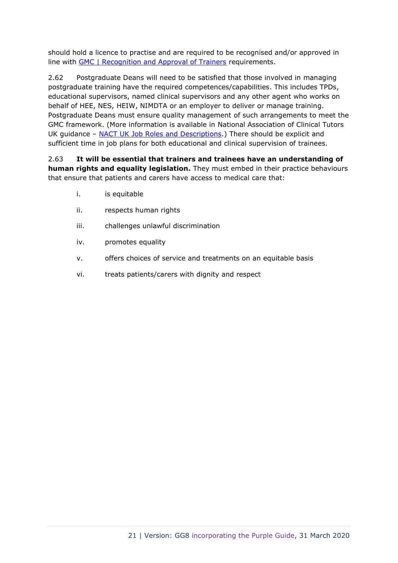should hold a licence to practise and are required to be recognised and/or approved in line with **GMC** | Recognition and Approval of Trainers requirements.

2.62 Postgraduate Deans will need to be satisfied that those involved in managing postgraduate training have the required competences/capabilities. This includes TPDs, educational supervisors, named clinical supervisors and any other agent who works on behalf of HEE, NES, HEIW, NIMDTA or an employer to deliver or manage training. Postgraduate Deans must ensure quality management of such arrangements to meet the GMC framework. (More information is available in National Association of Clinical Tutors UK guidance – [NACT UK Job Roles and Descriptions.](http://www.nact.org.uk/documents/job-descriptions/)) There should be explicit and sufficient time in job plans for both educational and clinical supervision of trainees.

2.63 **It will be essential that trainers and trainees have an understanding of human rights and equality legislation.** They must embed in their practice behaviours that ensure that patients and carers have access to medical care that:

- i. is equitable
- ii. respects human rights
- iii. challenges unlawful discrimination
- iv. promotes equality
- v. offers choices of service and treatments on an equitable basis
- vi. treats patients/carers with dignity and respect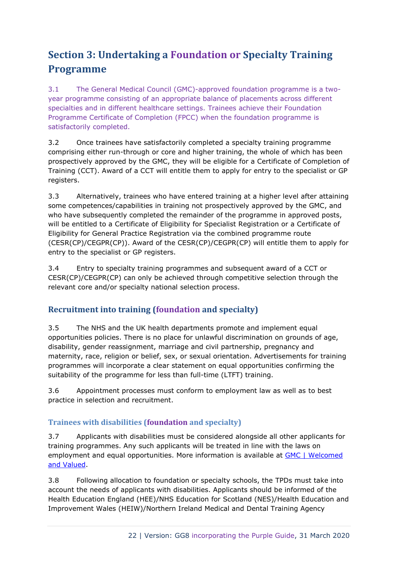# <span id="page-21-0"></span>**Section 3: Undertaking a Foundation or Specialty Training Programme**

3.1 The General Medical Council (GMC)-approved foundation programme is a twoyear programme consisting of an appropriate balance of placements across different specialties and in different healthcare settings. Trainees achieve their Foundation Programme Certificate of Completion (FPCC) when the foundation programme is satisfactorily completed.

3.2 Once trainees have satisfactorily completed a specialty training programme comprising either run-through or core and higher training, the whole of which has been prospectively approved by the GMC, they will be eligible for a Certificate of Completion of Training (CCT). Award of a CCT will entitle them to apply for entry to the specialist or GP registers.

3.3 Alternatively, trainees who have entered training at a higher level after attaining some competences/capabilities in training not prospectively approved by the GMC, and who have subsequently completed the remainder of the programme in approved posts, will be entitled to a Certificate of Eligibility for Specialist Registration or a Certificate of Eligibility for General Practice Registration via the combined programme route (CESR(CP)/CEGPR(CP)). Award of the CESR(CP)/CEGPR(CP) will entitle them to apply for entry to the specialist or GP registers.

3.4 Entry to specialty training programmes and subsequent award of a CCT or CESR(CP)/CEGPR(CP) can only be achieved through competitive selection through the relevant core and/or specialty national selection process.

# <span id="page-21-1"></span>**Recruitment into training (foundation and specialty)**

3.5 The NHS and the UK health departments promote and implement equal opportunities policies. There is no place for unlawful discrimination on grounds of age, disability, gender reassignment, marriage and civil partnership, pregnancy and maternity, race, religion or belief, sex, or sexual orientation. Advertisements for training programmes will incorporate a clear statement on equal opportunities confirming the suitability of the programme for less than full-time (LTFT) training.

3.6 Appointment processes must conform to employment law as well as to best practice in selection and recruitment.

# <span id="page-21-2"></span>**Trainees with disabilities (foundation and specialty)**

3.7 Applicants with disabilities must be considered alongside all other applicants for training programmes. Any such applicants will be treated in line with the laws on employment and equal opportunities. More information is available at GMC | Welcomed [and Valued.](https://www.gmc-uk.org/education/standards-guidance-and-curricula/guidance/welcomed-and-valued)

3.8 Following allocation to foundation or specialty schools, the TPDs must take into account the needs of applicants with disabilities. Applicants should be informed of the Health Education England (HEE)/NHS Education for Scotland (NES)/Health Education and Improvement Wales (HEIW)/Northern Ireland Medical and Dental Training Agency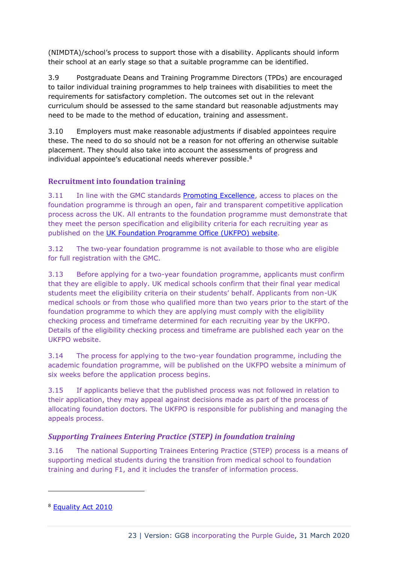(NIMDTA)/school's process to support those with a disability. Applicants should inform their school at an early stage so that a suitable programme can be identified.

3.9 Postgraduate Deans and Training Programme Directors (TPDs) are encouraged to tailor individual training programmes to help trainees with disabilities to meet the requirements for satisfactory completion. The outcomes set out in the relevant curriculum should be assessed to the same standard but reasonable adjustments may need to be made to the method of education, training and assessment.

3.10 Employers must make reasonable adjustments if disabled appointees require these. The need to do so should not be a reason for not offering an otherwise suitable placement. They should also take into account the assessments of progress and individual appointee's educational needs wherever possible. 8

# <span id="page-22-0"></span>**Recruitment into foundation training**

3.11 In line with the GMC standards [Promoting Excellence,](http://www.gmc-uk.org/Promoting_excellence_standards_for_medical_education_and_training_0715.pdf_61939165.pdf) access to places on the foundation programme is through an open, fair and transparent competitive application process across the UK. All entrants to the foundation programme must demonstrate that they meet the person specification and eligibility criteria for each recruiting year as published on the [UK Foundation Programme Office \(UKFPO\) website.](https://foundationprogramme.nhs.uk/)

3.12 The two-year foundation programme is not available to those who are eligible for full registration with the GMC.

3.13 Before applying for a two-year foundation programme, applicants must confirm that they are eligible to apply. UK medical schools confirm that their final year medical students meet the eligibility criteria on their students' behalf. Applicants from non-UK medical schools or from those who qualified more than two years prior to the start of the foundation programme to which they are applying must comply with the eligibility checking process and timeframe determined for each recruiting year by the UKFPO. Details of the eligibility checking process and timeframe are published each year on the UKFPO website.

3.14 The process for applying to the two-year foundation programme, including the academic foundation programme, will be published on the UKFPO website a minimum of six weeks before the application process begins.

3.15 If applicants believe that the published process was not followed in relation to their application, they may appeal against decisions made as part of the process of allocating foundation doctors. The UKFPO is responsible for publishing and managing the appeals process.

# *Supporting Trainees Entering Practice (STEP) in foundation training*

3.16 The national Supporting Trainees Entering Practice (STEP) process is a means of supporting medical students during the transition from medical school to foundation training and during F1, and it includes the transfer of information process.

<sup>8</sup> [Equality Act 2010](http://www.legislation.gov.uk/ukpga/2010/15/part/2/chapter/2/crossheading/adjustments-for-disabled-persons)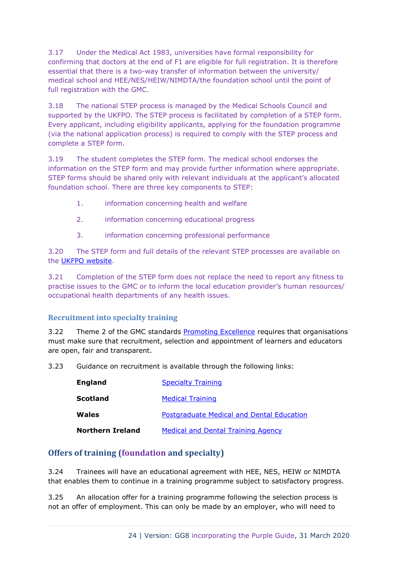3.17 Under the Medical Act 1983, universities have formal responsibility for confirming that doctors at the end of F1 are eligible for full registration. It is therefore essential that there is a two-way transfer of information between the university/ medical school and HEE/NES/HEIW/NIMDTA/the foundation school until the point of full registration with the GMC.

3.18 The national STEP process is managed by the Medical Schools Council and supported by the UKFPO. The STEP process is facilitated by completion of a STEP form. Every applicant, including eligibility applicants, applying for the foundation programme (via the national application process) is required to comply with the STEP process and complete a STEP form.

3.19 The student completes the STEP form. The medical school endorses the information on the STEP form and may provide further information where appropriate. STEP forms should be shared only with relevant individuals at the applicant's allocated foundation school. There are three key components to STEP:

- 1. information concerning health and welfare
- 2. information concerning educational progress
- 3. information concerning professional performance

3.20 The STEP form and full details of the relevant STEP processes are available on the [UKFPO website.](https://foundationprogramme.nhs.uk/)

3.21 Completion of the STEP form does not replace the need to report any fitness to practise issues to the GMC or to inform the local education provider's human resources/ occupational health departments of any health issues.

## <span id="page-23-0"></span>**Recruitment into specialty training**

3.22 Theme 2 of the GMC standards [Promoting Excellence](http://www.gmc-uk.org/Promoting_excellence_standards_for_medical_education_and_training_0715.pdf_61939165.pdf) requires that organisations must make sure that recruitment, selection and appointment of learners and educators are open, fair and transparent.

3.23 Guidance on recruitment is available through the following links:

| <b>England</b>          | <b>Specialty Training</b>                 |
|-------------------------|-------------------------------------------|
| Scotland                | <b>Medical Training</b>                   |
| Wales                   | Postgraduate Medical and Dental Education |
| <b>Northern Ireland</b> | <b>Medical and Dental Training Agency</b> |

## <span id="page-23-1"></span>**Offers of training (foundation and specialty)**

3.24 Trainees will have an educational agreement with HEE, NES, HEIW or NIMDTA that enables them to continue in a training programme subject to satisfactory progress.

3.25 An allocation offer for a training programme following the selection process is not an offer of employment. This can only be made by an employer, who will need to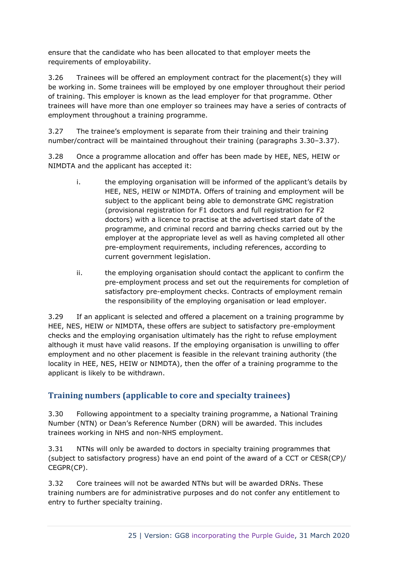ensure that the candidate who has been allocated to that employer meets the requirements of employability.

3.26 Trainees will be offered an employment contract for the placement(s) they will be working in. Some trainees will be employed by one employer throughout their period of training. This employer is known as the lead employer for that programme. Other trainees will have more than one employer so trainees may have a series of contracts of employment throughout a training programme.

3.27 The trainee's employment is separate from their training and their training number/contract will be maintained throughout their training (paragraphs 3.30–3.37).

3.28 Once a programme allocation and offer has been made by HEE, NES, HEIW or NIMDTA and the applicant has accepted it:

- i. the employing organisation will be informed of the applicant's details by HEE, NES, HEIW or NIMDTA. Offers of training and employment will be subject to the applicant being able to demonstrate GMC registration (provisional registration for F1 doctors and full registration for F2 doctors) with a licence to practise at the advertised start date of the programme, and criminal record and barring checks carried out by the employer at the appropriate level as well as having completed all other pre-employment requirements, including references, according to current government legislation.
- ii. the employing organisation should contact the applicant to confirm the pre-employment process and set out the requirements for completion of satisfactory pre-employment checks. Contracts of employment remain the responsibility of the employing organisation or lead employer.

3.29 If an applicant is selected and offered a placement on a training programme by HEE, NES, HEIW or NIMDTA, these offers are subject to satisfactory pre-employment checks and the employing organisation ultimately has the right to refuse employment although it must have valid reasons. If the employing organisation is unwilling to offer employment and no other placement is feasible in the relevant training authority (the locality in HEE, NES, HEIW or NIMDTA), then the offer of a training programme to the applicant is likely to be withdrawn.

# <span id="page-24-0"></span>**Training numbers (applicable to core and specialty trainees)**

3.30 Following appointment to a specialty training programme, a National Training Number (NTN) or Dean's Reference Number (DRN) will be awarded. This includes trainees working in NHS and non-NHS employment.

3.31 NTNs will only be awarded to doctors in specialty training programmes that (subject to satisfactory progress) have an end point of the award of a CCT or CESR(CP)/ CEGPR(CP).

3.32 Core trainees will not be awarded NTNs but will be awarded DRNs. These training numbers are for administrative purposes and do not confer any entitlement to entry to further specialty training.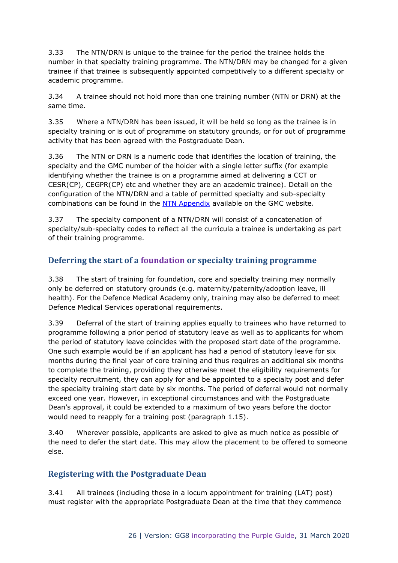3.33 The NTN/DRN is unique to the trainee for the period the trainee holds the number in that specialty training programme. The NTN/DRN may be changed for a given trainee if that trainee is subsequently appointed competitively to a different specialty or academic programme.

3.34 A trainee should not hold more than one training number (NTN or DRN) at the same time.

3.35 Where a NTN/DRN has been issued, it will be held so long as the trainee is in specialty training or is out of programme on statutory grounds, or for out of programme activity that has been agreed with the Postgraduate Dean.

3.36 The NTN or DRN is a numeric code that identifies the location of training, the specialty and the GMC number of the holder with a single letter suffix (for example identifying whether the trainee is on a programme aimed at delivering a CCT or CESR(CP), CEGPR(CP) etc and whether they are an academic trainee). Detail on the configuration of the NTN/DRN and a table of permitted specialty and sub-specialty combinations can be found in the [NTN Appendix](https://www.gmc-uk.org/-/media/documents/dc11403-pol-ntn-appendix-20191028_pdf-75415166.pdf) available on the GMC website.

3.37 The specialty component of a NTN/DRN will consist of a concatenation of specialty/sub-specialty codes to reflect all the curricula a trainee is undertaking as part of their training programme.

# <span id="page-25-0"></span>**Deferring the start of a foundation or specialty training programme**

3.38 The start of training for foundation, core and specialty training may normally only be deferred on statutory grounds (e.g. maternity/paternity/adoption leave, ill health). For the Defence Medical Academy only, training may also be deferred to meet Defence Medical Services operational requirements.

3.39 Deferral of the start of training applies equally to trainees who have returned to programme following a prior period of statutory leave as well as to applicants for whom the period of statutory leave coincides with the proposed start date of the programme. One such example would be if an applicant has had a period of statutory leave for six months during the final year of core training and thus requires an additional six months to complete the training, providing they otherwise meet the eligibility requirements for specialty recruitment, they can apply for and be appointed to a specialty post and defer the specialty training start date by six months. The period of deferral would not normally exceed one year. However, in exceptional circumstances and with the Postgraduate Dean's approval, it could be extended to a maximum of two years before the doctor would need to reapply for a training post (paragraph 1.15).

3.40 Wherever possible, applicants are asked to give as much notice as possible of the need to defer the start date. This may allow the placement to be offered to someone else.

# <span id="page-25-1"></span>**Registering with the Postgraduate Dean**

3.41 All trainees (including those in a locum appointment for training (LAT) post) must register with the appropriate Postgraduate Dean at the time that they commence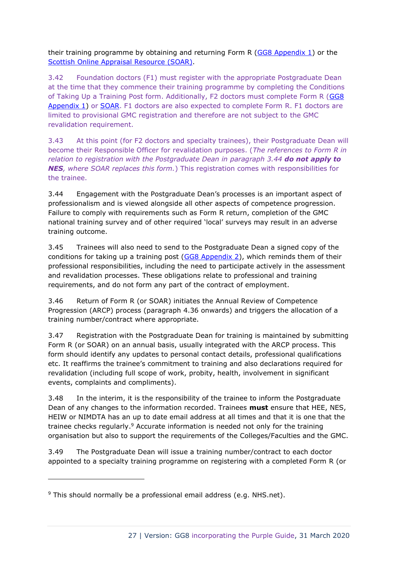their training programme by obtaining and returning Form R [\(GG8 Appendix 1\)](https://www.copmed.org.uk/images/docs/gold_guide_8th_edition/GG8_Appendix_1_-_Form_R_Parts_A_and_B.docx) or the [Scottish Online Appraisal Resource](http://www.appraisal.nes.scot.nhs.uk/) (SOAR).

3.42 Foundation doctors (F1) must register with the appropriate Postgraduate Dean at the time that they commence their training programme by completing the Conditions of Taking Up a Training Post form. Additionally, F2 doctors must complete Form R [\(GG8](https://www.copmed.org.uk/images/docs/gold_guide_8th_edition/GG8_Appendix_1_-_Form_R_Parts_A_and_B.docx)  [Appendix 1\)](https://www.copmed.org.uk/images/docs/gold_guide_8th_edition/GG8_Appendix_1_-_Form_R_Parts_A_and_B.docx) or [SOAR.](http://www.appraisal.nes.scot.nhs.uk/) F1 doctors are also expected to complete Form R. F1 doctors are limited to provisional GMC registration and therefore are not subject to the GMC revalidation requirement.

3.43 At this point (for F2 doctors and specialty trainees), their Postgraduate Dean will become their Responsible Officer for revalidation purposes. (*The references to Form R in relation to registration with the Postgraduate Dean in paragraph 3.44 do not apply to NES, where SOAR replaces this form.*) This registration comes with responsibilities for the trainee.

3.44 Engagement with the Postgraduate Dean's processes is an important aspect of professionalism and is viewed alongside all other aspects of competence progression. Failure to comply with requirements such as Form R return, completion of the GMC national training survey and of other required 'local' surveys may result in an adverse training outcome.

3.45 Trainees will also need to send to the Postgraduate Dean a signed copy of the conditions for taking up a training post [\(GG8 Appendix 2\)](https://www.copmed.org.uk/images/docs/gold_guide_8th_edition/GG8_Appendix_2_-_Conditions_of_joining_a_specialty_training_programme.docx), which reminds them of their professional responsibilities, including the need to participate actively in the assessment and revalidation processes. These obligations relate to professional and training requirements, and do not form any part of the contract of employment.

3.46 Return of Form R (or SOAR) initiates the Annual Review of Competence Progression (ARCP) process (paragraph 4.36 onwards) and triggers the allocation of a training number/contract where appropriate.

3.47 Registration with the Postgraduate Dean for training is maintained by submitting Form R (or SOAR) on an annual basis, usually integrated with the ARCP process. This form should identify any updates to personal contact details, professional qualifications etc. It reaffirms the trainee's commitment to training and also declarations required for revalidation (including full scope of work, probity, health, involvement in significant events, complaints and compliments).

3.48 In the interim, it is the responsibility of the trainee to inform the Postgraduate Dean of any changes to the information recorded. Trainees **must** ensure that HEE, NES, HEIW or NIMDTA has an up to date email address at all times and that it is one that the trainee checks regularly.<sup>9</sup> Accurate information is needed not only for the training organisation but also to support the requirements of the Colleges/Faculties and the GMC.

3.49 The Postgraduate Dean will issue a training number/contract to each doctor appointed to a specialty training programme on registering with a completed Form R (or

 $9$  This should normally be a professional email address (e.g. NHS.net).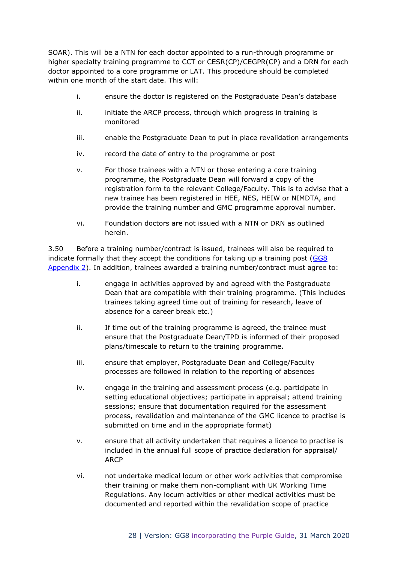SOAR). This will be a NTN for each doctor appointed to a run-through programme or higher specialty training programme to CCT or CESR(CP)/CEGPR(CP) and a DRN for each doctor appointed to a core programme or LAT. This procedure should be completed within one month of the start date. This will:

- i. ensure the doctor is registered on the Postgraduate Dean's database
- ii. initiate the ARCP process, through which progress in training is monitored
- iii. enable the Postgraduate Dean to put in place revalidation arrangements
- iv. record the date of entry to the programme or post
- v. For those trainees with a NTN or those entering a core training programme, the Postgraduate Dean will forward a copy of the registration form to the relevant College/Faculty. This is to advise that a new trainee has been registered in HEE, NES, HEIW or NIMDTA, and provide the training number and GMC programme approval number.
- vi. Foundation doctors are not issued with a NTN or DRN as outlined herein.

3.50 Before a training number/contract is issued, trainees will also be required to indicate formally that they accept the conditions for taking up a training post  $(GG8)$ [Appendix 2\)](https://www.copmed.org.uk/images/docs/gold_guide_8th_edition/GG8_Appendix_2_-_Conditions_of_joining_a_specialty_training_programme.docx). In addition, trainees awarded a training number/contract must agree to:

- i. engage in activities approved by and agreed with the Postgraduate Dean that are compatible with their training programme. (This includes trainees taking agreed time out of training for research, leave of absence for a career break etc.)
- ii. If time out of the training programme is agreed, the trainee must ensure that the Postgraduate Dean/TPD is informed of their proposed plans/timescale to return to the training programme.
- iii. ensure that employer, Postgraduate Dean and College/Faculty processes are followed in relation to the reporting of absences
- iv. engage in the training and assessment process (e.g. participate in setting educational objectives; participate in appraisal; attend training sessions; ensure that documentation required for the assessment process, revalidation and maintenance of the GMC licence to practise is submitted on time and in the appropriate format)
- v. ensure that all activity undertaken that requires a licence to practise is included in the annual full scope of practice declaration for appraisal/ ARCP
- vi. not undertake medical locum or other work activities that compromise their training or make them non-compliant with UK Working Time Regulations. Any locum activities or other medical activities must be documented and reported within the revalidation scope of practice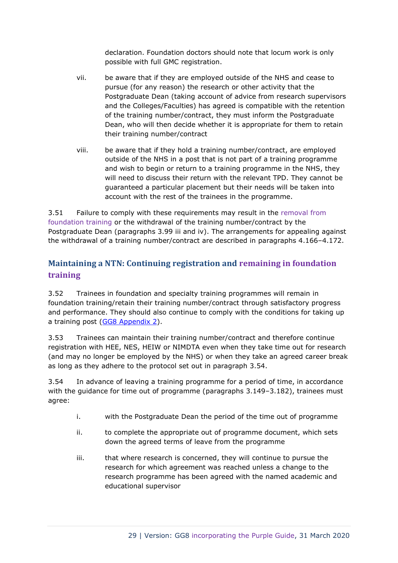declaration. Foundation doctors should note that locum work is only possible with full GMC registration.

- vii. be aware that if they are employed outside of the NHS and cease to pursue (for any reason) the research or other activity that the Postgraduate Dean (taking account of advice from research supervisors and the Colleges/Faculties) has agreed is compatible with the retention of the training number/contract, they must inform the Postgraduate Dean, who will then decide whether it is appropriate for them to retain their training number/contract
- viii. be aware that if they hold a training number/contract, are employed outside of the NHS in a post that is not part of a training programme and wish to begin or return to a training programme in the NHS, they will need to discuss their return with the relevant TPD. They cannot be guaranteed a particular placement but their needs will be taken into account with the rest of the trainees in the programme.

3.51 Failure to comply with these requirements may result in the removal from foundation training or the withdrawal of the training number/contract by the Postgraduate Dean (paragraphs 3.99 iii and iv). The arrangements for appealing against the withdrawal of a training number/contract are described in paragraphs 4.166–4.172.

# <span id="page-28-0"></span>**Maintaining a NTN: Continuing registration and remaining in foundation training**

3.52 Trainees in foundation and specialty training programmes will remain in foundation training/retain their training number/contract through satisfactory progress and performance. They should also continue to comply with the conditions for taking up a training post [\(GG8 Appendix 2\)](https://www.copmed.org.uk/images/docs/gold_guide_8th_edition/GG8_Appendix_2_-_Conditions_of_joining_a_specialty_training_programme.docx).

3.53 Trainees can maintain their training number/contract and therefore continue registration with HEE, NES, HEIW or NIMDTA even when they take time out for research (and may no longer be employed by the NHS) or when they take an agreed career break as long as they adhere to the protocol set out in paragraph 3.54.

3.54 In advance of leaving a training programme for a period of time, in accordance with the guidance for time out of programme (paragraphs 3.149-3.182), trainees must agree:

- i. with the Postgraduate Dean the period of the time out of programme
- ii. to complete the appropriate out of programme document, which sets down the agreed terms of leave from the programme
- iii. that where research is concerned, they will continue to pursue the research for which agreement was reached unless a change to the research programme has been agreed with the named academic and educational supervisor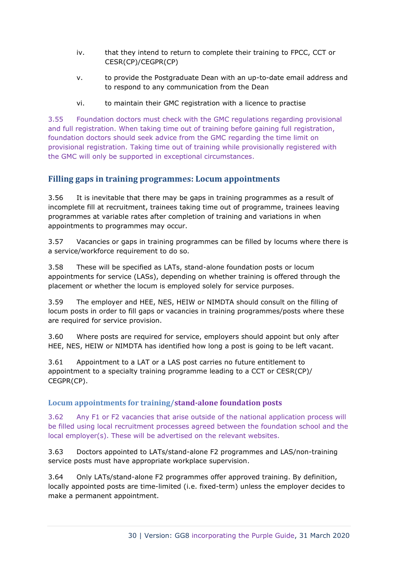- iv. that they intend to return to complete their training to FPCC, CCT or CESR(CP)/CEGPR(CP)
- v. to provide the Postgraduate Dean with an up-to-date email address and to respond to any communication from the Dean
- vi. to maintain their GMC registration with a licence to practise

3.55 Foundation doctors must check with the GMC regulations regarding provisional and full registration. When taking time out of training before gaining full registration, foundation doctors should seek advice from the GMC regarding the time limit on provisional registration. Taking time out of training while provisionally registered with the GMC will only be supported in exceptional circumstances.

## <span id="page-29-0"></span>**Filling gaps in training programmes: Locum appointments**

3.56 It is inevitable that there may be gaps in training programmes as a result of incomplete fill at recruitment, trainees taking time out of programme, trainees leaving programmes at variable rates after completion of training and variations in when appointments to programmes may occur.

3.57 Vacancies or gaps in training programmes can be filled by locums where there is a service/workforce requirement to do so.

3.58 These will be specified as LATs, stand-alone foundation posts or locum appointments for service (LASs), depending on whether training is offered through the placement or whether the locum is employed solely for service purposes.

3.59 The employer and HEE, NES, HEIW or NIMDTA should consult on the filling of locum posts in order to fill gaps or vacancies in training programmes/posts where these are required for service provision.

3.60 Where posts are required for service, employers should appoint but only after HEE, NES, HEIW or NIMDTA has identified how long a post is going to be left vacant.

3.61 Appointment to a LAT or a LAS post carries no future entitlement to appointment to a specialty training programme leading to a CCT or CESR(CP)/ CEGPR(CP).

#### <span id="page-29-1"></span>**Locum appointments for training/stand-alone foundation posts**

3.62 Any F1 or F2 vacancies that arise outside of the national application process will be filled using local recruitment processes agreed between the foundation school and the local employer(s). These will be advertised on the relevant websites.

3.63 Doctors appointed to LATs/stand-alone F2 programmes and LAS/non-training service posts must have appropriate workplace supervision.

3.64 Only LATs/stand-alone F2 programmes offer approved training. By definition, locally appointed posts are time-limited (i.e. fixed-term) unless the employer decides to make a permanent appointment.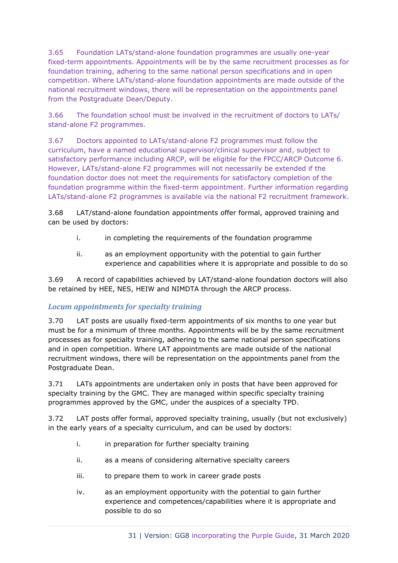3.65 Foundation LATs/stand-alone foundation programmes are usually one-year fixed-term appointments. Appointments will be by the same recruitment processes as for foundation training, adhering to the same national person specifications and in open competition. Where LATs/stand-alone foundation appointments are made outside of the national recruitment windows, there will be representation on the appointments panel from the Postgraduate Dean/Deputy.

3.66 The foundation school must be involved in the recruitment of doctors to LATs/ stand-alone F2 programmes.

3.67 Doctors appointed to LATs/stand-alone F2 programmes must follow the curriculum, have a named educational supervisor/clinical supervisor and, subject to satisfactory performance including ARCP, will be eligible for the FPCC/ARCP Outcome 6. However, LATs/stand-alone F2 programmes will not necessarily be extended if the foundation doctor does not meet the requirements for satisfactory completion of the foundation programme within the fixed-term appointment. Further information regarding LATs/stand-alone F2 programmes is available via the national F2 recruitment framework.

3.68 LAT/stand-alone foundation appointments offer formal, approved training and can be used by doctors:

- i. in completing the requirements of the foundation programme
- ii. as an employment opportunity with the potential to gain further experience and capabilities where it is appropriate and possible to do so

3.69 A record of capabilities achieved by LAT/stand-alone foundation doctors will also be retained by HEE, NES, HEIW and NIMDTA through the ARCP process.

# *Locum appointments for specialty training*

3.70 LAT posts are usually fixed-term appointments of six months to one year but must be for a minimum of three months. Appointments will be by the same recruitment processes as for specialty training, adhering to the same national person specifications and in open competition. Where LAT appointments are made outside of the national recruitment windows, there will be representation on the appointments panel from the Postgraduate Dean.

3.71 LATs appointments are undertaken only in posts that have been approved for specialty training by the GMC. They are managed within specific specialty training programmes approved by the GMC, under the auspices of a specialty TPD.

3.72 LAT posts offer formal, approved specialty training, usually (but not exclusively) in the early years of a specialty curriculum, and can be used by doctors:

- i. in preparation for further specialty training
- ii. as a means of considering alternative specialty careers
- iii. to prepare them to work in career grade posts
- iv. as an employment opportunity with the potential to gain further experience and competences/capabilities where it is appropriate and possible to do so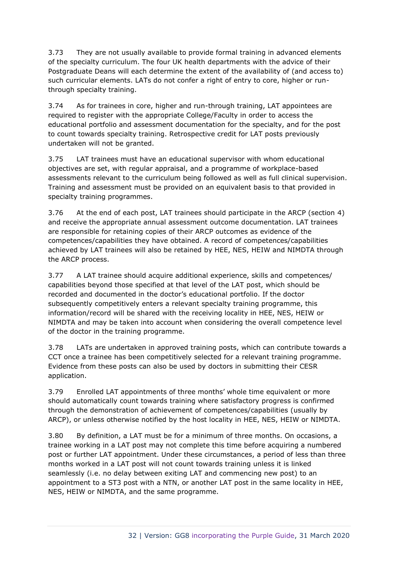3.73 They are not usually available to provide formal training in advanced elements of the specialty curriculum. The four UK health departments with the advice of their Postgraduate Deans will each determine the extent of the availability of (and access to) such curricular elements. LATs do not confer a right of entry to core, higher or runthrough specialty training.

3.74 As for trainees in core, higher and run-through training, LAT appointees are required to register with the appropriate College/Faculty in order to access the educational portfolio and assessment documentation for the specialty, and for the post to count towards specialty training. Retrospective credit for LAT posts previously undertaken will not be granted.

3.75 LAT trainees must have an educational supervisor with whom educational objectives are set, with regular appraisal, and a programme of workplace-based assessments relevant to the curriculum being followed as well as full clinical supervision. Training and assessment must be provided on an equivalent basis to that provided in specialty training programmes.

3.76 At the end of each post, LAT trainees should participate in the ARCP (section 4) and receive the appropriate annual assessment outcome documentation. LAT trainees are responsible for retaining copies of their ARCP outcomes as evidence of the competences/capabilities they have obtained. A record of competences/capabilities achieved by LAT trainees will also be retained by HEE, NES, HEIW and NIMDTA through the ARCP process.

3.77 A LAT trainee should acquire additional experience, skills and competences/ capabilities beyond those specified at that level of the LAT post, which should be recorded and documented in the doctor's educational portfolio. If the doctor subsequently competitively enters a relevant specialty training programme, this information/record will be shared with the receiving locality in HEE, NES, HEIW or NIMDTA and may be taken into account when considering the overall competence level of the doctor in the training programme.

3.78 LATs are undertaken in approved training posts, which can contribute towards a CCT once a trainee has been competitively selected for a relevant training programme. Evidence from these posts can also be used by doctors in submitting their CESR application.

3.79 Enrolled LAT appointments of three months' whole time equivalent or more should automatically count towards training where satisfactory progress is confirmed through the demonstration of achievement of competences/capabilities (usually by ARCP), or unless otherwise notified by the host locality in HEE, NES, HEIW or NIMDTA.

3.80 By definition, a LAT must be for a minimum of three months. On occasions, a trainee working in a LAT post may not complete this time before acquiring a numbered post or further LAT appointment. Under these circumstances, a period of less than three months worked in a LAT post will not count towards training unless it is linked seamlessly (i.e. no delay between exiting LAT and commencing new post) to an appointment to a ST3 post with a NTN, or another LAT post in the same locality in HEE, NES, HEIW or NIMDTA, and the same programme.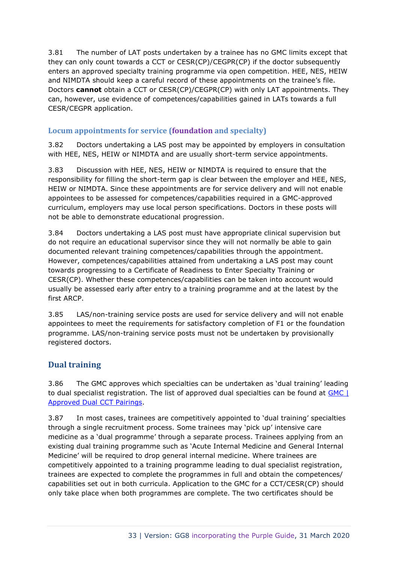3.81 The number of LAT posts undertaken by a trainee has no GMC limits except that they can only count towards a CCT or CESR(CP)/CEGPR(CP) if the doctor subsequently enters an approved specialty training programme via open competition. HEE, NES, HEIW and NIMDTA should keep a careful record of these appointments on the trainee's file. Doctors **cannot** obtain a CCT or CESR(CP)/CEGPR(CP) with only LAT appointments. They can, however, use evidence of competences/capabilities gained in LATs towards a full CESR/CEGPR application.

# <span id="page-32-0"></span>**Locum appointments for service (foundation and specialty)**

3.82 Doctors undertaking a LAS post may be appointed by employers in consultation with HEE, NES, HEIW or NIMDTA and are usually short-term service appointments.

3.83 Discussion with HEE, NES, HEIW or NIMDTA is required to ensure that the responsibility for filling the short-term gap is clear between the employer and HEE, NES, HEIW or NIMDTA. Since these appointments are for service delivery and will not enable appointees to be assessed for competences/capabilities required in a GMC-approved curriculum, employers may use local person specifications. Doctors in these posts will not be able to demonstrate educational progression.

3.84 Doctors undertaking a LAS post must have appropriate clinical supervision but do not require an educational supervisor since they will not normally be able to gain documented relevant training competences/capabilities through the appointment. However, competences/capabilities attained from undertaking a LAS post may count towards progressing to a Certificate of Readiness to Enter Specialty Training or CESR(CP). Whether these competences/capabilities can be taken into account would usually be assessed early after entry to a training programme and at the latest by the first ARCP.

3.85 LAS/non-training service posts are used for service delivery and will not enable appointees to meet the requirements for satisfactory completion of F1 or the foundation programme. LAS/non-training service posts must not be undertaken by provisionally registered doctors.

# <span id="page-32-1"></span>**Dual training**

3.86 The GMC approves which specialties can be undertaken as 'dual training' leading to dual specialist registration. The list of approved dual specialties can be found at [GMC |](https://www.gmc-uk.org/-/media/documents/gmc-list-of-approved-dual-cct-pairings-october-2017_pdf-72297006.pdf)  [Approved Dual CCT Pairings.](https://www.gmc-uk.org/-/media/documents/gmc-list-of-approved-dual-cct-pairings-october-2017_pdf-72297006.pdf)

3.87 In most cases, trainees are competitively appointed to 'dual training' specialties through a single recruitment process. Some trainees may 'pick up' intensive care medicine as a 'dual programme' through a separate process. Trainees applying from an existing dual training programme such as 'Acute Internal Medicine and General Internal Medicine' will be required to drop general internal medicine. Where trainees are competitively appointed to a training programme leading to dual specialist registration, trainees are expected to complete the programmes in full and obtain the competences/ capabilities set out in both curricula. Application to the GMC for a CCT/CESR(CP) should only take place when both programmes are complete. The two certificates should be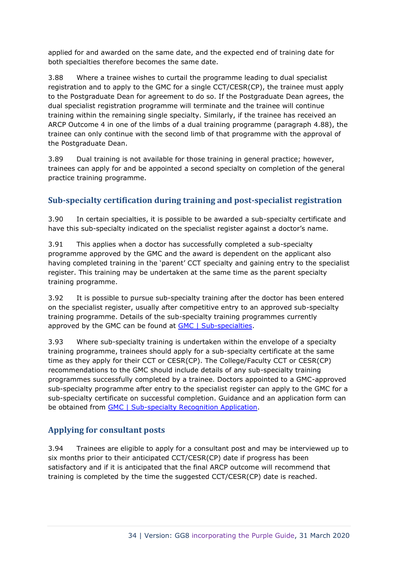applied for and awarded on the same date, and the expected end of training date for both specialties therefore becomes the same date.

3.88 Where a trainee wishes to curtail the programme leading to dual specialist registration and to apply to the GMC for a single CCT/CESR(CP), the trainee must apply to the Postgraduate Dean for agreement to do so. If the Postgraduate Dean agrees, the dual specialist registration programme will terminate and the trainee will continue training within the remaining single specialty. Similarly, if the trainee has received an ARCP Outcome 4 in one of the limbs of a dual training programme (paragraph 4.88), the trainee can only continue with the second limb of that programme with the approval of the Postgraduate Dean.

3.89 Dual training is not available for those training in general practice; however, trainees can apply for and be appointed a second specialty on completion of the general practice training programme.

# <span id="page-33-0"></span>**Sub-specialty certification during training and post-specialist registration**

3.90 In certain specialties, it is possible to be awarded a sub-specialty certificate and have this sub-specialty indicated on the specialist register against a doctor's name.

3.91 This applies when a doctor has successfully completed a sub-specialty programme approved by the GMC and the award is dependent on the applicant also having completed training in the 'parent' CCT specialty and gaining entry to the specialist register. This training may be undertaken at the same time as the parent specialty training programme.

3.92 It is possible to pursue sub-specialty training after the doctor has been entered on the specialist register, usually after competitive entry to an approved sub-specialty training programme. Details of the sub-specialty training programmes currently approved by the GMC can be found at [GMC | Sub-specialties.](https://www.gmc-uk.org/education/how-we-quality-assure/royal-colleges-and-faculties/sub-specialties)

3.93 Where sub-specialty training is undertaken within the envelope of a specialty training programme, trainees should apply for a sub-specialty certificate at the same time as they apply for their CCT or CESR(CP). The College/Faculty CCT or CESR(CP) recommendations to the GMC should include details of any sub-specialty training programmes successfully completed by a trainee. Doctors appointed to a GMC-approved sub-specialty programme after entry to the specialist register can apply to the GMC for a sub-specialty certificate on successful completion. Guidance and an application form can be obtained from [GMC | Sub-specialty Recognition Application.](https://www.gmc-uk.org/registration-and-licensing/join-the-register/registration-applications/specialist-application-guides/sub-specialty)

# <span id="page-33-1"></span>**Applying for consultant posts**

3.94 Trainees are eligible to apply for a consultant post and may be interviewed up to six months prior to their anticipated CCT/CESR(CP) date if progress has been satisfactory and if it is anticipated that the final ARCP outcome will recommend that training is completed by the time the suggested CCT/CESR(CP) date is reached.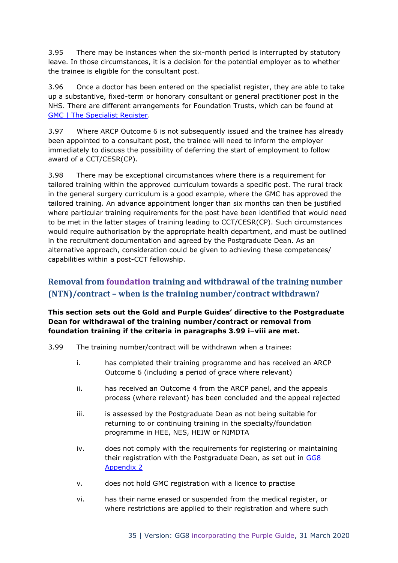3.95 There may be instances when the six-month period is interrupted by statutory leave. In those circumstances, it is a decision for the potential employer as to whether the trainee is eligible for the consultant post.

3.96 Once a doctor has been entered on the specialist register, they are able to take up a substantive, fixed-term or honorary consultant or general practitioner post in the NHS. There are different arrangements for Foundation Trusts, which can be found at [GMC | The Specialist Register.](https://www.gmc-uk.org/registration-and-licensing/the-medical-register/a-guide-to-the-medical-register/specialist-registration)

3.97 Where ARCP Outcome 6 is not subsequently issued and the trainee has already been appointed to a consultant post, the trainee will need to inform the employer immediately to discuss the possibility of deferring the start of employment to follow award of a CCT/CESR(CP).

3.98 There may be exceptional circumstances where there is a requirement for tailored training within the approved curriculum towards a specific post. The rural track in the general surgery curriculum is a good example, where the GMC has approved the tailored training. An advance appointment longer than six months can then be justified where particular training requirements for the post have been identified that would need to be met in the latter stages of training leading to CCT/CESR(CP). Such circumstances would require authorisation by the appropriate health department, and must be outlined in the recruitment documentation and agreed by the Postgraduate Dean. As an alternative approach, consideration could be given to achieving these competences/ capabilities within a post-CCT fellowship.

# <span id="page-34-0"></span>**Removal from foundation training and withdrawal of the training number (NTN)/contract – when is the training number/contract withdrawn?**

#### **This section sets out the Gold and Purple Guides' directive to the Postgraduate Dean for withdrawal of the training number/contract or removal from foundation training if the criteria in paragraphs 3.99 i–viii are met.**

- 3.99 The training number/contract will be withdrawn when a trainee:
	- i. has completed their training programme and has received an ARCP Outcome 6 (including a period of grace where relevant)
	- ii. has received an Outcome 4 from the ARCP panel, and the appeals process (where relevant) has been concluded and the appeal rejected
	- iii. is assessed by the Postgraduate Dean as not being suitable for returning to or continuing training in the specialty/foundation programme in HEE, NES, HEIW or NIMDTA
	- iv. does not comply with the requirements for registering or maintaining their registration with the Postgraduate Dean, as set out in GG8 [Appendix 2](https://www.copmed.org.uk/images/docs/gold_guide_8th_edition/GG8_Appendix_2_-_Conditions_of_joining_a_specialty_training_programme.docx)
	- v. does not hold GMC registration with a licence to practise
	- vi. has their name erased or suspended from the medical register, or where restrictions are applied to their registration and where such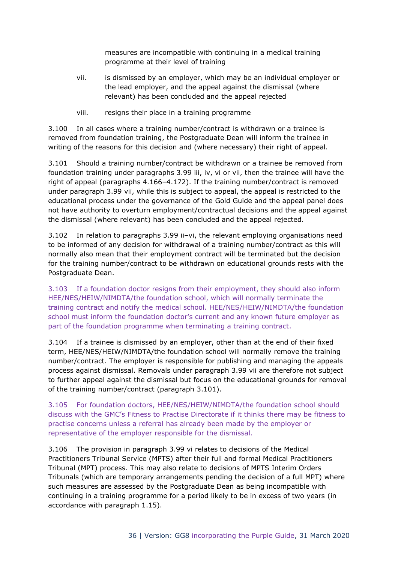measures are incompatible with continuing in a medical training programme at their level of training

- vii. is dismissed by an employer, which may be an individual employer or the lead employer, and the appeal against the dismissal (where relevant) has been concluded and the appeal rejected
- viii. resigns their place in a training programme

3.100 In all cases where a training number/contract is withdrawn or a trainee is removed from foundation training, the Postgraduate Dean will inform the trainee in writing of the reasons for this decision and (where necessary) their right of appeal.

3.101 Should a training number/contract be withdrawn or a trainee be removed from foundation training under paragraphs 3.99 iii, iv, vi or vii, then the trainee will have the right of appeal (paragraphs 4.166–4.172). If the training number/contract is removed under paragraph 3.99 vii, while this is subject to appeal, the appeal is restricted to the educational process under the governance of the Gold Guide and the appeal panel does not have authority to overturn employment/contractual decisions and the appeal against the dismissal (where relevant) has been concluded and the appeal rejected.

3.102 In relation to paragraphs 3.99 ii–vi, the relevant employing organisations need to be informed of any decision for withdrawal of a training number/contract as this will normally also mean that their employment contract will be terminated but the decision for the training number/contract to be withdrawn on educational grounds rests with the Postgraduate Dean.

3.103 If a foundation doctor resigns from their employment, they should also inform HEE/NES/HEIW/NIMDTA/the foundation school, which will normally terminate the training contract and notify the medical school. HEE/NES/HEIW/NIMDTA/the foundation school must inform the foundation doctor's current and any known future employer as part of the foundation programme when terminating a training contract.

3.104 If a trainee is dismissed by an employer, other than at the end of their fixed term, HEE/NES/HEIW/NIMDTA/the foundation school will normally remove the training number/contract. The employer is responsible for publishing and managing the appeals process against dismissal. Removals under paragraph 3.99 vii are therefore not subject to further appeal against the dismissal but focus on the educational grounds for removal of the training number/contract (paragraph 3.101).

3.105 For foundation doctors, HEE/NES/HEIW/NIMDTA/the foundation school should discuss with the GMC's Fitness to Practise Directorate if it thinks there may be fitness to practise concerns unless a referral has already been made by the employer or representative of the employer responsible for the dismissal.

3.106 The provision in paragraph 3.99 vi relates to decisions of the Medical Practitioners Tribunal Service (MPTS) after their full and formal Medical Practitioners Tribunal (MPT) process. This may also relate to decisions of MPTS Interim Orders Tribunals (which are temporary arrangements pending the decision of a full MPT) where such measures are assessed by the Postgraduate Dean as being incompatible with continuing in a training programme for a period likely to be in excess of two years (in accordance with paragraph 1.15).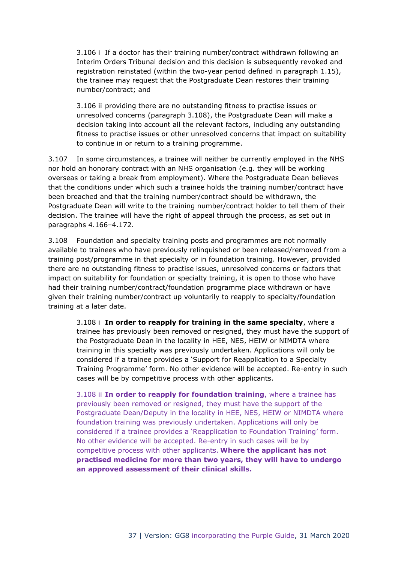3.106 i If a doctor has their training number/contract withdrawn following an Interim Orders Tribunal decision and this decision is subsequently revoked and registration reinstated (within the two-year period defined in paragraph 1.15), the trainee may request that the Postgraduate Dean restores their training number/contract; and

3.106 ii providing there are no outstanding fitness to practise issues or unresolved concerns (paragraph 3.108), the Postgraduate Dean will make a decision taking into account all the relevant factors, including any outstanding fitness to practise issues or other unresolved concerns that impact on suitability to continue in or return to a training programme.

3.107 In some circumstances, a trainee will neither be currently employed in the NHS nor hold an honorary contract with an NHS organisation (e.g. they will be working overseas or taking a break from employment). Where the Postgraduate Dean believes that the conditions under which such a trainee holds the training number/contract have been breached and that the training number/contract should be withdrawn, the Postgraduate Dean will write to the training number/contract holder to tell them of their decision. The trainee will have the right of appeal through the process, as set out in paragraphs 4.166–4.172.

3.108 Foundation and specialty training posts and programmes are not normally available to trainees who have previously relinquished or been released/removed from a training post/programme in that specialty or in foundation training. However, provided there are no outstanding fitness to practise issues, unresolved concerns or factors that impact on suitability for foundation or specialty training, it is open to those who have had their training number/contract/foundation programme place withdrawn or have given their training number/contract up voluntarily to reapply to specialty/foundation training at a later date.

3.108 i **In order to reapply for training in the same specialty**, where a trainee has previously been removed or resigned, they must have the support of the Postgraduate Dean in the locality in HEE, NES, HEIW or NIMDTA where training in this specialty was previously undertaken. Applications will only be considered if a trainee provides a 'Support for Reapplication to a Specialty Training Programme' form. No other evidence will be accepted. Re-entry in such cases will be by competitive process with other applicants.

3.108 ii **In order to reapply for foundation training**, where a trainee has previously been removed or resigned, they must have the support of the Postgraduate Dean/Deputy in the locality in HEE, NES, HEIW or NIMDTA where foundation training was previously undertaken. Applications will only be considered if a trainee provides a 'Reapplication to Foundation Training' form. No other evidence will be accepted. Re-entry in such cases will be by competitive process with other applicants. **Where the applicant has not practised medicine for more than two years, they will have to undergo an approved assessment of their clinical skills.**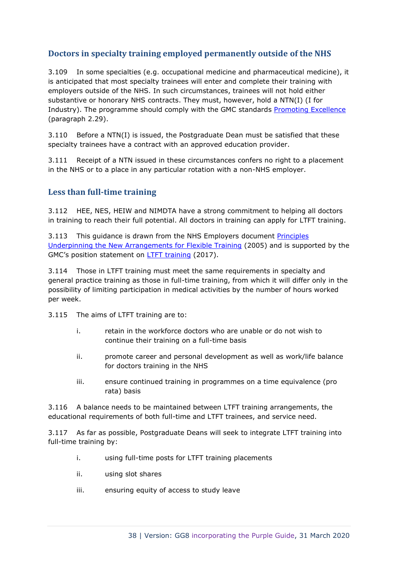# **Doctors in specialty training employed permanently outside of the NHS**

3.109 In some specialties (e.g. occupational medicine and pharmaceutical medicine), it is anticipated that most specialty trainees will enter and complete their training with employers outside of the NHS. In such circumstances, trainees will not hold either substantive or honorary NHS contracts. They must, however, hold a NTN(I) (I for Industry). The programme should comply with the GMC standards [Promoting Excellence](http://www.gmc-uk.org/Promoting_excellence_standards_for_medical_education_and_training_0715.pdf_61939165.pdf) (paragraph 2.29).

3.110 Before a NTN(I) is issued, the Postgraduate Dean must be satisfied that these specialty trainees have a contract with an approved education provider.

3.111 Receipt of a NTN issued in these circumstances confers no right to a placement in the NHS or to a place in any particular rotation with a non-NHS employer.

# **Less than full-time training**

3.112 HEE, NES, HEIW and NIMDTA have a strong commitment to helping all doctors in training to reach their full potential. All doctors in training can apply for LTFT training.

3.113 This guidance is drawn from the NHS Employers document [Principles](http://www.nhsemployers.org/~/media/Employers/Documents/Pay%20and%20reward/doctorstraining_flexible_principles_cd_080405.pdf)  [Underpinning the New Arrangements for Flexible Training](http://www.nhsemployers.org/~/media/Employers/Documents/Pay%20and%20reward/doctorstraining_flexible_principles_cd_080405.pdf) (2005) and is supported by the GMC's position statement on LTFT [training](https://www.gmc-uk.org/education/standards-guidance-and-curricula/position-statements/less-than-full-time-training) (2017).

3.114 Those in LTFT training must meet the same requirements in specialty and general practice training as those in full-time training, from which it will differ only in the possibility of limiting participation in medical activities by the number of hours worked per week.

3.115 The aims of LTFT training are to:

- i. retain in the workforce doctors who are unable or do not wish to continue their training on a full-time basis
- ii. promote career and personal development as well as work/life balance for doctors training in the NHS
- iii. ensure continued training in programmes on a time equivalence (pro rata) basis

3.116 A balance needs to be maintained between LTFT training arrangements, the educational requirements of both full-time and LTFT trainees, and service need.

3.117 As far as possible, Postgraduate Deans will seek to integrate LTFT training into full-time training by:

- i. using full-time posts for LTFT training placements
- ii. using slot shares
- iii. ensuring equity of access to study leave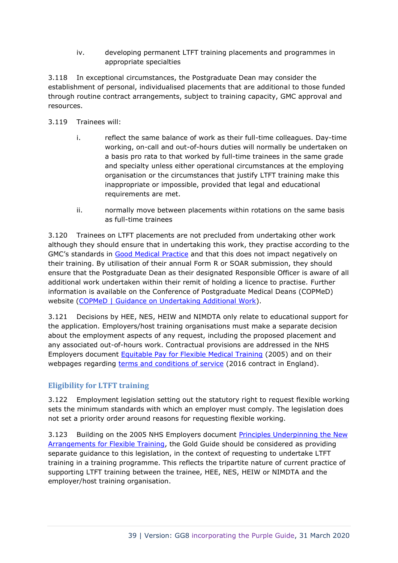iv. developing permanent LTFT training placements and programmes in appropriate specialties

3.118 In exceptional circumstances, the Postgraduate Dean may consider the establishment of personal, individualised placements that are additional to those funded through routine contract arrangements, subject to training capacity, GMC approval and resources.

- 3.119 Trainees will:
	- i. reflect the same balance of work as their full-time colleagues. Day-time working, on-call and out-of-hours duties will normally be undertaken on a basis pro rata to that worked by full-time trainees in the same grade and specialty unless either operational circumstances at the employing organisation or the circumstances that justify LTFT training make this inappropriate or impossible, provided that legal and educational requirements are met.
	- ii. normally move between placements within rotations on the same basis as full-time trainees

3.120 Trainees on LTFT placements are not precluded from undertaking other work although they should ensure that in undertaking this work, they practise according to the GMC's standards in [Good Medical Practice](http://www.gmc-uk.org/guidance/good_medical_practice.asp) and that this does not impact negatively on their training. By utilisation of their annual Form R or SOAR submission, they should ensure that the Postgraduate Dean as their designated Responsible Officer is aware of all additional work undertaken within their remit of holding a licence to practise. Further information is available on the Conference of Postgraduate Medical Deans (COPMeD) website [\(COPMeD | Guidance on Undertaking Additional Work\)](https://www.copmed.org.uk/publications/guidance-on-undertaking-additional-work).

3.121 Decisions by HEE, NES, HEIW and NIMDTA only relate to educational support for the application. Employers/host training organisations must make a separate decision about the employment aspects of any request, including the proposed placement and any associated out-of-hours work. Contractual provisions are addressed in the NHS Employers document [Equitable Pay for Flexible Medical Training](http://www.nhsemployers.org/~/media/Employers/Documents/Pay%20and%20reward/doctorstraining_equitable_pay_cd_080405.pdf) (2005) and on their webpages regarding [terms and conditions of service](http://www.nhsemployers.org/juniordoctors) (2016 contract in England).

### **Eligibility for LTFT training**

3.122 Employment legislation setting out the statutory right to request flexible working sets the minimum standards with which an employer must comply. The legislation does not set a priority order around reasons for requesting flexible working.

3.123 Building on the 2005 NHS Employers document Principles Underpinning the New [Arrangements for Flexible Training,](http://www.nhsemployers.org/~/media/Employers/Documents/Pay%20and%20reward/doctorstraining_flexible_principles_cd_080405.pdf) the Gold Guide should be considered as providing separate guidance to this legislation, in the context of requesting to undertake LTFT training in a training programme. This reflects the tripartite nature of current practice of supporting LTFT training between the trainee, HEE, NES, HEIW or NIMDTA and the employer/host training organisation.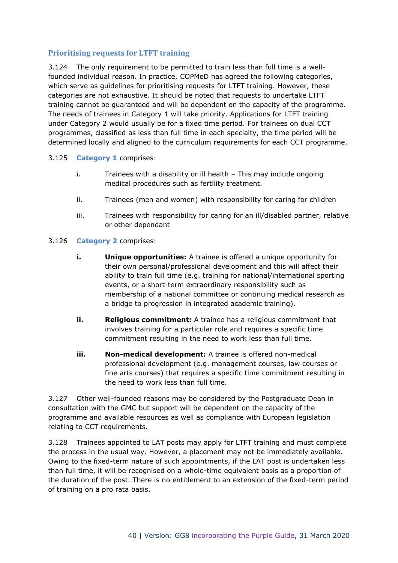# **Prioritising requests for LTFT training**

3.124 The only requirement to be permitted to train less than full time is a wellfounded individual reason. In practice, COPMeD has agreed the following categories, which serve as quidelines for prioritising requests for LTFT training. However, these categories are not exhaustive. It should be noted that requests to undertake LTFT training cannot be guaranteed and will be dependent on the capacity of the programme. The needs of trainees in Category 1 will take priority. Applications for LTFT training under Category 2 would usually be for a fixed time period. For trainees on dual CCT programmes, classified as less than full time in each specialty, the time period will be determined locally and aligned to the curriculum requirements for each CCT programme.

### 3.125 **Category 1** comprises:

- i. Trainees with a disability or ill health This may include ongoing medical procedures such as fertility treatment.
- ii. Trainees (men and women) with responsibility for caring for children
- iii. Trainees with responsibility for caring for an ill/disabled partner, relative or other dependant

#### 3.126 **Category 2** comprises:

- **i. Unique opportunities:** A trainee is offered a unique opportunity for their own personal/professional development and this will affect their ability to train full time (e.g. training for national/international sporting events, or a short-term extraordinary responsibility such as membership of a national committee or continuing medical research as a bridge to progression in integrated academic training).
- **ii. Religious commitment:** A trainee has a religious commitment that involves training for a particular role and requires a specific time commitment resulting in the need to work less than full time.
- **iii. Non-medical development:** A trainee is offered non-medical professional development (e.g. management courses, law courses or fine arts courses) that requires a specific time commitment resulting in the need to work less than full time.

3.127 Other well-founded reasons may be considered by the Postgraduate Dean in consultation with the GMC but support will be dependent on the capacity of the programme and available resources as well as compliance with European legislation relating to CCT requirements.

3.128 Trainees appointed to LAT posts may apply for LTFT training and must complete the process in the usual way. However, a placement may not be immediately available. Owing to the fixed-term nature of such appointments, if the LAT post is undertaken less than full time, it will be recognised on a whole-time equivalent basis as a proportion of the duration of the post. There is no entitlement to an extension of the fixed-term period of training on a pro rata basis.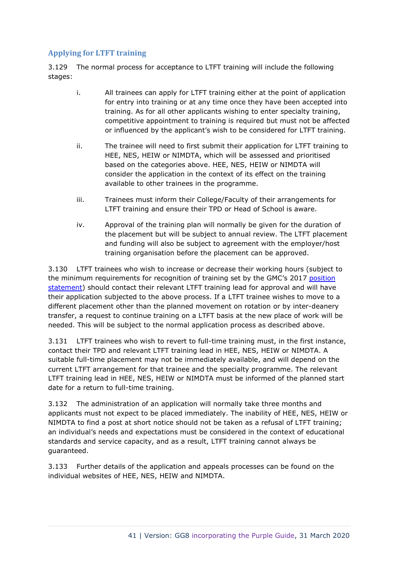# **Applying for LTFT training**

3.129 The normal process for acceptance to LTFT training will include the following stages:

- i. All trainees can apply for LTFT training either at the point of application for entry into training or at any time once they have been accepted into training. As for all other applicants wishing to enter specialty training, competitive appointment to training is required but must not be affected or influenced by the applicant's wish to be considered for LTFT training.
- ii. The trainee will need to first submit their application for LTFT training to HEE, NES, HEIW or NIMDTA, which will be assessed and prioritised based on the categories above. HEE, NES, HEIW or NIMDTA will consider the application in the context of its effect on the training available to other trainees in the programme.
- iii. Trainees must inform their College/Faculty of their arrangements for LTFT training and ensure their TPD or Head of School is aware.
- iv. Approval of the training plan will normally be given for the duration of the placement but will be subject to annual review. The LTFT placement and funding will also be subject to agreement with the employer/host training organisation before the placement can be approved.

3.130 LTFT trainees who wish to increase or decrease their working hours (subject to the minimum requirements for recognition of training set by the GMC's 2017 position [statement\)](https://www.gmc-uk.org/education/standards-guidance-and-curricula/position-statements/less-than-full-time-training) should contact their relevant LTFT training lead for approval and will have their application subjected to the above process. If a LTFT trainee wishes to move to a different placement other than the planned movement on rotation or by inter-deanery transfer, a request to continue training on a LTFT basis at the new place of work will be needed. This will be subject to the normal application process as described above.

3.131 LTFT trainees who wish to revert to full-time training must, in the first instance, contact their TPD and relevant LTFT training lead in HEE, NES, HEIW or NIMDTA. A suitable full-time placement may not be immediately available, and will depend on the current LTFT arrangement for that trainee and the specialty programme. The relevant LTFT training lead in HEE, NES, HEIW or NIMDTA must be informed of the planned start date for a return to full-time training.

3.132 The administration of an application will normally take three months and applicants must not expect to be placed immediately. The inability of HEE, NES, HEIW or NIMDTA to find a post at short notice should not be taken as a refusal of LTFT training; an individual's needs and expectations must be considered in the context of educational standards and service capacity, and as a result, LTFT training cannot always be guaranteed.

3.133 Further details of the application and appeals processes can be found on the individual websites of HEE, NES, HEIW and NIMDTA.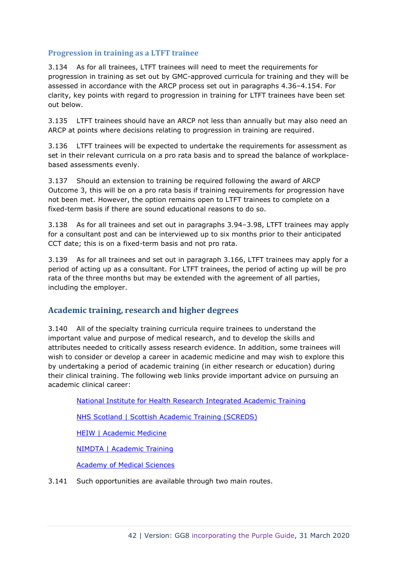### **Progression in training as a LTFT trainee**

3.134 As for all trainees, LTFT trainees will need to meet the requirements for progression in training as set out by GMC-approved curricula for training and they will be assessed in accordance with the ARCP process set out in paragraphs 4.36–4.154. For clarity, key points with regard to progression in training for LTFT trainees have been set out below.

3.135 LTFT trainees should have an ARCP not less than annually but may also need an ARCP at points where decisions relating to progression in training are required.

3.136 LTFT trainees will be expected to undertake the requirements for assessment as set in their relevant curricula on a pro rata basis and to spread the balance of workplacebased assessments evenly.

3.137 Should an extension to training be required following the award of ARCP Outcome 3, this will be on a pro rata basis if training requirements for progression have not been met. However, the option remains open to LTFT trainees to complete on a fixed-term basis if there are sound educational reasons to do so.

3.138 As for all trainees and set out in paragraphs 3.94–3.98, LTFT trainees may apply for a consultant post and can be interviewed up to six months prior to their anticipated CCT date; this is on a fixed-term basis and not pro rata.

3.139 As for all trainees and set out in paragraph 3.166, LTFT trainees may apply for a period of acting up as a consultant. For LTFT trainees, the period of acting up will be pro rata of the three months but may be extended with the agreement of all parties, including the employer.

# **Academic training, research and higher degrees**

3.140 All of the specialty training curricula require trainees to understand the important value and purpose of medical research, and to develop the skills and attributes needed to critically assess research evidence. In addition, some trainees will wish to consider or develop a career in academic medicine and may wish to explore this by undertaking a period of academic training (in either research or education) during their clinical training. The following web links provide important advice on pursuing an academic clinical career:

[National Institute for Health Research Integrated Academic Training](https://www.nihr.ac.uk/explore-nihr/academy-programmes/integrated-academic-training.htm)

**[NHS Scotland | Scottish Academic Training \(SCREDS\)](http://www.scotmt.scot.nhs.uk/specialty/scottish-academic-training-(screds).aspx)** 

[HEIW | Academic Medicine](https://www.walesdeanery.org/specialties/academic-medicine)

[NIMDTA | Academic Training](http://www.nimdta.gov.uk/specialty-training/information-for-specialty-trainees/spec-academic/)

[Academy of Medical Sciences](http://www.acmedsci.ac.uk/)

3.141 Such opportunities are available through two main routes.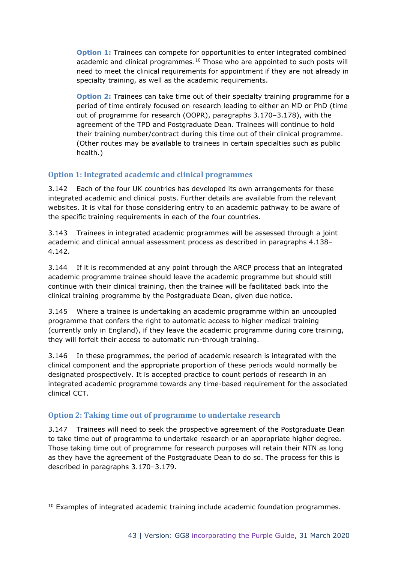**Option 1:** Trainees can compete for opportunities to enter integrated combined academic and clinical programmes.<sup>10</sup> Those who are appointed to such posts will need to meet the clinical requirements for appointment if they are not already in specialty training, as well as the academic requirements.

**Option 2:** Trainees can take time out of their specialty training programme for a period of time entirely focused on research leading to either an MD or PhD (time out of programme for research (OOPR), paragraphs 3.170–3.178), with the agreement of the TPD and Postgraduate Dean. Trainees will continue to hold their training number/contract during this time out of their clinical programme. (Other routes may be available to trainees in certain specialties such as public health.)

# **Option 1: Integrated academic and clinical programmes**

3.142 Each of the four UK countries has developed its own arrangements for these integrated academic and clinical posts. Further details are available from the relevant websites. It is vital for those considering entry to an academic pathway to be aware of the specific training requirements in each of the four countries.

3.143 Trainees in integrated academic programmes will be assessed through a joint academic and clinical annual assessment process as described in paragraphs 4.138– 4.142.

3.144 If it is recommended at any point through the ARCP process that an integrated academic programme trainee should leave the academic programme but should still continue with their clinical training, then the trainee will be facilitated back into the clinical training programme by the Postgraduate Dean, given due notice.

3.145 Where a trainee is undertaking an academic programme within an uncoupled programme that confers the right to automatic access to higher medical training (currently only in England), if they leave the academic programme during core training, they will forfeit their access to automatic run-through training.

3.146 In these programmes, the period of academic research is integrated with the clinical component and the appropriate proportion of these periods would normally be designated prospectively. It is accepted practice to count periods of research in an integrated academic programme towards any time-based requirement for the associated clinical CCT.

# **Option 2: Taking time out of programme to undertake research**

3.147 Trainees will need to seek the prospective agreement of the Postgraduate Dean to take time out of programme to undertake research or an appropriate higher degree. Those taking time out of programme for research purposes will retain their NTN as long as they have the agreement of the Postgraduate Dean to do so. The process for this is described in paragraphs 3.170–3.179.

 $10$  Examples of integrated academic training include academic foundation programmes.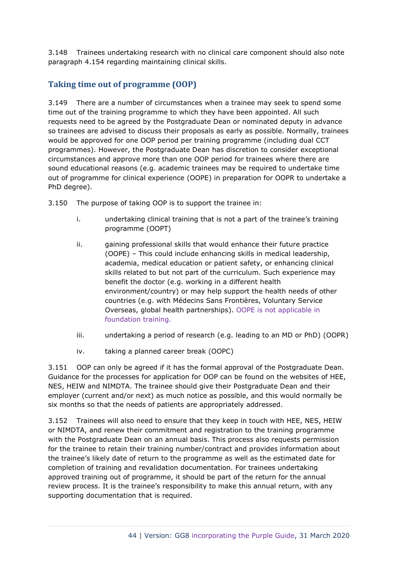3.148 Trainees undertaking research with no clinical care component should also note paragraph 4.154 regarding maintaining clinical skills.

# **Taking time out of programme (OOP)**

3.149 There are a number of circumstances when a trainee may seek to spend some time out of the training programme to which they have been appointed. All such requests need to be agreed by the Postgraduate Dean or nominated deputy in advance so trainees are advised to discuss their proposals as early as possible. Normally, trainees would be approved for one OOP period per training programme (including dual CCT programmes). However, the Postgraduate Dean has discretion to consider exceptional circumstances and approve more than one OOP period for trainees where there are sound educational reasons (e.g. academic trainees may be required to undertake time out of programme for clinical experience (OOPE) in preparation for OOPR to undertake a PhD degree).

3.150 The purpose of taking OOP is to support the trainee in:

- i. undertaking clinical training that is not a part of the trainee's training programme (OOPT)
- ii. gaining professional skills that would enhance their future practice (OOPE) – This could include enhancing skills in medical leadership, academia, medical education or patient safety, or enhancing clinical skills related to but not part of the curriculum. Such experience may benefit the doctor (e.g. working in a different health environment/country) or may help support the health needs of other countries (e.g. with Médecins Sans Frontières, Voluntary Service Overseas, global health partnerships). OOPE is not applicable in foundation training.
- iii. undertaking a period of research (e.g. leading to an MD or PhD) (OOPR)
- iv. taking a planned career break (OOPC)

3.151 OOP can only be agreed if it has the formal approval of the Postgraduate Dean. Guidance for the processes for application for OOP can be found on the websites of HEE, NES, HEIW and NIMDTA. The trainee should give their Postgraduate Dean and their employer (current and/or next) as much notice as possible, and this would normally be six months so that the needs of patients are appropriately addressed.

3.152 Trainees will also need to ensure that they keep in touch with HEE, NES, HEIW or NIMDTA, and renew their commitment and registration to the training programme with the Postgraduate Dean on an annual basis. This process also requests permission for the trainee to retain their training number/contract and provides information about the trainee's likely date of return to the programme as well as the estimated date for completion of training and revalidation documentation. For trainees undertaking approved training out of programme, it should be part of the return for the annual review process. It is the trainee's responsibility to make this annual return, with any supporting documentation that is required.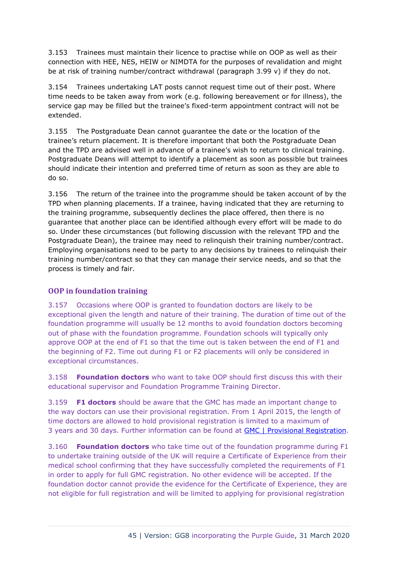3.153 Trainees must maintain their licence to practise while on OOP as well as their connection with HEE, NES, HEIW or NIMDTA for the purposes of revalidation and might be at risk of training number/contract withdrawal (paragraph 3.99 v) if they do not.

3.154 Trainees undertaking LAT posts cannot request time out of their post. Where time needs to be taken away from work (e.g. following bereavement or for illness), the service gap may be filled but the trainee's fixed-term appointment contract will not be extended.

3.155 The Postgraduate Dean cannot guarantee the date or the location of the trainee's return placement. It is therefore important that both the Postgraduate Dean and the TPD are advised well in advance of a trainee's wish to return to clinical training. Postgraduate Deans will attempt to identify a placement as soon as possible but trainees should indicate their intention and preferred time of return as soon as they are able to do so.

3.156 The return of the trainee into the programme should be taken account of by the TPD when planning placements. If a trainee, having indicated that they are returning to the training programme, subsequently declines the place offered, then there is no guarantee that another place can be identified although every effort will be made to do so. Under these circumstances (but following discussion with the relevant TPD and the Postgraduate Dean), the trainee may need to relinquish their training number/contract. Employing organisations need to be party to any decisions by trainees to relinquish their training number/contract so that they can manage their service needs, and so that the process is timely and fair.

### **OOP in foundation training**

3.157 Occasions where OOP is granted to foundation doctors are likely to be exceptional given the length and nature of their training. The duration of time out of the foundation programme will usually be 12 months to avoid foundation doctors becoming out of phase with the foundation programme. Foundation schools will typically only approve OOP at the end of F1 so that the time out is taken between the end of F1 and the beginning of F2. Time out during F1 or F2 placements will only be considered in exceptional circumstances.

3.158 **Foundation doctors** who want to take OOP should first discuss this with their educational supervisor and Foundation Programme Training Director.

3.159 **F1 doctors** should be aware that the GMC has made an important change to the way doctors can use their provisional registration. From 1 April 2015, the length of time doctors are allowed to hold provisional registration is limited to a maximum of 3 years and 30 days. Further information can be found at [GMC | Provisional Registration.](https://www.gmc-uk.org/registration-and-licensing/join-the-register/provisional-registration)

3.160 **Foundation doctors** who take time out of the foundation programme during F1 to undertake training outside of the UK will require a Certificate of Experience from their medical school confirming that they have successfully completed the requirements of F1 in order to apply for full GMC registration. No other evidence will be accepted. If the foundation doctor cannot provide the evidence for the Certificate of Experience, they are not eligible for full registration and will be limited to applying for provisional registration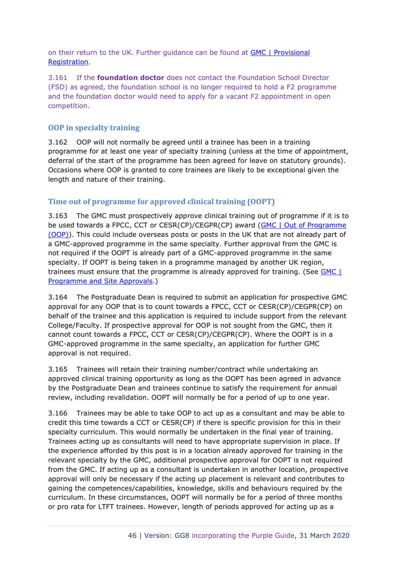on their return to the UK. Further guidance can be found at [GMC | Provisional](https://www.gmc-uk.org/registration-and-licensing/join-the-register/provisional-registration)  [Registration.](https://www.gmc-uk.org/registration-and-licensing/join-the-register/provisional-registration)

3.161 If the **foundation doctor** does not contact the Foundation School Director (FSD) as agreed, the foundation school is no longer required to hold a F2 programme and the foundation doctor would need to apply for a vacant F2 appointment in open competition.

### **OOP in specialty training**

3.162 OOP will not normally be agreed until a trainee has been in a training programme for at least one year of specialty training (unless at the time of appointment, deferral of the start of the programme has been agreed for leave on statutory grounds). Occasions where OOP is granted to core trainees are likely to be exceptional given the length and nature of their training.

# **Time out of programme for approved clinical training (OOPT)**

3.163 The GMC must prospectively approve clinical training out of programme if it is to be used towards a FPCC, CCT or CESR(CP)/CEGPR(CP) award [\(GMC | Out of Programme](https://www.gmc-uk.org/education/standards-guidance-and-curricula/guidance/out-of-programme)  [\(OOP\)\)](https://www.gmc-uk.org/education/standards-guidance-and-curricula/guidance/out-of-programme). This could include overseas posts or posts in the UK that are not already part of a GMC-approved programme in the same specialty. Further approval from the GMC is not required if the OOPT is already part of a GMC-approved programme in the same specialty. If OOPT is being taken in a programme managed by another UK region, trainees must ensure that the programme is already approved for training. (See [GMC |](http://www.gmc-uk.org/education/28373.asp)  [Programme and Site Approvals.](http://www.gmc-uk.org/education/28373.asp))

3.164 The Postgraduate Dean is required to submit an application for prospective GMC approval for any OOP that is to count towards a FPCC, CCT or CESR(CP)/CEGPR(CP) on behalf of the trainee and this application is required to include support from the relevant College/Faculty. If prospective approval for OOP is not sought from the GMC, then it cannot count towards a FPCC, CCT or CESR(CP)/CEGPR(CP). Where the OOPT is in a GMC-approved programme in the same specialty, an application for further GMC approval is not required.

3.165 Trainees will retain their training number/contract while undertaking an approved clinical training opportunity as long as the OOPT has been agreed in advance by the Postgraduate Dean and trainees continue to satisfy the requirement for annual review, including revalidation. OOPT will normally be for a period of up to one year.

3.166 Trainees may be able to take OOP to act up as a consultant and may be able to credit this time towards a CCT or CESR(CP) if there is specific provision for this in their specialty curriculum. This would normally be undertaken in the final year of training. Trainees acting up as consultants will need to have appropriate supervision in place. If the experience afforded by this post is in a location already approved for training in the relevant specialty by the GMC, additional prospective approval for OOPT is not required from the GMC. If acting up as a consultant is undertaken in another location, prospective approval will only be necessary if the acting up placement is relevant and contributes to gaining the competences/capabilities, knowledge, skills and behaviours required by the curriculum. In these circumstances, OOPT will normally be for a period of three months or pro rata for LTFT trainees. However, length of periods approved for acting up as a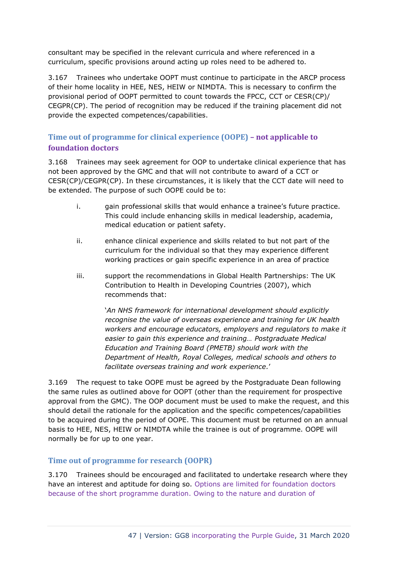consultant may be specified in the relevant curricula and where referenced in a curriculum, specific provisions around acting up roles need to be adhered to.

3.167 Trainees who undertake OOPT must continue to participate in the ARCP process of their home locality in HEE, NES, HEIW or NIMDTA. This is necessary to confirm the provisional period of OOPT permitted to count towards the FPCC, CCT or CESR(CP)/ CEGPR(CP). The period of recognition may be reduced if the training placement did not provide the expected competences/capabilities.

# **Time out of programme for clinical experience (OOPE) – not applicable to foundation doctors**

3.168 Trainees may seek agreement for OOP to undertake clinical experience that has not been approved by the GMC and that will not contribute to award of a CCT or CESR(CP)/CEGPR(CP). In these circumstances, it is likely that the CCT date will need to be extended. The purpose of such OOPE could be to:

- i. gain professional skills that would enhance a trainee's future practice. This could include enhancing skills in medical leadership, academia, medical education or patient safety.
- ii. enhance clinical experience and skills related to but not part of the curriculum for the individual so that they may experience different working practices or gain specific experience in an area of practice
- iii. support the recommendations in Global Health Partnerships: The UK Contribution to Health in Developing Countries (2007), which recommends that:

'*An NHS framework for international development should explicitly recognise the value of overseas experience and training for UK health workers and encourage educators, employers and regulators to make it easier to gain this experience and training… Postgraduate Medical Education and Training Board (PMETB) should work with the Department of Health, Royal Colleges, medical schools and others to facilitate overseas training and work experience.*'

3.169 The request to take OOPE must be agreed by the Postgraduate Dean following the same rules as outlined above for OOPT (other than the requirement for prospective approval from the GMC). The OOP document must be used to make the request, and this should detail the rationale for the application and the specific competences/capabilities to be acquired during the period of OOPE. This document must be returned on an annual basis to HEE, NES, HEIW or NIMDTA while the trainee is out of programme. OOPE will normally be for up to one year.

# **Time out of programme for research (OOPR)**

3.170 Trainees should be encouraged and facilitated to undertake research where they have an interest and aptitude for doing so. Options are limited for foundation doctors because of the short programme duration. Owing to the nature and duration of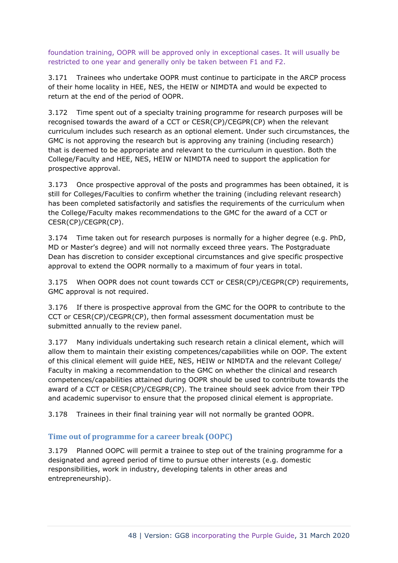foundation training, OOPR will be approved only in exceptional cases. It will usually be restricted to one year and generally only be taken between F1 and F2.

3.171 Trainees who undertake OOPR must continue to participate in the ARCP process of their home locality in HEE, NES, the HEIW or NIMDTA and would be expected to return at the end of the period of OOPR.

3.172 Time spent out of a specialty training programme for research purposes will be recognised towards the award of a CCT or CESR(CP)/CEGPR(CP) when the relevant curriculum includes such research as an optional element. Under such circumstances, the GMC is not approving the research but is approving any training (including research) that is deemed to be appropriate and relevant to the curriculum in question. Both the College/Faculty and HEE, NES, HEIW or NIMDTA need to support the application for prospective approval.

3.173 Once prospective approval of the posts and programmes has been obtained, it is still for Colleges/Faculties to confirm whether the training (including relevant research) has been completed satisfactorily and satisfies the requirements of the curriculum when the College/Faculty makes recommendations to the GMC for the award of a CCT or CESR(CP)/CEGPR(CP).

3.174 Time taken out for research purposes is normally for a higher degree (e.g. PhD, MD or Master's degree) and will not normally exceed three years. The Postgraduate Dean has discretion to consider exceptional circumstances and give specific prospective approval to extend the OOPR normally to a maximum of four years in total.

3.175 When OOPR does not count towards CCT or CESR(CP)/CEGPR(CP) requirements, GMC approval is not required.

3.176 If there is prospective approval from the GMC for the OOPR to contribute to the CCT or CESR(CP)/CEGPR(CP), then formal assessment documentation must be submitted annually to the review panel.

3.177 Many individuals undertaking such research retain a clinical element, which will allow them to maintain their existing competences/capabilities while on OOP. The extent of this clinical element will guide HEE, NES, HEIW or NIMDTA and the relevant College/ Faculty in making a recommendation to the GMC on whether the clinical and research competences/capabilities attained during OOPR should be used to contribute towards the award of a CCT or CESR(CP)/CEGPR(CP). The trainee should seek advice from their TPD and academic supervisor to ensure that the proposed clinical element is appropriate.

3.178 Trainees in their final training year will not normally be granted OOPR.

### **Time out of programme for a career break (OOPC)**

3.179 Planned OOPC will permit a trainee to step out of the training programme for a designated and agreed period of time to pursue other interests (e.g. domestic responsibilities, work in industry, developing talents in other areas and entrepreneurship).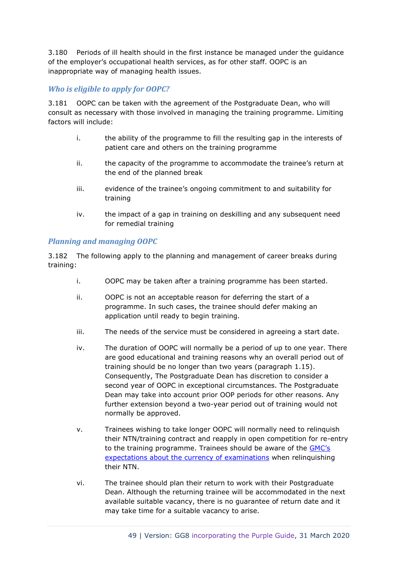3.180 Periods of ill health should in the first instance be managed under the guidance of the employer's occupational health services, as for other staff. OOPC is an inappropriate way of managing health issues.

### *Who is eligible to apply for OOPC?*

3.181 OOPC can be taken with the agreement of the Postgraduate Dean, who will consult as necessary with those involved in managing the training programme. Limiting factors will include:

- i. the ability of the programme to fill the resulting gap in the interests of patient care and others on the training programme
- ii. the capacity of the programme to accommodate the trainee's return at the end of the planned break
- iii. evidence of the trainee's ongoing commitment to and suitability for training
- iv. the impact of a gap in training on deskilling and any subsequent need for remedial training

### *Planning and managing OOPC*

3.182 The following apply to the planning and management of career breaks during training:

- i. OOPC may be taken after a training programme has been started.
- ii. OOPC is not an acceptable reason for deferring the start of a programme. In such cases, the trainee should defer making an application until ready to begin training.
- iii. The needs of the service must be considered in agreeing a start date.
- iv. The duration of OOPC will normally be a period of up to one year. There are good educational and training reasons why an overall period out of training should be no longer than two years (paragraph 1.15). Consequently, The Postgraduate Dean has discretion to consider a second year of OOPC in exceptional circumstances. The Postgraduate Dean may take into account prior OOP periods for other reasons. Any further extension beyond a two-year period out of training would not normally be approved.
- v. Trainees wishing to take longer OOPC will normally need to relinquish their NTN/training contract and reapply in open competition for re-entry to the training programme. Trainees should be aware of the [GMC's](http://www.gmc-uk.org/education/postgraduate/9813.asp)  [expectations about the currency of examinations](http://www.gmc-uk.org/education/postgraduate/9813.asp) when relinquishing their NTN.
- vi. The trainee should plan their return to work with their Postgraduate Dean. Although the returning trainee will be accommodated in the next available suitable vacancy, there is no guarantee of return date and it may take time for a suitable vacancy to arise.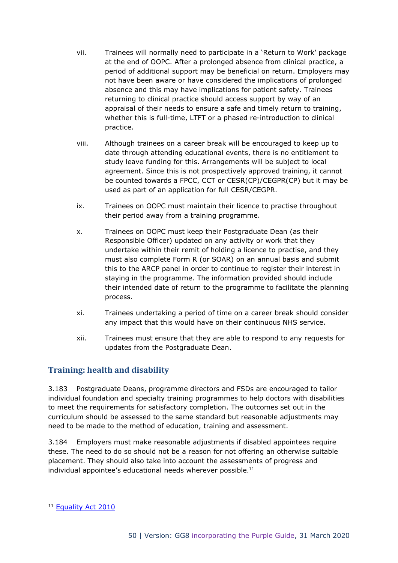- vii. Trainees will normally need to participate in a 'Return to Work' package at the end of OOPC. After a prolonged absence from clinical practice, a period of additional support may be beneficial on return. Employers may not have been aware or have considered the implications of prolonged absence and this may have implications for patient safety. Trainees returning to clinical practice should access support by way of an appraisal of their needs to ensure a safe and timely return to training, whether this is full-time, LTFT or a phased re-introduction to clinical practice.
- viii. Although trainees on a career break will be encouraged to keep up to date through attending educational events, there is no entitlement to study leave funding for this. Arrangements will be subject to local agreement. Since this is not prospectively approved training, it cannot be counted towards a FPCC, CCT or CESR(CP)/CEGPR(CP) but it may be used as part of an application for full CESR/CEGPR.
- ix. Trainees on OOPC must maintain their licence to practise throughout their period away from a training programme.
- x. Trainees on OOPC must keep their Postgraduate Dean (as their Responsible Officer) updated on any activity or work that they undertake within their remit of holding a licence to practise, and they must also complete Form R (or SOAR) on an annual basis and submit this to the ARCP panel in order to continue to register their interest in staying in the programme. The information provided should include their intended date of return to the programme to facilitate the planning process.
- xi. Trainees undertaking a period of time on a career break should consider any impact that this would have on their continuous NHS service.
- xii. Trainees must ensure that they are able to respond to any requests for updates from the Postgraduate Dean.

# **Training: health and disability**

3.183 Postgraduate Deans, programme directors and FSDs are encouraged to tailor individual foundation and specialty training programmes to help doctors with disabilities to meet the requirements for satisfactory completion. The outcomes set out in the curriculum should be assessed to the same standard but reasonable adjustments may need to be made to the method of education, training and assessment.

3.184 Employers must make reasonable adjustments if disabled appointees require these. The need to do so should not be a reason for not offering an otherwise suitable placement. They should also take into account the assessments of progress and individual appointee's educational needs wherever possible.<sup>11</sup>

<sup>&</sup>lt;sup>11</sup> [Equality Act 2010](http://www.legislation.gov.uk/ukpga/2010/15/part/2/chapter/2/crossheading/adjustments-for-disabled-persons)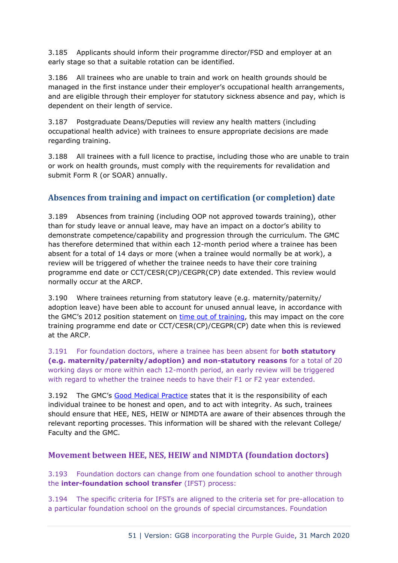3.185 Applicants should inform their programme director/FSD and employer at an early stage so that a suitable rotation can be identified.

3.186 All trainees who are unable to train and work on health grounds should be managed in the first instance under their employer's occupational health arrangements, and are eligible through their employer for statutory sickness absence and pay, which is dependent on their length of service.

3.187 Postgraduate Deans/Deputies will review any health matters (including occupational health advice) with trainees to ensure appropriate decisions are made regarding training.

3.188 All trainees with a full licence to practise, including those who are unable to train or work on health grounds, must comply with the requirements for revalidation and submit Form R (or SOAR) annually.

# **Absences from training and impact on certification (or completion) date**

3.189 Absences from training (including OOP not approved towards training), other than for study leave or annual leave, may have an impact on a doctor's ability to demonstrate competence/capability and progression through the curriculum. The GMC has therefore determined that within each 12-month period where a trainee has been absent for a total of 14 days or more (when a trainee would normally be at work), a review will be triggered of whether the trainee needs to have their core training programme end date or CCT/CESR(CP)/CEGPR(CP) date extended. This review would normally occur at the ARCP.

3.190 Where trainees returning from statutory leave (e.g. maternity/paternity/ adoption leave) have been able to account for unused annual leave, in accordance with the GMC's 2012 position statement on [time out of training,](https://www.gmc-uk.org/-/media/documents/20121130-time-out-of-training-gmc-position-statement-nov-2012_pdf_pdf-60998809.pdf) this may impact on the core training programme end date or CCT/CESR(CP)/CEGPR(CP) date when this is reviewed at the ARCP.

3.191 For foundation doctors, where a trainee has been absent for **both statutory (e.g. maternity/paternity/adoption) and non-statutory reasons** for a total of 20 working days or more within each 12-month period, an early review will be triggered with regard to whether the trainee needs to have their F1 or F2 year extended.

3.192 The GMC's [Good Medical Practice](http://www.gmc-uk.org/guidance/good_medical_practice.asp) states that it is the responsibility of each individual trainee to be honest and open, and to act with integrity. As such, trainees should ensure that HEE, NES, HEIW or NIMDTA are aware of their absences through the relevant reporting processes. This information will be shared with the relevant College/ Faculty and the GMC.

# **Movement between HEE, NES, HEIW and NIMDTA (foundation doctors)**

3.193 Foundation doctors can change from one foundation school to another through the **inter-foundation school transfer** (IFST) process:

3.194 The specific criteria for IFSTs are aligned to the criteria set for pre-allocation to a particular foundation school on the grounds of special circumstances. Foundation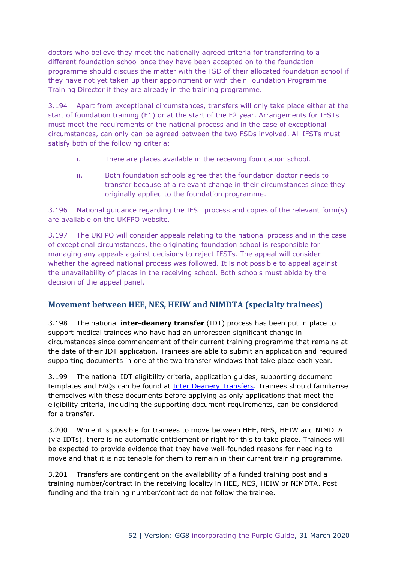doctors who believe they meet the nationally agreed criteria for transferring to a different foundation school once they have been accepted on to the foundation programme should discuss the matter with the FSD of their allocated foundation school if they have not yet taken up their appointment or with their Foundation Programme Training Director if they are already in the training programme.

3.194 Apart from exceptional circumstances, transfers will only take place either at the start of foundation training (F1) or at the start of the F2 year. Arrangements for IFSTs must meet the requirements of the national process and in the case of exceptional circumstances, can only can be agreed between the two FSDs involved. All IFSTs must satisfy both of the following criteria:

- i. There are places available in the receiving foundation school.
- ii. Both foundation schools agree that the foundation doctor needs to transfer because of a relevant change in their circumstances since they originally applied to the foundation programme.

3.196 National guidance regarding the IFST process and copies of the relevant form(s) are available on the UKFPO website.

3.197 The UKFPO will consider appeals relating to the national process and in the case of exceptional circumstances, the originating foundation school is responsible for managing any appeals against decisions to reject IFSTs. The appeal will consider whether the agreed national process was followed. It is not possible to appeal against the unavailability of places in the receiving school. Both schools must abide by the decision of the appeal panel.

# **Movement between HEE, NES, HEIW and NIMDTA (specialty trainees)**

3.198 The national **inter-deanery transfer** (IDT) process has been put in place to support medical trainees who have had an unforeseen significant change in circumstances since commencement of their current training programme that remains at the date of their IDT application. Trainees are able to submit an application and required supporting documents in one of the two transfer windows that take place each year.

3.199 The national IDT eligibility criteria, application guides, supporting document templates and FAQs can be found at [Inter Deanery Transfers.](http://specialtytraining.hee.nhs.uk/inter-deanery-transfers/) Trainees should familiarise themselves with these documents before applying as only applications that meet the eligibility criteria, including the supporting document requirements, can be considered for a transfer.

3.200 While it is possible for trainees to move between HEE, NES, HEIW and NIMDTA (via IDTs), there is no automatic entitlement or right for this to take place. Trainees will be expected to provide evidence that they have well-founded reasons for needing to move and that it is not tenable for them to remain in their current training programme.

3.201 Transfers are contingent on the availability of a funded training post and a training number/contract in the receiving locality in HEE, NES, HEIW or NIMDTA. Post funding and the training number/contract do not follow the trainee.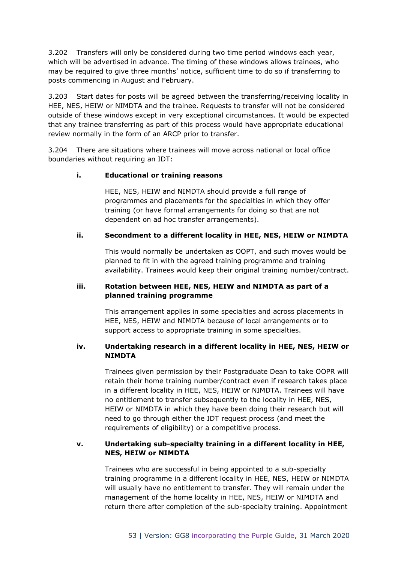3.202 Transfers will only be considered during two time period windows each year, which will be advertised in advance. The timing of these windows allows trainees, who may be required to give three months' notice, sufficient time to do so if transferring to posts commencing in August and February.

3.203 Start dates for posts will be agreed between the transferring/receiving locality in HEE, NES, HEIW or NIMDTA and the trainee. Requests to transfer will not be considered outside of these windows except in very exceptional circumstances. It would be expected that any trainee transferring as part of this process would have appropriate educational review normally in the form of an ARCP prior to transfer.

3.204 There are situations where trainees will move across national or local office boundaries without requiring an IDT:

### **i. Educational or training reasons**

HEE, NES, HEIW and NIMDTA should provide a full range of programmes and placements for the specialties in which they offer training (or have formal arrangements for doing so that are not dependent on ad hoc transfer arrangements).

### **ii. Secondment to a different locality in HEE, NES, HEIW or NIMDTA**

This would normally be undertaken as OOPT, and such moves would be planned to fit in with the agreed training programme and training availability. Trainees would keep their original training number/contract.

### **iii. Rotation between HEE, NES, HEIW and NIMDTA as part of a planned training programme**

This arrangement applies in some specialties and across placements in HEE, NES, HEIW and NIMDTA because of local arrangements or to support access to appropriate training in some specialties.

### **iv. Undertaking research in a different locality in HEE, NES, HEIW or NIMDTA**

Trainees given permission by their Postgraduate Dean to take OOPR will retain their home training number/contract even if research takes place in a different locality in HEE, NES, HEIW or NIMDTA. Trainees will have no entitlement to transfer subsequently to the locality in HEE, NES, HEIW or NIMDTA in which they have been doing their research but will need to go through either the IDT request process (and meet the requirements of eligibility) or a competitive process.

### **v. Undertaking sub-specialty training in a different locality in HEE, NES, HEIW or NIMDTA**

Trainees who are successful in being appointed to a sub-specialty training programme in a different locality in HEE, NES, HEIW or NIMDTA will usually have no entitlement to transfer. They will remain under the management of the home locality in HEE, NES, HEIW or NIMDTA and return there after completion of the sub-specialty training. Appointment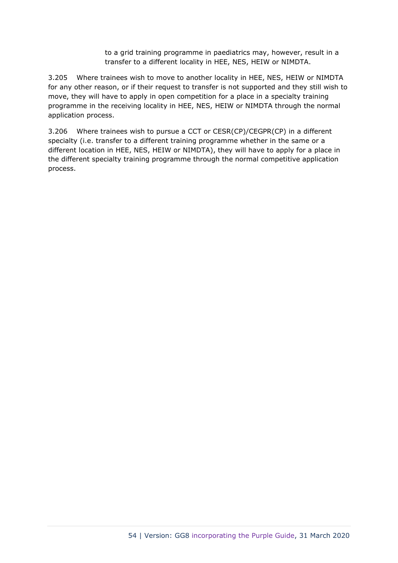to a grid training programme in paediatrics may, however, result in a transfer to a different locality in HEE, NES, HEIW or NIMDTA.

3.205 Where trainees wish to move to another locality in HEE, NES, HEIW or NIMDTA for any other reason, or if their request to transfer is not supported and they still wish to move, they will have to apply in open competition for a place in a specialty training programme in the receiving locality in HEE, NES, HEIW or NIMDTA through the normal application process.

3.206 Where trainees wish to pursue a CCT or CESR(CP)/CEGPR(CP) in a different specialty (i.e. transfer to a different training programme whether in the same or a different location in HEE, NES, HEIW or NIMDTA), they will have to apply for a place in the different specialty training programme through the normal competitive application process.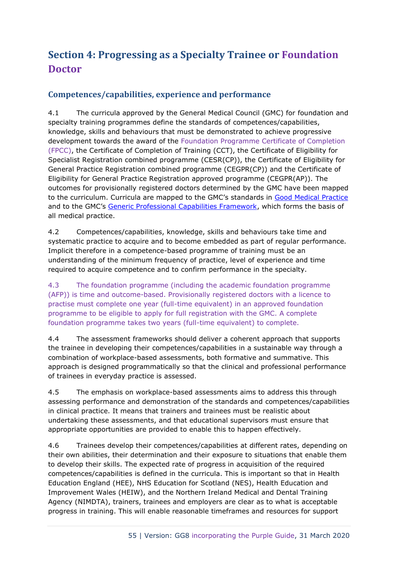# **Section 4: Progressing as a Specialty Trainee or Foundation Doctor**

# **Competences/capabilities, experience and performance**

4.1 The curricula approved by the General Medical Council (GMC) for foundation and specialty training programmes define the standards of competences/capabilities, knowledge, skills and behaviours that must be demonstrated to achieve progressive development towards the award of the Foundation Programme Certificate of Completion (FPCC), the Certificate of Completion of Training (CCT), the Certificate of Eligibility for Specialist Registration combined programme (CESR(CP)), the Certificate of Eligibility for General Practice Registration combined programme (CEGPR(CP)) and the Certificate of Eligibility for General Practice Registration approved programme (CEGPR(AP)). The outcomes for provisionally registered doctors determined by the GMC have been mapped to the curriculum. Curricula are mapped to the GMC's standards in [Good Medical Practice](http://www.gmc-uk.org/guidance/good_medical_practice.asp) and to the GMC's [Generic Professional Capabilities Framework,](http://www.gmc-uk.org/education/postgraduate/GPC.asp) which forms the basis of all medical practice.

4.2 Competences/capabilities, knowledge, skills and behaviours take time and systematic practice to acquire and to become embedded as part of regular performance. Implicit therefore in a competence-based programme of training must be an understanding of the minimum frequency of practice, level of experience and time required to acquire competence and to confirm performance in the specialty.

4.3 The foundation programme (including the academic foundation programme (AFP)) is time and outcome-based. Provisionally registered doctors with a licence to practise must complete one year (full-time equivalent) in an approved foundation programme to be eligible to apply for full registration with the GMC. A complete foundation programme takes two years (full-time equivalent) to complete.

4.4 The assessment frameworks should deliver a coherent approach that supports the trainee in developing their competences/capabilities in a sustainable way through a combination of workplace-based assessments, both formative and summative. This approach is designed programmatically so that the clinical and professional performance of trainees in everyday practice is assessed.

4.5 The emphasis on workplace-based assessments aims to address this through assessing performance and demonstration of the standards and competences/capabilities in clinical practice. It means that trainers and trainees must be realistic about undertaking these assessments, and that educational supervisors must ensure that appropriate opportunities are provided to enable this to happen effectively.

4.6 Trainees develop their competences/capabilities at different rates, depending on their own abilities, their determination and their exposure to situations that enable them to develop their skills. The expected rate of progress in acquisition of the required competences/capabilities is defined in the curricula. This is important so that in Health Education England (HEE), NHS Education for Scotland (NES), Health Education and Improvement Wales (HEIW), and the Northern Ireland Medical and Dental Training Agency (NIMDTA), trainers, trainees and employers are clear as to what is acceptable progress in training. This will enable reasonable timeframes and resources for support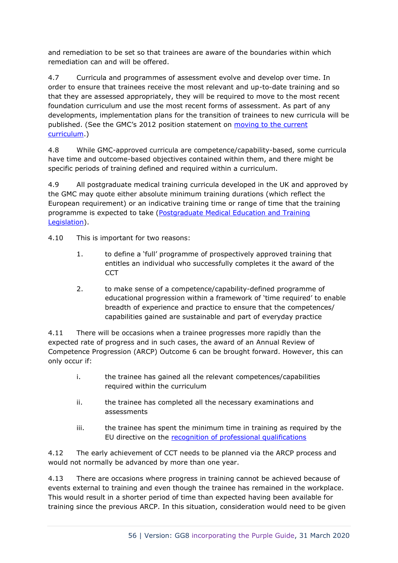and remediation to be set so that trainees are aware of the boundaries within which remediation can and will be offered.

4.7 Curricula and programmes of assessment evolve and develop over time. In order to ensure that trainees receive the most relevant and up-to-date training and so that they are assessed appropriately, they will be required to move to the most recent foundation curriculum and use the most recent forms of assessment. As part of any developments, implementation plans for the transition of trainees to new curricula will be published. (See the GMC's 2012 position statement on [moving to the current](https://www.gmc-uk.org/-/media/documents/moving-to-current-curriculum-position-statement-nov-2012_pdf-57653277.pdf)  [curriculum.](https://www.gmc-uk.org/-/media/documents/moving-to-current-curriculum-position-statement-nov-2012_pdf-57653277.pdf))

4.8 While GMC-approved curricula are competence/capability-based, some curricula have time and outcome-based objectives contained within them, and there might be specific periods of training defined and required within a curriculum.

4.9 All postgraduate medical training curricula developed in the UK and approved by the GMC may quote either absolute minimum training durations (which reflect the European requirement) or an indicative training time or range of time that the training programme is expected to take [\(Postgraduate Medical Education and Training](http://www.legislation.gov.uk/uksi/2012/344/made)  [Legislation\)](http://www.legislation.gov.uk/uksi/2012/344/made).

4.10 This is important for two reasons:

- 1. to define a 'full' programme of prospectively approved training that entitles an individual who successfully completes it the award of the **CCT**
- 2. to make sense of a competence/capability-defined programme of educational progression within a framework of 'time required' to enable breadth of experience and practice to ensure that the competences/ capabilities gained are sustainable and part of everyday practice

4.11 There will be occasions when a trainee progresses more rapidly than the expected rate of progress and in such cases, the award of an Annual Review of Competence Progression (ARCP) Outcome 6 can be brought forward. However, this can only occur if:

- i. the trainee has gained all the relevant competences/capabilities required within the curriculum
- ii. the trainee has completed all the necessary examinations and assessments
- iii. the trainee has spent the minimum time in training as required by the EU directive on the [recognition of professional qualifications](http://www.gmc-uk.org/about/legislation/european_legislation.asp)

4.12 The early achievement of CCT needs to be planned via the ARCP process and would not normally be advanced by more than one year.

4.13 There are occasions where progress in training cannot be achieved because of events external to training and even though the trainee has remained in the workplace. This would result in a shorter period of time than expected having been available for training since the previous ARCP. In this situation, consideration would need to be given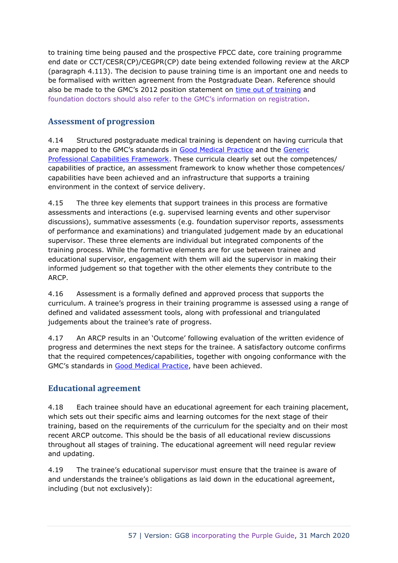to training time being paused and the prospective FPCC date, core training programme end date or CCT/CESR(CP)/CEGPR(CP) date being extended following review at the ARCP (paragraph 4.113). The decision to pause training time is an important one and needs to be formalised with written agreement from the Postgraduate Dean. Reference should also be made to the GMC's 2012 position statement on [time out of training](https://www.gmc-uk.org/-/media/documents/20121130-time-out-of-training-gmc-position-statement-nov-2012_pdf_pdf-60998809.pdf) and foundation doctors should also refer to the GMC's information on registration.

# **Assessment of progression**

4.14 Structured postgraduate medical training is dependent on having curricula that are mapped to the GMC's standards in [Good Medical Practice](http://www.gmc-uk.org/guidance/good_medical_practice.asp) and the [Generic](https://www.gmc-uk.org/education/postgraduate/GPC.asp)  [Professional Capabilities Framework.](https://www.gmc-uk.org/education/postgraduate/GPC.asp) These curricula clearly set out the competences/ capabilities of practice, an assessment framework to know whether those competences/ capabilities have been achieved and an infrastructure that supports a training environment in the context of service delivery.

4.15 The three key elements that support trainees in this process are formative assessments and interactions (e.g. supervised learning events and other supervisor discussions), summative assessments (e.g. foundation supervisor reports, assessments of performance and examinations) and triangulated judgement made by an educational supervisor. These three elements are individual but integrated components of the training process. While the formative elements are for use between trainee and educational supervisor, engagement with them will aid the supervisor in making their informed judgement so that together with the other elements they contribute to the ARCP.

4.16 Assessment is a formally defined and approved process that supports the curriculum. A trainee's progress in their training programme is assessed using a range of defined and validated assessment tools, along with professional and triangulated judgements about the trainee's rate of progress.

4.17 An ARCP results in an 'Outcome' following evaluation of the written evidence of progress and determines the next steps for the trainee. A satisfactory outcome confirms that the required competences/capabilities, together with ongoing conformance with the GMC's standards in [Good Medical Practice,](http://www.gmc-uk.org/guidance/good_medical_practice.asp) have been achieved.

# **Educational agreement**

4.18 Each trainee should have an educational agreement for each training placement, which sets out their specific aims and learning outcomes for the next stage of their training, based on the requirements of the curriculum for the specialty and on their most recent ARCP outcome. This should be the basis of all educational review discussions throughout all stages of training. The educational agreement will need regular review and updating.

4.19 The trainee's educational supervisor must ensure that the trainee is aware of and understands the trainee's obligations as laid down in the educational agreement, including (but not exclusively):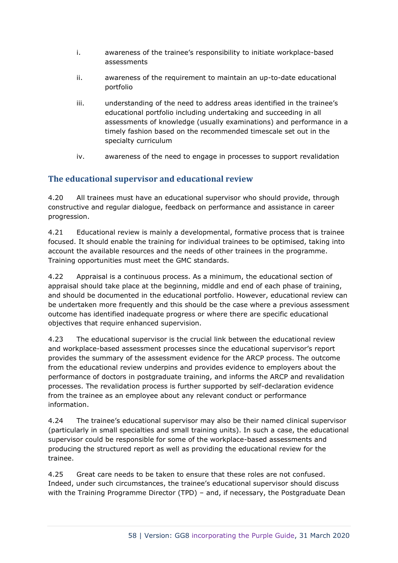- i. awareness of the trainee's responsibility to initiate workplace-based assessments
- ii. awareness of the requirement to maintain an up-to-date educational portfolio
- iii. understanding of the need to address areas identified in the trainee's educational portfolio including undertaking and succeeding in all assessments of knowledge (usually examinations) and performance in a timely fashion based on the recommended timescale set out in the specialty curriculum
- iv. awareness of the need to engage in processes to support revalidation

# **The educational supervisor and educational review**

4.20 All trainees must have an educational supervisor who should provide, through constructive and regular dialogue, feedback on performance and assistance in career progression.

4.21 Educational review is mainly a developmental, formative process that is trainee focused. It should enable the training for individual trainees to be optimised, taking into account the available resources and the needs of other trainees in the programme. Training opportunities must meet the GMC standards.

4.22 Appraisal is a continuous process. As a minimum, the educational section of appraisal should take place at the beginning, middle and end of each phase of training, and should be documented in the educational portfolio. However, educational review can be undertaken more frequently and this should be the case where a previous assessment outcome has identified inadequate progress or where there are specific educational objectives that require enhanced supervision.

4.23 The educational supervisor is the crucial link between the educational review and workplace-based assessment processes since the educational supervisor's report provides the summary of the assessment evidence for the ARCP process. The outcome from the educational review underpins and provides evidence to employers about the performance of doctors in postgraduate training, and informs the ARCP and revalidation processes. The revalidation process is further supported by self-declaration evidence from the trainee as an employee about any relevant conduct or performance information.

4.24 The trainee's educational supervisor may also be their named clinical supervisor (particularly in small specialties and small training units). In such a case, the educational supervisor could be responsible for some of the workplace-based assessments and producing the structured report as well as providing the educational review for the trainee.

4.25 Great care needs to be taken to ensure that these roles are not confused. Indeed, under such circumstances, the trainee's educational supervisor should discuss with the Training Programme Director (TPD) – and, if necessary, the Postgraduate Dean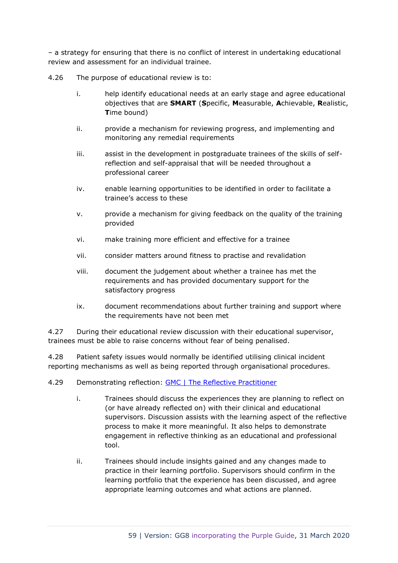– a strategy for ensuring that there is no conflict of interest in undertaking educational review and assessment for an individual trainee.

4.26 The purpose of educational review is to:

- i. help identify educational needs at an early stage and agree educational objectives that are **SMART** (**S**pecific, **M**easurable, **A**chievable, **R**ealistic, **T**ime bound)
- ii. provide a mechanism for reviewing progress, and implementing and monitoring any remedial requirements
- iii. assist in the development in postgraduate trainees of the skills of selfreflection and self-appraisal that will be needed throughout a professional career
- iv. enable learning opportunities to be identified in order to facilitate a trainee's access to these
- v. provide a mechanism for giving feedback on the quality of the training provided
- vi. make training more efficient and effective for a trainee
- vii. consider matters around fitness to practise and revalidation
- viii. document the judgement about whether a trainee has met the requirements and has provided documentary support for the satisfactory progress
- ix. document recommendations about further training and support where the requirements have not been met

4.27 During their educational review discussion with their educational supervisor, trainees must be able to raise concerns without fear of being penalised.

4.28 Patient safety issues would normally be identified utilising clinical incident reporting mechanisms as well as being reported through organisational procedures.

### 4.29 Demonstrating reflection: [GMC | The Reflective Practitioner](https://www.gmc-uk.org/education/standards-guidance-and-curricula/guidance/reflective-practice)

- i. Trainees should discuss the experiences they are planning to reflect on (or have already reflected on) with their clinical and educational supervisors. Discussion assists with the learning aspect of the reflective process to make it more meaningful. It also helps to demonstrate engagement in reflective thinking as an educational and professional tool.
- ii. Trainees should include insights gained and any changes made to practice in their learning portfolio. Supervisors should confirm in the learning portfolio that the experience has been discussed, and agree appropriate learning outcomes and what actions are planned.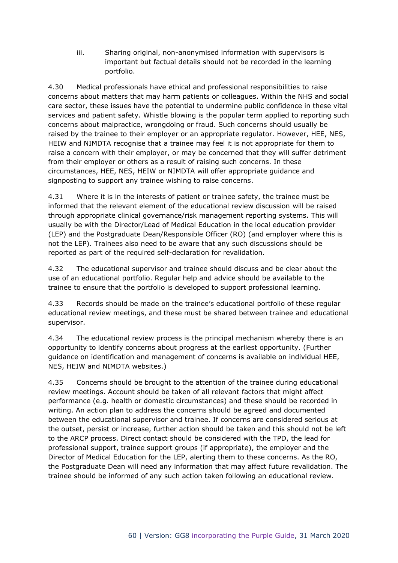iii. Sharing original, non-anonymised information with supervisors is important but factual details should not be recorded in the learning portfolio.

4.30 Medical professionals have ethical and professional responsibilities to raise concerns about matters that may harm patients or colleagues. Within the NHS and social care sector, these issues have the potential to undermine public confidence in these vital services and patient safety. Whistle blowing is the popular term applied to reporting such concerns about malpractice, wrongdoing or fraud. Such concerns should usually be raised by the trainee to their employer or an appropriate regulator. However, HEE, NES, HEIW and NIMDTA recognise that a trainee may feel it is not appropriate for them to raise a concern with their employer, or may be concerned that they will suffer detriment from their employer or others as a result of raising such concerns. In these circumstances, HEE, NES, HEIW or NIMDTA will offer appropriate guidance and signposting to support any trainee wishing to raise concerns.

4.31 Where it is in the interests of patient or trainee safety, the trainee must be informed that the relevant element of the educational review discussion will be raised through appropriate clinical governance/risk management reporting systems. This will usually be with the Director/Lead of Medical Education in the local education provider (LEP) and the Postgraduate Dean/Responsible Officer (RO) (and employer where this is not the LEP). Trainees also need to be aware that any such discussions should be reported as part of the required self-declaration for revalidation.

4.32 The educational supervisor and trainee should discuss and be clear about the use of an educational portfolio. Regular help and advice should be available to the trainee to ensure that the portfolio is developed to support professional learning.

4.33 Records should be made on the trainee's educational portfolio of these regular educational review meetings, and these must be shared between trainee and educational supervisor.

4.34 The educational review process is the principal mechanism whereby there is an opportunity to identify concerns about progress at the earliest opportunity. (Further guidance on identification and management of concerns is available on individual HEE, NES, HEIW and NIMDTA websites.)

4.35 Concerns should be brought to the attention of the trainee during educational review meetings. Account should be taken of all relevant factors that might affect performance (e.g. health or domestic circumstances) and these should be recorded in writing. An action plan to address the concerns should be agreed and documented between the educational supervisor and trainee. If concerns are considered serious at the outset, persist or increase, further action should be taken and this should not be left to the ARCP process. Direct contact should be considered with the TPD, the lead for professional support, trainee support groups (if appropriate), the employer and the Director of Medical Education for the LEP, alerting them to these concerns. As the RO, the Postgraduate Dean will need any information that may affect future revalidation. The trainee should be informed of any such action taken following an educational review.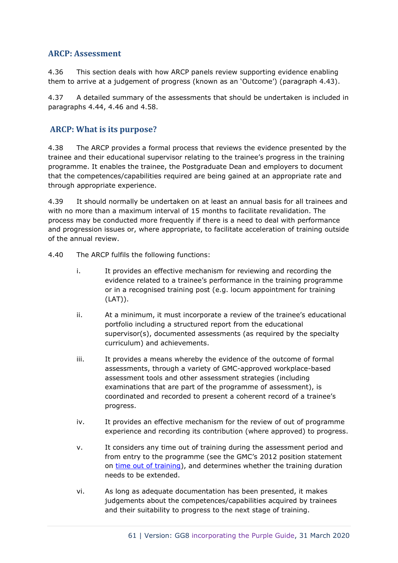### **ARCP: Assessment**

4.36 This section deals with how ARCP panels review supporting evidence enabling them to arrive at a judgement of progress (known as an 'Outcome') (paragraph 4.43).

4.37 A detailed summary of the assessments that should be undertaken is included in paragraphs 4.44, 4.46 and 4.58.

# **ARCP: What is its purpose?**

4.38 The ARCP provides a formal process that reviews the evidence presented by the trainee and their educational supervisor relating to the trainee's progress in the training programme. It enables the trainee, the Postgraduate Dean and employers to document that the competences/capabilities required are being gained at an appropriate rate and through appropriate experience.

4.39 It should normally be undertaken on at least an annual basis for all trainees and with no more than a maximum interval of 15 months to facilitate revalidation. The process may be conducted more frequently if there is a need to deal with performance and progression issues or, where appropriate, to facilitate acceleration of training outside of the annual review.

- 4.40 The ARCP fulfils the following functions:
	- i. It provides an effective mechanism for reviewing and recording the evidence related to a trainee's performance in the training programme or in a recognised training post (e.g. locum appointment for training (LAT)).
	- ii. At a minimum, it must incorporate a review of the trainee's educational portfolio including a structured report from the educational supervisor(s), documented assessments (as required by the specialty curriculum) and achievements.
	- iii. It provides a means whereby the evidence of the outcome of formal assessments, through a variety of GMC-approved workplace-based assessment tools and other assessment strategies (including examinations that are part of the programme of assessment), is coordinated and recorded to present a coherent record of a trainee's progress.
	- iv. It provides an effective mechanism for the review of out of programme experience and recording its contribution (where approved) to progress.
	- v. It considers any time out of training during the assessment period and from entry to the programme (see the GMC's 2012 position statement on [time out of training\)](https://www.gmc-uk.org/-/media/documents/20121130-time-out-of-training-gmc-position-statement-nov-2012_pdf_pdf-60998809.pdf), and determines whether the training duration needs to be extended.
	- vi. As long as adequate documentation has been presented, it makes judgements about the competences/capabilities acquired by trainees and their suitability to progress to the next stage of training.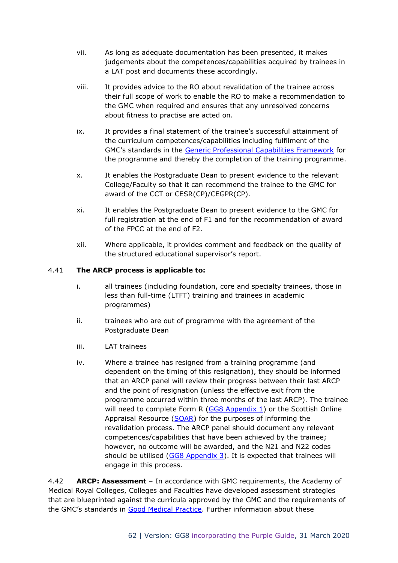- vii. As long as adequate documentation has been presented, it makes judgements about the competences/capabilities acquired by trainees in a LAT post and documents these accordingly.
- viii. It provides advice to the RO about revalidation of the trainee across their full scope of work to enable the RO to make a recommendation to the GMC when required and ensures that any unresolved concerns about fitness to practise are acted on.
- ix. It provides a final statement of the trainee's successful attainment of the curriculum competences/capabilities including fulfilment of the GMC's standards in the [Generic Professional Capabilities Framework](https://www.gmc-uk.org/education/postgraduate/GPC.asp) for the programme and thereby the completion of the training programme.
- x. It enables the Postgraduate Dean to present evidence to the relevant College/Faculty so that it can recommend the trainee to the GMC for award of the CCT or CESR(CP)/CEGPR(CP).
- xi. It enables the Postgraduate Dean to present evidence to the GMC for full registration at the end of F1 and for the recommendation of award of the FPCC at the end of F2.
- xii. Where applicable, it provides comment and feedback on the quality of the structured educational supervisor's report.

### 4.41 **The ARCP process is applicable to:**

- i. all trainees (including foundation, core and specialty trainees, those in less than full-time (LTFT) training and trainees in academic programmes)
- ii. trainees who are out of programme with the agreement of the Postgraduate Dean
- iii. LAT trainees
- iv. Where a trainee has resigned from a training programme (and dependent on the timing of this resignation), they should be informed that an ARCP panel will review their progress between their last ARCP and the point of resignation (unless the effective exit from the programme occurred within three months of the last ARCP). The trainee will need to complete Form R [\(GG8 Appendix 1\)](https://www.copmed.org.uk/images/docs/gold_guide_8th_edition/GG8_Appendix_1_-_Form_R_Parts_A_and_B.docx) or the Scottish Online Appraisal Resource [\(SOAR\)](http://www.appraisal.nes.scot.nhs.uk/) for the purposes of informing the revalidation process. The ARCP panel should document any relevant competences/capabilities that have been achieved by the trainee; however, no outcome will be awarded, and the N21 and N22 codes should be utilised  $(GG8$  Appendix 3). It is expected that trainees will engage in this process.

4.42 **ARCP: Assessment** – In accordance with GMC requirements, the Academy of Medical Royal Colleges, Colleges and Faculties have developed assessment strategies that are blueprinted against the curricula approved by the GMC and the requirements of the GMC's standards in [Good Medical Practice.](http://www.gmc-uk.org/guidance/good_medical_practice.asp) Further information about these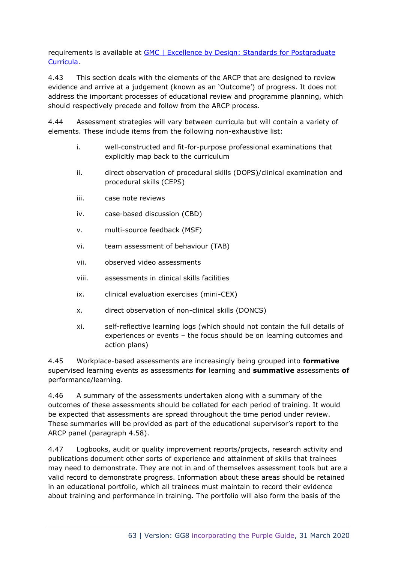requirements is available at [GMC | Excellence by Design: Standards for Postgraduate](https://www.gmc-uk.org/education/postgraduate/excellence_by_design.asp)  [Curricula.](https://www.gmc-uk.org/education/postgraduate/excellence_by_design.asp)

4.43 This section deals with the elements of the ARCP that are designed to review evidence and arrive at a judgement (known as an 'Outcome') of progress. It does not address the important processes of educational review and programme planning, which should respectively precede and follow from the ARCP process.

4.44 Assessment strategies will vary between curricula but will contain a variety of elements. These include items from the following non-exhaustive list:

- i. well-constructed and fit-for-purpose professional examinations that explicitly map back to the curriculum
- ii. direct observation of procedural skills (DOPS)/clinical examination and procedural skills (CEPS)
- iii. case note reviews
- iv. case-based discussion (CBD)
- v. multi-source feedback (MSF)
- vi. team assessment of behaviour (TAB)
- vii. observed video assessments
- viii. assessments in clinical skills facilities
- ix. clinical evaluation exercises (mini-CEX)
- x. direct observation of non-clinical skills (DONCS)
- xi. self-reflective learning logs (which should not contain the full details of experiences or events – the focus should be on learning outcomes and action plans)

4.45 Workplace-based assessments are increasingly being grouped into **formative** supervised learning events as assessments **for** learning and **summative** assessments **of** performance/learning.

4.46 A summary of the assessments undertaken along with a summary of the outcomes of these assessments should be collated for each period of training. It would be expected that assessments are spread throughout the time period under review. These summaries will be provided as part of the educational supervisor's report to the ARCP panel (paragraph 4.58).

4.47 Logbooks, audit or quality improvement reports/projects, research activity and publications document other sorts of experience and attainment of skills that trainees may need to demonstrate. They are not in and of themselves assessment tools but are a valid record to demonstrate progress. Information about these areas should be retained in an educational portfolio, which all trainees must maintain to record their evidence about training and performance in training. The portfolio will also form the basis of the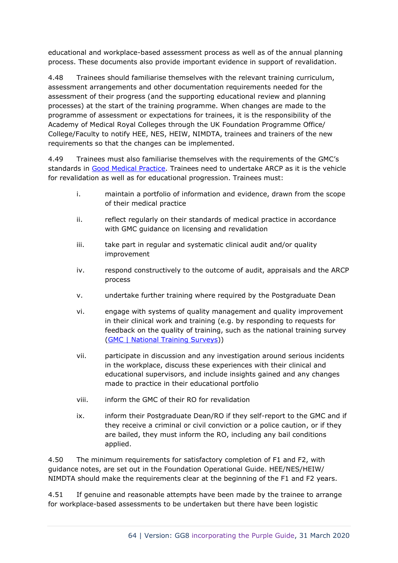educational and workplace-based assessment process as well as of the annual planning process. These documents also provide important evidence in support of revalidation.

4.48 Trainees should familiarise themselves with the relevant training curriculum, assessment arrangements and other documentation requirements needed for the assessment of their progress (and the supporting educational review and planning processes) at the start of the training programme. When changes are made to the programme of assessment or expectations for trainees, it is the responsibility of the Academy of Medical Royal Colleges through the UK Foundation Programme Office/ College/Faculty to notify HEE, NES, HEIW, NIMDTA, trainees and trainers of the new requirements so that the changes can be implemented.

4.49 Trainees must also familiarise themselves with the requirements of the GMC's standards in [Good Medical Practice.](http://www.gmc-uk.org/guidance/good_medical_practice.asp) Trainees need to undertake ARCP as it is the vehicle for revalidation as well as for educational progression. Trainees must:

- i. maintain a portfolio of information and evidence, drawn from the scope of their medical practice
- ii. reflect regularly on their standards of medical practice in accordance with GMC guidance on licensing and revalidation
- iii. take part in regular and systematic clinical audit and/or quality improvement
- iv. respond constructively to the outcome of audit, appraisals and the ARCP process
- v. undertake further training where required by the Postgraduate Dean
- vi. engage with systems of quality management and quality improvement in their clinical work and training (e.g. by responding to requests for feedback on the quality of training, such as the national training survey [\(GMC | National Training Surveys\)](http://www.gmc-uk.org/education/surveys.asp))
- vii. participate in discussion and any investigation around serious incidents in the workplace, discuss these experiences with their clinical and educational supervisors, and include insights gained and any changes made to practice in their educational portfolio
- viii. inform the GMC of their RO for revalidation
- ix. inform their Postgraduate Dean/RO if they self-report to the GMC and if they receive a criminal or civil conviction or a police caution, or if they are bailed, they must inform the RO, including any bail conditions applied.

4.50 The minimum requirements for satisfactory completion of F1 and F2, with guidance notes, are set out in the Foundation Operational Guide. HEE/NES/HEIW/ NIMDTA should make the requirements clear at the beginning of the F1 and F2 years.

4.51 If genuine and reasonable attempts have been made by the trainee to arrange for workplace-based assessments to be undertaken but there have been logistic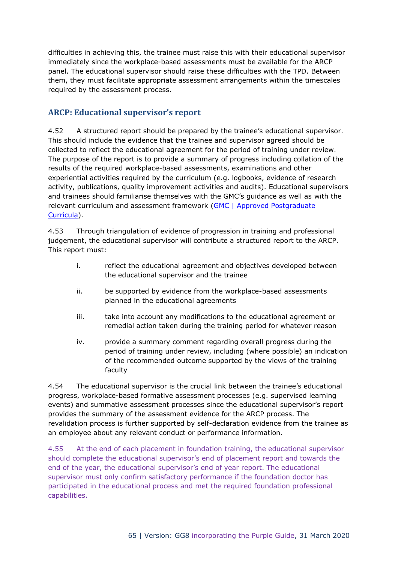difficulties in achieving this, the trainee must raise this with their educational supervisor immediately since the workplace-based assessments must be available for the ARCP panel. The educational supervisor should raise these difficulties with the TPD. Between them, they must facilitate appropriate assessment arrangements within the timescales required by the assessment process.

# **ARCP: Educational supervisor's report**

4.52 A structured report should be prepared by the trainee's educational supervisor. This should include the evidence that the trainee and supervisor agreed should be collected to reflect the educational agreement for the period of training under review. The purpose of the report is to provide a summary of progress including collation of the results of the required workplace-based assessments, examinations and other experiential activities required by the curriculum (e.g. logbooks, evidence of research activity, publications, quality improvement activities and audits). Educational supervisors and trainees should familiarise themselves with the GMC's guidance as well as with the relevant curriculum and assessment framework [\(GMC | Approved Postgraduate](https://www.gmc-uk.org/education/standards-guidance-and-curricula/curricula)  [Curricula\)](https://www.gmc-uk.org/education/standards-guidance-and-curricula/curricula).

4.53 Through triangulation of evidence of progression in training and professional judgement, the educational supervisor will contribute a structured report to the ARCP. This report must:

- i. reflect the educational agreement and objectives developed between the educational supervisor and the trainee
- ii. be supported by evidence from the workplace-based assessments planned in the educational agreements
- iii. take into account any modifications to the educational agreement or remedial action taken during the training period for whatever reason
- iv. provide a summary comment regarding overall progress during the period of training under review, including (where possible) an indication of the recommended outcome supported by the views of the training faculty

4.54 The educational supervisor is the crucial link between the trainee's educational progress, workplace-based formative assessment processes (e.g. supervised learning events) and summative assessment processes since the educational supervisor's report provides the summary of the assessment evidence for the ARCP process. The revalidation process is further supported by self-declaration evidence from the trainee as an employee about any relevant conduct or performance information.

4.55 At the end of each placement in foundation training, the educational supervisor should complete the educational supervisor's end of placement report and towards the end of the year, the educational supervisor's end of year report. The educational supervisor must only confirm satisfactory performance if the foundation doctor has participated in the educational process and met the required foundation professional capabilities.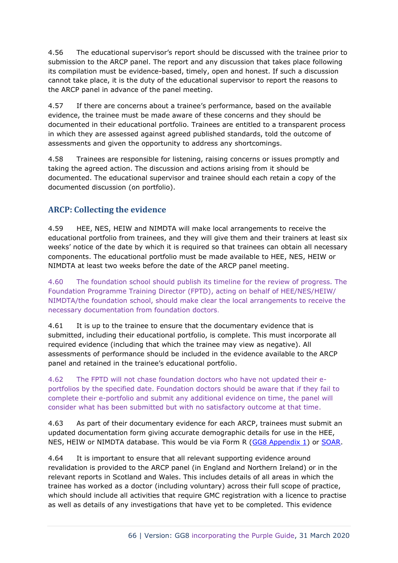4.56 The educational supervisor's report should be discussed with the trainee prior to submission to the ARCP panel. The report and any discussion that takes place following its compilation must be evidence-based, timely, open and honest. If such a discussion cannot take place, it is the duty of the educational supervisor to report the reasons to the ARCP panel in advance of the panel meeting.

4.57 If there are concerns about a trainee's performance, based on the available evidence, the trainee must be made aware of these concerns and they should be documented in their educational portfolio. Trainees are entitled to a transparent process in which they are assessed against agreed published standards, told the outcome of assessments and given the opportunity to address any shortcomings.

4.58 Trainees are responsible for listening, raising concerns or issues promptly and taking the agreed action. The discussion and actions arising from it should be documented. The educational supervisor and trainee should each retain a copy of the documented discussion (on portfolio).

# **ARCP: Collecting the evidence**

4.59 HEE, NES, HEIW and NIMDTA will make local arrangements to receive the educational portfolio from trainees, and they will give them and their trainers at least six weeks' notice of the date by which it is required so that trainees can obtain all necessary components. The educational portfolio must be made available to HEE, NES, HEIW or NIMDTA at least two weeks before the date of the ARCP panel meeting.

4.60 The foundation school should publish its timeline for the review of progress. The Foundation Programme Training Director (FPTD), acting on behalf of HEE/NES/HEIW/ NIMDTA/the foundation school, should make clear the local arrangements to receive the necessary documentation from foundation doctors.

4.61 It is up to the trainee to ensure that the documentary evidence that is submitted, including their educational portfolio, is complete. This must incorporate all required evidence (including that which the trainee may view as negative). All assessments of performance should be included in the evidence available to the ARCP panel and retained in the trainee's educational portfolio.

4.62 The FPTD will not chase foundation doctors who have not updated their eportfolios by the specified date. Foundation doctors should be aware that if they fail to complete their e-portfolio and submit any additional evidence on time, the panel will consider what has been submitted but with no satisfactory outcome at that time.

4.63 As part of their documentary evidence for each ARCP, trainees must submit an updated documentation form giving accurate demographic details for use in the HEE, NES, HEIW or NIMDTA database. This would be via Form R [\(GG8 Appendix 1\)](https://www.copmed.org.uk/images/docs/gold_guide_8th_edition/GG8_Appendix_1_-_Form_R_Parts_A_and_B.docx) or [SOAR.](http://www.appraisal.nes.scot.nhs.uk/)

4.64 It is important to ensure that all relevant supporting evidence around revalidation is provided to the ARCP panel (in England and Northern Ireland) or in the relevant reports in Scotland and Wales. This includes details of all areas in which the trainee has worked as a doctor (including voluntary) across their full scope of practice, which should include all activities that require GMC registration with a licence to practise as well as details of any investigations that have yet to be completed. This evidence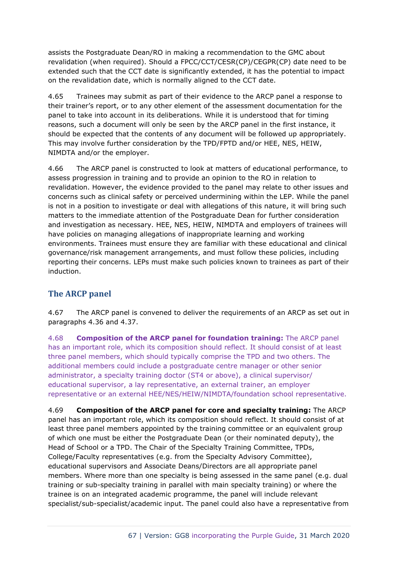assists the Postgraduate Dean/RO in making a recommendation to the GMC about revalidation (when required). Should a FPCC/CCT/CESR(CP)/CEGPR(CP) date need to be extended such that the CCT date is significantly extended, it has the potential to impact on the revalidation date, which is normally aligned to the CCT date.

4.65 Trainees may submit as part of their evidence to the ARCP panel a response to their trainer's report, or to any other element of the assessment documentation for the panel to take into account in its deliberations. While it is understood that for timing reasons, such a document will only be seen by the ARCP panel in the first instance, it should be expected that the contents of any document will be followed up appropriately. This may involve further consideration by the TPD/FPTD and/or HEE, NES, HEIW, NIMDTA and/or the employer.

4.66 The ARCP panel is constructed to look at matters of educational performance, to assess progression in training and to provide an opinion to the RO in relation to revalidation. However, the evidence provided to the panel may relate to other issues and concerns such as clinical safety or perceived undermining within the LEP. While the panel is not in a position to investigate or deal with allegations of this nature, it will bring such matters to the immediate attention of the Postgraduate Dean for further consideration and investigation as necessary. HEE, NES, HEIW, NIMDTA and employers of trainees will have policies on managing allegations of inappropriate learning and working environments. Trainees must ensure they are familiar with these educational and clinical governance/risk management arrangements, and must follow these policies, including reporting their concerns. LEPs must make such policies known to trainees as part of their induction.

# **The ARCP panel**

4.67 The ARCP panel is convened to deliver the requirements of an ARCP as set out in paragraphs 4.36 and 4.37.

4.68 **Composition of the ARCP panel for foundation training:** The ARCP panel has an important role, which its composition should reflect. It should consist of at least three panel members, which should typically comprise the TPD and two others. The additional members could include a postgraduate centre manager or other senior administrator, a specialty training doctor (ST4 or above), a clinical supervisor/ educational supervisor, a lay representative, an external trainer, an employer representative or an external HEE/NES/HEIW/NIMDTA/foundation school representative.

4.69 **Composition of the ARCP panel for core and specialty training:** The ARCP panel has an important role, which its composition should reflect. It should consist of at least three panel members appointed by the training committee or an equivalent group of which one must be either the Postgraduate Dean (or their nominated deputy), the Head of School or a TPD. The Chair of the Specialty Training Committee, TPDs, College/Faculty representatives (e.g. from the Specialty Advisory Committee), educational supervisors and Associate Deans/Directors are all appropriate panel members. Where more than one specialty is being assessed in the same panel (e.g. dual training or sub-specialty training in parallel with main specialty training) or where the trainee is on an integrated academic programme, the panel will include relevant specialist/sub-specialist/academic input. The panel could also have a representative from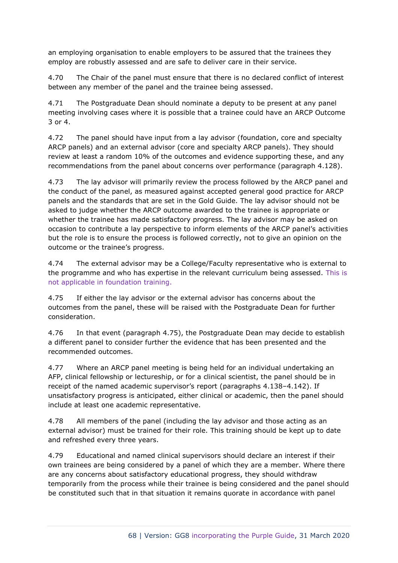an employing organisation to enable employers to be assured that the trainees they employ are robustly assessed and are safe to deliver care in their service.

4.70 The Chair of the panel must ensure that there is no declared conflict of interest between any member of the panel and the trainee being assessed.

4.71 The Postgraduate Dean should nominate a deputy to be present at any panel meeting involving cases where it is possible that a trainee could have an ARCP Outcome 3 or 4.

4.72 The panel should have input from a lay advisor (foundation, core and specialty ARCP panels) and an external advisor (core and specialty ARCP panels). They should review at least a random 10% of the outcomes and evidence supporting these, and any recommendations from the panel about concerns over performance (paragraph 4.128).

4.73 The lay advisor will primarily review the process followed by the ARCP panel and the conduct of the panel, as measured against accepted general good practice for ARCP panels and the standards that are set in the Gold Guide. The lay advisor should not be asked to judge whether the ARCP outcome awarded to the trainee is appropriate or whether the trainee has made satisfactory progress. The lay advisor may be asked on occasion to contribute a lay perspective to inform elements of the ARCP panel's activities but the role is to ensure the process is followed correctly, not to give an opinion on the outcome or the trainee's progress.

4.74 The external advisor may be a College/Faculty representative who is external to the programme and who has expertise in the relevant curriculum being assessed. This is not applicable in foundation training.

4.75 If either the lay advisor or the external advisor has concerns about the outcomes from the panel, these will be raised with the Postgraduate Dean for further consideration.

4.76 In that event (paragraph 4.75), the Postgraduate Dean may decide to establish a different panel to consider further the evidence that has been presented and the recommended outcomes.

4.77 Where an ARCP panel meeting is being held for an individual undertaking an AFP, clinical fellowship or lectureship, or for a clinical scientist, the panel should be in receipt of the named academic supervisor's report (paragraphs 4.138–4.142). If unsatisfactory progress is anticipated, either clinical or academic, then the panel should include at least one academic representative.

4.78 All members of the panel (including the lay advisor and those acting as an external advisor) must be trained for their role. This training should be kept up to date and refreshed every three years.

4.79 Educational and named clinical supervisors should declare an interest if their own trainees are being considered by a panel of which they are a member. Where there are any concerns about satisfactory educational progress, they should withdraw temporarily from the process while their trainee is being considered and the panel should be constituted such that in that situation it remains quorate in accordance with panel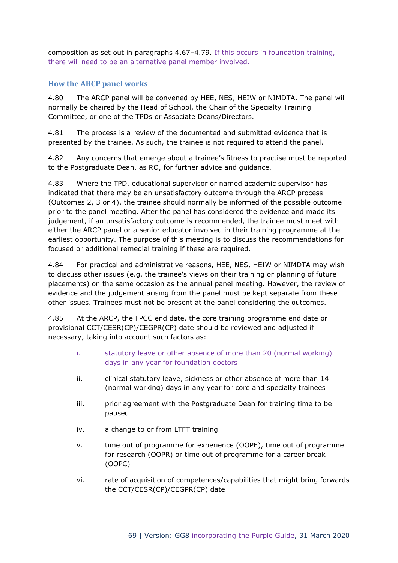composition as set out in paragraphs 4.67–4.79. If this occurs in foundation training, there will need to be an alternative panel member involved.

# **How the ARCP panel works**

4.80 The ARCP panel will be convened by HEE, NES, HEIW or NIMDTA. The panel will normally be chaired by the Head of School, the Chair of the Specialty Training Committee, or one of the TPDs or Associate Deans/Directors.

4.81 The process is a review of the documented and submitted evidence that is presented by the trainee. As such, the trainee is not required to attend the panel.

4.82 Any concerns that emerge about a trainee's fitness to practise must be reported to the Postgraduate Dean, as RO, for further advice and guidance.

4.83 Where the TPD, educational supervisor or named academic supervisor has indicated that there may be an unsatisfactory outcome through the ARCP process (Outcomes 2, 3 or 4), the trainee should normally be informed of the possible outcome prior to the panel meeting. After the panel has considered the evidence and made its judgement, if an unsatisfactory outcome is recommended, the trainee must meet with either the ARCP panel or a senior educator involved in their training programme at the earliest opportunity. The purpose of this meeting is to discuss the recommendations for focused or additional remedial training if these are required.

4.84 For practical and administrative reasons, HEE, NES, HEIW or NIMDTA may wish to discuss other issues (e.g. the trainee's views on their training or planning of future placements) on the same occasion as the annual panel meeting. However, the review of evidence and the judgement arising from the panel must be kept separate from these other issues. Trainees must not be present at the panel considering the outcomes.

4.85 At the ARCP, the FPCC end date, the core training programme end date or provisional CCT/CESR(CP)/CEGPR(CP) date should be reviewed and adjusted if necessary, taking into account such factors as:

- i. statutory leave or other absence of more than 20 (normal working) days in any year for foundation doctors
- ii. clinical statutory leave, sickness or other absence of more than 14 (normal working) days in any year for core and specialty trainees
- iii. prior agreement with the Postgraduate Dean for training time to be paused
- iv. a change to or from LTFT training
- v. time out of programme for experience (OOPE), time out of programme for research (OOPR) or time out of programme for a career break (OOPC)
- vi. rate of acquisition of competences/capabilities that might bring forwards the CCT/CESR(CP)/CEGPR(CP) date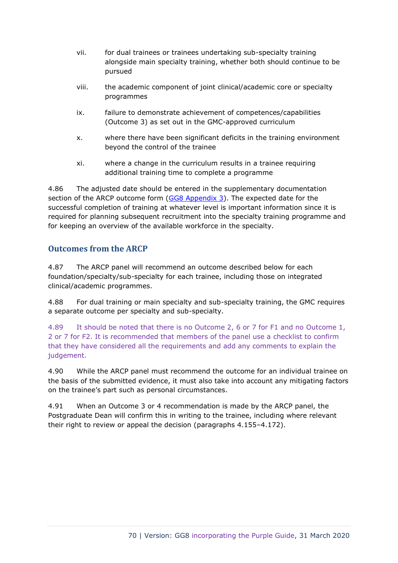- vii. for dual trainees or trainees undertaking sub-specialty training alongside main specialty training, whether both should continue to be pursued
- viii. the academic component of joint clinical/academic core or specialty programmes
- ix. failure to demonstrate achievement of competences/capabilities (Outcome 3) as set out in the GMC-approved curriculum
- x. where there have been significant deficits in the training environment beyond the control of the trainee
- xi. where a change in the curriculum results in a trainee requiring additional training time to complete a programme

4.86 The adjusted date should be entered in the supplementary documentation section of the ARCP outcome form  $(GG8$  Appendix 3). The expected date for the successful completion of training at whatever level is important information since it is required for planning subsequent recruitment into the specialty training programme and for keeping an overview of the available workforce in the specialty.

# **Outcomes from the ARCP**

4.87 The ARCP panel will recommend an outcome described below for each foundation/specialty/sub-specialty for each trainee, including those on integrated clinical/academic programmes.

4.88 For dual training or main specialty and sub-specialty training, the GMC requires a separate outcome per specialty and sub-specialty.

4.89 It should be noted that there is no Outcome 2, 6 or 7 for F1 and no Outcome 1, 2 or 7 for F2. It is recommended that members of the panel use a checklist to confirm that they have considered all the requirements and add any comments to explain the judgement.

4.90 While the ARCP panel must recommend the outcome for an individual trainee on the basis of the submitted evidence, it must also take into account any mitigating factors on the trainee's part such as personal circumstances.

4.91 When an Outcome 3 or 4 recommendation is made by the ARCP panel, the Postgraduate Dean will confirm this in writing to the trainee, including where relevant their right to review or appeal the decision (paragraphs 4.155–4.172).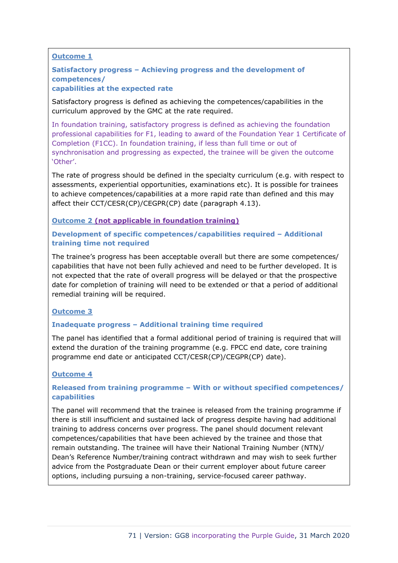### **Outcome 1**

### **Satisfactory progress – Achieving progress and the development of competences/ capabilities at the expected rate**

Satisfactory progress is defined as achieving the competences/capabilities in the curriculum approved by the GMC at the rate required.

In foundation training, satisfactory progress is defined as achieving the foundation professional capabilities for F1, leading to award of the Foundation Year 1 Certificate of Completion (F1CC). In foundation training, if less than full time or out of synchronisation and progressing as expected, the trainee will be given the outcome 'Other'.

The rate of progress should be defined in the specialty curriculum (e.g. with respect to assessments, experiential opportunities, examinations etc). It is possible for trainees to achieve competences/capabilities at a more rapid rate than defined and this may affect their CCT/CESR(CP)/CEGPR(CP) date (paragraph 4.13).

### **Outcome 2 (not applicable in foundation training)**

### **Development of specific competences/capabilities required – Additional training time not required**

The trainee's progress has been acceptable overall but there are some competences/ capabilities that have not been fully achieved and need to be further developed. It is not expected that the rate of overall progress will be delayed or that the prospective date for completion of training will need to be extended or that a period of additional remedial training will be required.

### **Outcome 3**

### **Inadequate progress – Additional training time required**

The panel has identified that a formal additional period of training is required that will extend the duration of the training programme (e.g. FPCC end date, core training programme end date or anticipated CCT/CESR(CP)/CEGPR(CP) date).

### **Outcome 4**

### **Released from training programme – With or without specified competences/ capabilities**

The panel will recommend that the trainee is released from the training programme if there is still insufficient and sustained lack of progress despite having had additional training to address concerns over progress. The panel should document relevant competences/capabilities that have been achieved by the trainee and those that remain outstanding. The trainee will have their National Training Number (NTN)/ Dean's Reference Number/training contract withdrawn and may wish to seek further advice from the Postgraduate Dean or their current employer about future career options, including pursuing a non-training, service-focused career pathway.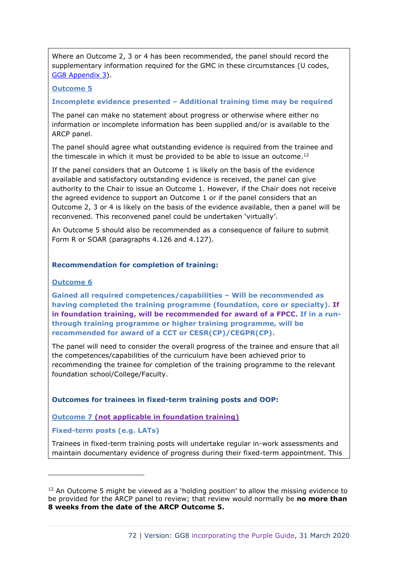Where an Outcome 2, 3 or 4 has been recommended, the panel should record the supplementary information required for the GMC in these circumstances (U codes, [GG8 Appendix 3\)](https://www.copmed.org.uk/images/docs/gold_guide_8th_edition/GG8_Appendix_3_-_ARCP_Outcome_Form.docx).

### **Outcome 5**

#### **Incomplete evidence presented – Additional training time may be required**

The panel can make no statement about progress or otherwise where either no information or incomplete information has been supplied and/or is available to the ARCP panel.

The panel should agree what outstanding evidence is required from the trainee and the timescale in which it must be provided to be able to issue an outcome.<sup>12</sup>

If the panel considers that an Outcome 1 is likely on the basis of the evidence available and satisfactory outstanding evidence is received, the panel can give authority to the Chair to issue an Outcome 1. However, if the Chair does not receive the agreed evidence to support an Outcome 1 or if the panel considers that an Outcome 2, 3 or 4 is likely on the basis of the evidence available, then a panel will be reconvened. This reconvened panel could be undertaken 'virtually'.

An Outcome 5 should also be recommended as a consequence of failure to submit Form R or SOAR (paragraphs 4.126 and 4.127).

#### **Recommendation for completion of training:**

#### **Outcome 6**

**Gained all required competences/capabilities – Will be recommended as having completed the training programme (foundation, core or specialty). If in foundation training, will be recommended for award of a FPCC. If in a runthrough training programme or higher training programme, will be recommended for award of a CCT or CESR(CP)/CEGPR(CP).**

The panel will need to consider the overall progress of the trainee and ensure that all the competences/capabilities of the curriculum have been achieved prior to recommending the trainee for completion of the training programme to the relevant foundation school/College/Faculty.

#### **Outcomes for trainees in fixed-term training posts and OOP:**

### **Outcome 7 (not applicable in foundation training)**

### **Fixed-term posts (e.g. LATs)**

Trainees in fixed-term training posts will undertake regular in-work assessments and maintain documentary evidence of progress during their fixed-term appointment. This

 $12$  An Outcome 5 might be viewed as a 'holding position' to allow the missing evidence to be provided for the ARCP panel to review; that review would normally be **no more than 8 weeks from the date of the ARCP Outcome 5.**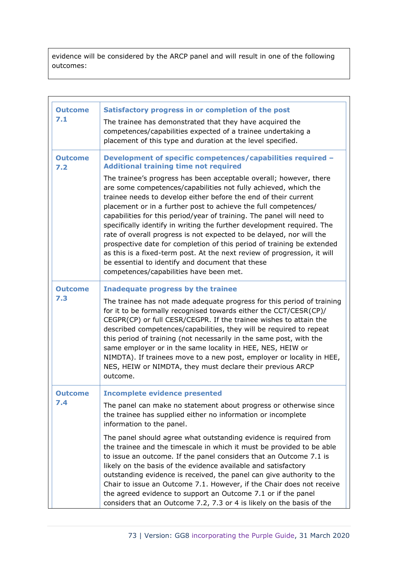evidence will be considered by the ARCP panel and will result in one of the following outcomes:

| <b>Outcome</b><br>7.1 | Satisfactory progress in or completion of the post<br>The trainee has demonstrated that they have acquired the<br>competences/capabilities expected of a trainee undertaking a<br>placement of this type and duration at the level specified.                                                                                                                                                                                                                                                                                                                                                                                                                                                                                                                                                                                                                              |
|-----------------------|----------------------------------------------------------------------------------------------------------------------------------------------------------------------------------------------------------------------------------------------------------------------------------------------------------------------------------------------------------------------------------------------------------------------------------------------------------------------------------------------------------------------------------------------------------------------------------------------------------------------------------------------------------------------------------------------------------------------------------------------------------------------------------------------------------------------------------------------------------------------------|
| <b>Outcome</b><br>7.2 | Development of specific competences/capabilities required -<br><b>Additional training time not required</b><br>The trainee's progress has been acceptable overall; however, there<br>are some competences/capabilities not fully achieved, which the<br>trainee needs to develop either before the end of their current<br>placement or in a further post to achieve the full competences/<br>capabilities for this period/year of training. The panel will need to<br>specifically identify in writing the further development required. The<br>rate of overall progress is not expected to be delayed, nor will the<br>prospective date for completion of this period of training be extended<br>as this is a fixed-term post. At the next review of progression, it will<br>be essential to identify and document that these<br>competences/capabilities have been met. |
| <b>Outcome</b><br>7.3 | Inadequate progress by the trainee<br>The trainee has not made adequate progress for this period of training<br>for it to be formally recognised towards either the CCT/CESR(CP)/<br>CEGPR(CP) or full CESR/CEGPR. If the trainee wishes to attain the<br>described competences/capabilities, they will be required to repeat<br>this period of training (not necessarily in the same post, with the<br>same employer or in the same locality in HEE, NES, HEIW or<br>NIMDTA). If trainees move to a new post, employer or locality in HEE,<br>NES, HEIW or NIMDTA, they must declare their previous ARCP<br>outcome.                                                                                                                                                                                                                                                      |
| <b>Outcome</b><br>7.4 | <b>Incomplete evidence presented</b><br>The panel can make no statement about progress or otherwise since<br>the trainee has supplied either no information or incomplete<br>information to the panel.<br>The panel should agree what outstanding evidence is required from<br>the trainee and the timescale in which it must be provided to be able<br>to issue an outcome. If the panel considers that an Outcome 7.1 is<br>likely on the basis of the evidence available and satisfactory<br>outstanding evidence is received, the panel can give authority to the<br>Chair to issue an Outcome 7.1. However, if the Chair does not receive<br>the agreed evidence to support an Outcome 7.1 or if the panel<br>considers that an Outcome 7.2, 7.3 or 4 is likely on the basis of the                                                                                   |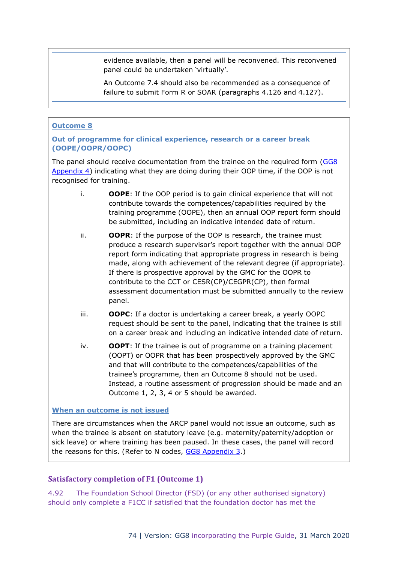evidence available, then a panel will be reconvened. This reconvened panel could be undertaken 'virtually'.

An Outcome 7.4 should also be recommended as a consequence of failure to submit Form R or SOAR (paragraphs 4.126 and 4.127).

#### **Outcome 8**

#### **Out of programme for clinical experience, research or a career break (OOPE/OOPR/OOPC)**

The panel should receive documentation from the trainee on the required form [\(GG8](https://www.copmed.org.uk/images/docs/gold_guide_8th_edition/GG8_Appendix_4_-_Out_of_Programme_Form.docx)  [Appendix 4\)](https://www.copmed.org.uk/images/docs/gold_guide_8th_edition/GG8_Appendix_4_-_Out_of_Programme_Form.docx) indicating what they are doing during their OOP time, if the OOP is not recognised for training.

- i. **OOPE**: If the OOP period is to gain clinical experience that will not contribute towards the competences/capabilities required by the training programme (OOPE), then an annual OOP report form should be submitted, including an indicative intended date of return.
- ii. **OOPR**: If the purpose of the OOP is research, the trainee must produce a research supervisor's report together with the annual OOP report form indicating that appropriate progress in research is being made, along with achievement of the relevant degree (if appropriate). If there is prospective approval by the GMC for the OOPR to contribute to the CCT or CESR(CP)/CEGPR(CP), then formal assessment documentation must be submitted annually to the review panel.
- iii. **OOPC**: If a doctor is undertaking a career break, a yearly OOPC request should be sent to the panel, indicating that the trainee is still on a career break and including an indicative intended date of return.
- iv. **OOPT**: If the trainee is out of programme on a training placement (OOPT) or OOPR that has been prospectively approved by the GMC and that will contribute to the competences/capabilities of the trainee's programme, then an Outcome 8 should not be used. Instead, a routine assessment of progression should be made and an Outcome 1, 2, 3, 4 or 5 should be awarded.

#### **When an outcome is not issued**

There are circumstances when the ARCP panel would not issue an outcome, such as when the trainee is absent on statutory leave (e.g. maternity/paternity/adoption or sick leave) or where training has been paused. In these cases, the panel will record the reasons for this. (Refer to N codes, [GG8 Appendix 3.](https://www.copmed.org.uk/images/docs/gold_guide_8th_edition/GG8_Appendix_3_-_ARCP_Outcome_Form.docx))

#### **Satisfactory completion of F1 (Outcome 1)**

4.92 The Foundation School Director (FSD) (or any other authorised signatory) should only complete a F1CC if satisfied that the foundation doctor has met the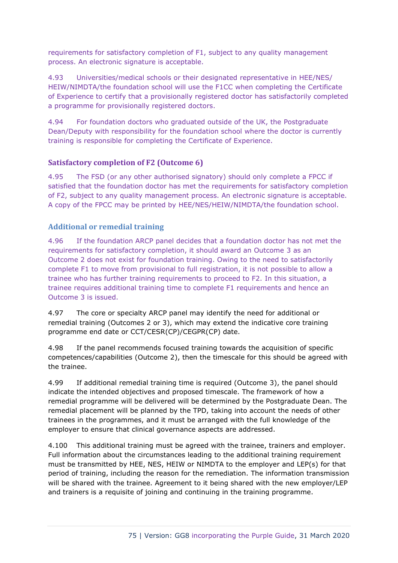requirements for satisfactory completion of F1, subject to any quality management process. An electronic signature is acceptable.

4.93 Universities/medical schools or their designated representative in HEE/NES/ HEIW/NIMDTA/the foundation school will use the F1CC when completing the Certificate of Experience to certify that a provisionally registered doctor has satisfactorily completed a programme for provisionally registered doctors.

4.94 For foundation doctors who graduated outside of the UK, the Postgraduate Dean/Deputy with responsibility for the foundation school where the doctor is currently training is responsible for completing the Certificate of Experience.

#### **Satisfactory completion of F2 (Outcome 6)**

4.95 The FSD (or any other authorised signatory) should only complete a FPCC if satisfied that the foundation doctor has met the requirements for satisfactory completion of F2, subject to any quality management process. An electronic signature is acceptable. A copy of the FPCC may be printed by HEE/NES/HEIW/NIMDTA/the foundation school.

#### **Additional or remedial training**

4.96 If the foundation ARCP panel decides that a foundation doctor has not met the requirements for satisfactory completion, it should award an Outcome 3 as an Outcome 2 does not exist for foundation training. Owing to the need to satisfactorily complete F1 to move from provisional to full registration, it is not possible to allow a trainee who has further training requirements to proceed to F2. In this situation, a trainee requires additional training time to complete F1 requirements and hence an Outcome 3 is issued.

4.97 The core or specialty ARCP panel may identify the need for additional or remedial training (Outcomes 2 or 3), which may extend the indicative core training programme end date or CCT/CESR(CP)/CEGPR(CP) date.

4.98 If the panel recommends focused training towards the acquisition of specific competences/capabilities (Outcome 2), then the timescale for this should be agreed with the trainee.

4.99 If additional remedial training time is required (Outcome 3), the panel should indicate the intended objectives and proposed timescale. The framework of how a remedial programme will be delivered will be determined by the Postgraduate Dean. The remedial placement will be planned by the TPD, taking into account the needs of other trainees in the programmes, and it must be arranged with the full knowledge of the employer to ensure that clinical governance aspects are addressed.

4.100 This additional training must be agreed with the trainee, trainers and employer. Full information about the circumstances leading to the additional training requirement must be transmitted by HEE, NES, HEIW or NIMDTA to the employer and LEP(s) for that period of training, including the reason for the remediation. The information transmission will be shared with the trainee. Agreement to it being shared with the new employer/LEP and trainers is a requisite of joining and continuing in the training programme.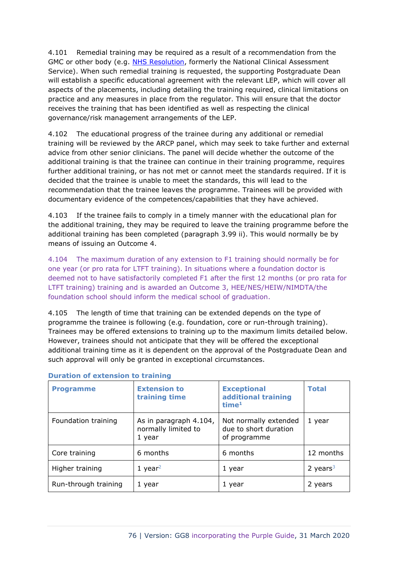4.101 Remedial training may be required as a result of a recommendation from the GMC or other body (e.g. [NHS Resolution,](file:///C:/Users/tnmacbookair/Desktop/freelance/COPMeD%20Gold%20Guide/Gold%20Guide%208th%20edn/NHS%20Resolution) formerly the National Clinical Assessment Service). When such remedial training is requested, the supporting Postgraduate Dean will establish a specific educational agreement with the relevant LEP, which will cover all aspects of the placements, including detailing the training required, clinical limitations on practice and any measures in place from the regulator. This will ensure that the doctor receives the training that has been identified as well as respecting the clinical governance/risk management arrangements of the LEP.

4.102 The educational progress of the trainee during any additional or remedial training will be reviewed by the ARCP panel, which may seek to take further and external advice from other senior clinicians. The panel will decide whether the outcome of the additional training is that the trainee can continue in their training programme, requires further additional training, or has not met or cannot meet the standards required. If it is decided that the trainee is unable to meet the standards, this will lead to the recommendation that the trainee leaves the programme. Trainees will be provided with documentary evidence of the competences/capabilities that they have achieved.

4.103 If the trainee fails to comply in a timely manner with the educational plan for the additional training, they may be required to leave the training programme before the additional training has been completed (paragraph 3.99 ii). This would normally be by means of issuing an Outcome 4.

4.104 The maximum duration of any extension to F1 training should normally be for one year (or pro rata for LTFT training). In situations where a foundation doctor is deemed not to have satisfactorily completed F1 after the first 12 months (or pro rata for LTFT training) training and is awarded an Outcome 3, HEE/NES/HEIW/NIMDTA/the foundation school should inform the medical school of graduation.

4.105 The length of time that training can be extended depends on the type of programme the trainee is following (e.g. foundation, core or run-through training). Trainees may be offered extensions to training up to the maximum limits detailed below. However, trainees should not anticipate that they will be offered the exceptional additional training time as it is dependent on the approval of the Postgraduate Dean and such approval will only be granted in exceptional circumstances.

| <b>Programme</b>     | <b>Extension to</b><br>training time                    | <b>Exceptional</b><br>additional training<br>time <sup>1</sup> | <b>Total</b> |
|----------------------|---------------------------------------------------------|----------------------------------------------------------------|--------------|
| Foundation training  | As in paragraph 4.104,<br>normally limited to<br>1 year | Not normally extended<br>due to short duration<br>of programme | 1 year       |
| Core training        | 6 months                                                | 6 months                                                       | 12 months    |
| Higher training      | 1 year <sup>2</sup>                                     | 1 year                                                         | 2 years $3$  |
| Run-through training | 1 year                                                  | 1 year                                                         | 2 years      |

#### **Duration of extension to training**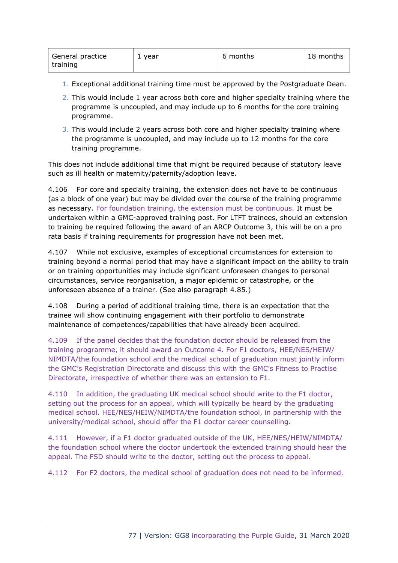| General practice | 1 year | 6 months | 18 months |
|------------------|--------|----------|-----------|
| training         |        |          |           |

- 1. Exceptional additional training time must be approved by the Postgraduate Dean.
- 2. This would include 1 year across both core and higher specialty training where the programme is uncoupled, and may include up to 6 months for the core training programme.
- 3. This would include 2 years across both core and higher specialty training where the programme is uncoupled, and may include up to 12 months for the core training programme.

This does not include additional time that might be required because of statutory leave such as ill health or maternity/paternity/adoption leave.

4.106 For core and specialty training, the extension does not have to be continuous (as a block of one year) but may be divided over the course of the training programme as necessary. For foundation training, the extension must be continuous. It must be undertaken within a GMC-approved training post. For LTFT trainees, should an extension to training be required following the award of an ARCP Outcome 3, this will be on a pro rata basis if training requirements for progression have not been met.

4.107 While not exclusive, examples of exceptional circumstances for extension to training beyond a normal period that may have a significant impact on the ability to train or on training opportunities may include significant unforeseen changes to personal circumstances, service reorganisation, a major epidemic or catastrophe, or the unforeseen absence of a trainer. (See also paragraph 4.85.)

4.108 During a period of additional training time, there is an expectation that the trainee will show continuing engagement with their portfolio to demonstrate maintenance of competences/capabilities that have already been acquired.

4.109 If the panel decides that the foundation doctor should be released from the training programme, it should award an Outcome 4. For F1 doctors, HEE/NES/HEIW/ NIMDTA/the foundation school and the medical school of graduation must jointly inform the GMC's Registration Directorate and discuss this with the GMC's Fitness to Practise Directorate, irrespective of whether there was an extension to F1.

4.110 In addition, the graduating UK medical school should write to the F1 doctor, setting out the process for an appeal, which will typically be heard by the graduating medical school. HEE/NES/HEIW/NIMDTA/the foundation school, in partnership with the university/medical school, should offer the F1 doctor career counselling.

4.111 However, if a F1 doctor graduated outside of the UK, HEE/NES/HEIW/NIMDTA/ the foundation school where the doctor undertook the extended training should hear the appeal. The FSD should write to the doctor, setting out the process to appeal.

4.112 For F2 doctors, the medical school of graduation does not need to be informed.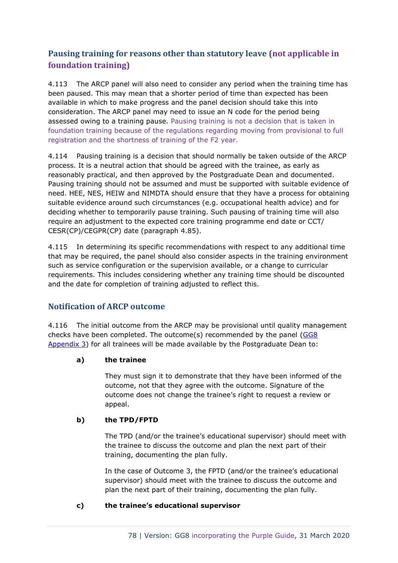## **Pausing training for reasons other than statutory leave (not applicable in foundation training)**

4.113 The ARCP panel will also need to consider any period when the training time has been paused. This may mean that a shorter period of time than expected has been available in which to make progress and the panel decision should take this into consideration. The ARCP panel may need to issue an N code for the period being assessed owing to a training pause. Pausing training is not a decision that is taken in foundation training because of the regulations regarding moving from provisional to full registration and the shortness of training of the F2 year.

4.114 Pausing training is a decision that should normally be taken outside of the ARCP process. It is a neutral action that should be agreed with the trainee, as early as reasonably practical, and then approved by the Postgraduate Dean and documented. Pausing training should not be assumed and must be supported with suitable evidence of need. HEE, NES, HEIW and NIMDTA should ensure that they have a process for obtaining suitable evidence around such circumstances (e.g. occupational health advice) and for deciding whether to temporarily pause training. Such pausing of training time will also require an adjustment to the expected core training programme end date or CCT/ CESR(CP)/CEGPR(CP) date (paragraph 4.85).

4.115 In determining its specific recommendations with respect to any additional time that may be required, the panel should also consider aspects in the training environment such as service configuration or the supervision available, or a change to curricular requirements. This includes considering whether any training time should be discounted and the date for completion of training adjusted to reflect this.

## **Notification of ARCP outcome**

4.116 The initial outcome from the ARCP may be provisional until quality management checks have been completed. The outcome(s) recommended by the panel [\(GG8](https://www.copmed.org.uk/images/docs/gold_guide_8th_edition/GG8_Appendix_3_-_ARCP_Outcome_Form.docx)  [Appendix 3\)](https://www.copmed.org.uk/images/docs/gold_guide_8th_edition/GG8_Appendix_3_-_ARCP_Outcome_Form.docx) for all trainees will be made available by the Postgraduate Dean to:

#### **a) the trainee**

They must sign it to demonstrate that they have been informed of the outcome, not that they agree with the outcome. Signature of the outcome does not change the trainee's right to request a review or appeal.

#### **b) the TPD/FPTD**

The TPD (and/or the trainee's educational supervisor) should meet with the trainee to discuss the outcome and plan the next part of their training, documenting the plan fully.

In the case of Outcome 3, the FPTD (and/or the trainee's educational supervisor) should meet with the trainee to discuss the outcome and plan the next part of their training, documenting the plan fully.

#### **c) the trainee's educational supervisor**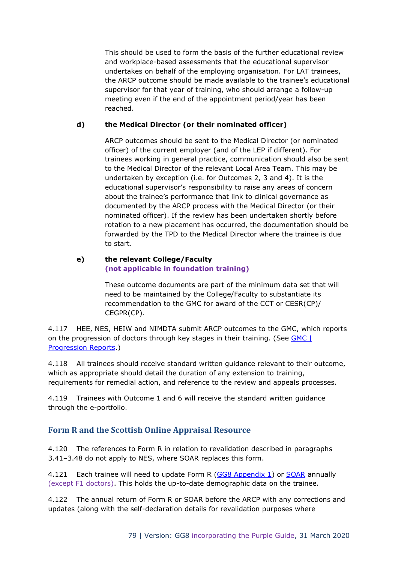This should be used to form the basis of the further educational review and workplace-based assessments that the educational supervisor undertakes on behalf of the employing organisation. For LAT trainees, the ARCP outcome should be made available to the trainee's educational supervisor for that year of training, who should arrange a follow-up meeting even if the end of the appointment period/year has been reached.

#### **d) the Medical Director (or their nominated officer)**

ARCP outcomes should be sent to the Medical Director (or nominated officer) of the current employer (and of the LEP if different). For trainees working in general practice, communication should also be sent to the Medical Director of the relevant Local Area Team. This may be undertaken by exception (i.e. for Outcomes 2, 3 and 4). It is the educational supervisor's responsibility to raise any areas of concern about the trainee's performance that link to clinical governance as documented by the ARCP process with the Medical Director (or their nominated officer). If the review has been undertaken shortly before rotation to a new placement has occurred, the documentation should be forwarded by the TPD to the Medical Director where the trainee is due to start.

#### **e) the relevant College/Faculty (not applicable in foundation training)**

These outcome documents are part of the minimum data set that will need to be maintained by the College/Faculty to substantiate its recommendation to the GMC for award of the CCT or CESR(CP)/ CEGPR(CP).

4.117 HEE, NES, HEIW and NIMDTA submit ARCP outcomes to the GMC, which reports on the progression of doctors through key stages in their training. (See **GMC** | [Progression Reports.](http://www.gmc-uk.org/education/25495.asp))

4.118 All trainees should receive standard written guidance relevant to their outcome, which as appropriate should detail the duration of any extension to training, requirements for remedial action, and reference to the review and appeals processes.

4.119 Trainees with Outcome 1 and 6 will receive the standard written guidance through the e-portfolio.

## **Form R and the Scottish Online Appraisal Resource**

4.120 The references to Form R in relation to revalidation described in paragraphs 3.41–3.48 do not apply to NES, where SOAR replaces this form.

4.121 Each trainee will need to update Form R [\(GG8 Appendix 1\)](https://www.copmed.org.uk/images/docs/gold_guide_8th_edition/GG8_Appendix_1_-_Form_R_Parts_A_and_B.docx) or [SOAR](http://www.appraisal.nes.scot.nhs.uk/) annually (except F1 doctors). This holds the up-to-date demographic data on the trainee.

4.122 The annual return of Form R or SOAR before the ARCP with any corrections and updates (along with the self-declaration details for revalidation purposes where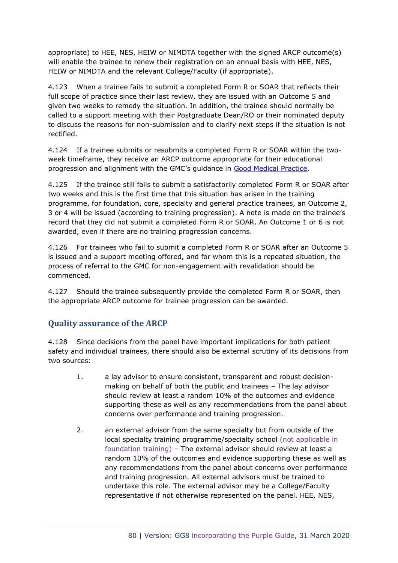appropriate) to HEE, NES, HEIW or NIMDTA together with the signed ARCP outcome(s) will enable the trainee to renew their registration on an annual basis with HEE, NES, HEIW or NIMDTA and the relevant College/Faculty (if appropriate).

4.123 When a trainee fails to submit a completed Form R or SOAR that reflects their full scope of practice since their last review, they are issued with an Outcome 5 and given two weeks to remedy the situation. In addition, the trainee should normally be called to a support meeting with their Postgraduate Dean/RO or their nominated deputy to discuss the reasons for non-submission and to clarify next steps if the situation is not rectified.

4.124 If a trainee submits or resubmits a completed Form R or SOAR within the twoweek timeframe, they receive an ARCP outcome appropriate for their educational progression and alignment with the GMC's guidance in [Good Medical Practice.](http://www.gmc-uk.org/guidance/good_medical_practice.asp)

4.125 If the trainee still fails to submit a satisfactorily completed Form R or SOAR after two weeks and this is the first time that this situation has arisen in the training programme, for foundation, core, specialty and general practice trainees, an Outcome 2, 3 or 4 will be issued (according to training progression). A note is made on the trainee's record that they did not submit a completed Form R or SOAR. An Outcome 1 or 6 is not awarded, even if there are no training progression concerns.

4.126 For trainees who fail to submit a completed Form R or SOAR after an Outcome 5 is issued and a support meeting offered, and for whom this is a repeated situation, the process of referral to the GMC for non-engagement with revalidation should be commenced.

4.127 Should the trainee subsequently provide the completed Form R or SOAR, then the appropriate ARCP outcome for trainee progression can be awarded.

## **Quality assurance of the ARCP**

4.128 Since decisions from the panel have important implications for both patient safety and individual trainees, there should also be external scrutiny of its decisions from two sources:

- 1. a lay advisor to ensure consistent, transparent and robust decisionmaking on behalf of both the public and trainees – The lay advisor should review at least a random 10% of the outcomes and evidence supporting these as well as any recommendations from the panel about concerns over performance and training progression.
- 2. an external advisor from the same specialty but from outside of the local specialty training programme/specialty school (not applicable in foundation training) – The external advisor should review at least a random 10% of the outcomes and evidence supporting these as well as any recommendations from the panel about concerns over performance and training progression. All external advisors must be trained to undertake this role. The external advisor may be a College/Faculty representative if not otherwise represented on the panel. HEE, NES,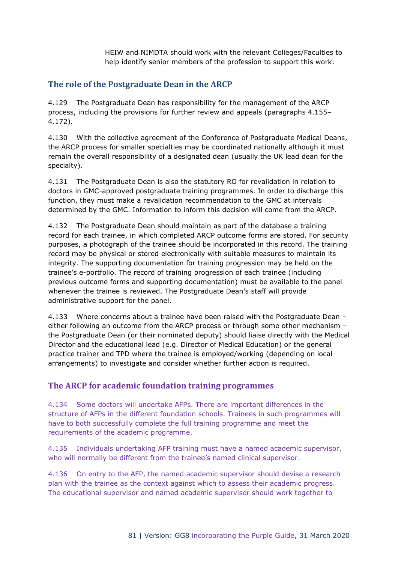HEIW and NIMDTA should work with the relevant Colleges/Faculties to help identify senior members of the profession to support this work.

## **The role of the Postgraduate Dean in the ARCP**

4.129 The Postgraduate Dean has responsibility for the management of the ARCP process, including the provisions for further review and appeals (paragraphs 4.155– 4.172).

4.130 With the collective agreement of the Conference of Postgraduate Medical Deans, the ARCP process for smaller specialties may be coordinated nationally although it must remain the overall responsibility of a designated dean (usually the UK lead dean for the specialty).

4.131 The Postgraduate Dean is also the statutory RO for revalidation in relation to doctors in GMC-approved postgraduate training programmes. In order to discharge this function, they must make a revalidation recommendation to the GMC at intervals determined by the GMC. Information to inform this decision will come from the ARCP.

4.132 The Postgraduate Dean should maintain as part of the database a training record for each trainee, in which completed ARCP outcome forms are stored. For security purposes, a photograph of the trainee should be incorporated in this record. The training record may be physical or stored electronically with suitable measures to maintain its integrity. The supporting documentation for training progression may be held on the trainee's e-portfolio. The record of training progression of each trainee (including previous outcome forms and supporting documentation) must be available to the panel whenever the trainee is reviewed. The Postgraduate Dean's staff will provide administrative support for the panel.

4.133 Where concerns about a trainee have been raised with the Postgraduate Dean – either following an outcome from the ARCP process or through some other mechanism – the Postgraduate Dean (or their nominated deputy) should liaise directly with the Medical Director and the educational lead (e.g. Director of Medical Education) or the general practice trainer and TPD where the trainee is employed/working (depending on local arrangements) to investigate and consider whether further action is required.

## **The ARCP for academic foundation training programmes**

4.134 Some doctors will undertake AFPs. There are important differences in the structure of AFPs in the different foundation schools. Trainees in such programmes will have to both successfully complete the full training programme and meet the requirements of the academic programme.

4.135 Individuals undertaking AFP training must have a named academic supervisor, who will normally be different from the trainee's named clinical supervisor.

4.136 On entry to the AFP, the named academic supervisor should devise a research plan with the trainee as the context against which to assess their academic progress. The educational supervisor and named academic supervisor should work together to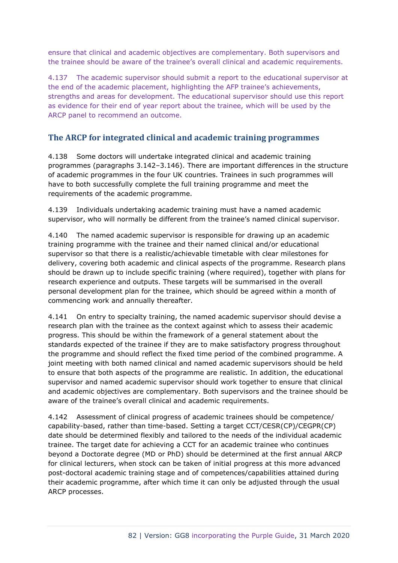ensure that clinical and academic objectives are complementary. Both supervisors and the trainee should be aware of the trainee's overall clinical and academic requirements.

4.137 The academic supervisor should submit a report to the educational supervisor at the end of the academic placement, highlighting the AFP trainee's achievements, strengths and areas for development. The educational supervisor should use this report as evidence for their end of year report about the trainee, which will be used by the ARCP panel to recommend an outcome.

## **The ARCP for integrated clinical and academic training programmes**

4.138 Some doctors will undertake integrated clinical and academic training programmes (paragraphs 3.142–3.146). There are important differences in the structure of academic programmes in the four UK countries. Trainees in such programmes will have to both successfully complete the full training programme and meet the requirements of the academic programme.

4.139 Individuals undertaking academic training must have a named academic supervisor, who will normally be different from the trainee's named clinical supervisor.

4.140 The named academic supervisor is responsible for drawing up an academic training programme with the trainee and their named clinical and/or educational supervisor so that there is a realistic/achievable timetable with clear milestones for delivery, covering both academic and clinical aspects of the programme. Research plans should be drawn up to include specific training (where required), together with plans for research experience and outputs. These targets will be summarised in the overall personal development plan for the trainee, which should be agreed within a month of commencing work and annually thereafter.

4.141 On entry to specialty training, the named academic supervisor should devise a research plan with the trainee as the context against which to assess their academic progress. This should be within the framework of a general statement about the standards expected of the trainee if they are to make satisfactory progress throughout the programme and should reflect the fixed time period of the combined programme. A joint meeting with both named clinical and named academic supervisors should be held to ensure that both aspects of the programme are realistic. In addition, the educational supervisor and named academic supervisor should work together to ensure that clinical and academic objectives are complementary. Both supervisors and the trainee should be aware of the trainee's overall clinical and academic requirements.

4.142 Assessment of clinical progress of academic trainees should be competence/ capability-based, rather than time-based. Setting a target CCT/CESR(CP)/CEGPR(CP) date should be determined flexibly and tailored to the needs of the individual academic trainee. The target date for achieving a CCT for an academic trainee who continues beyond a Doctorate degree (MD or PhD) should be determined at the first annual ARCP for clinical lecturers, when stock can be taken of initial progress at this more advanced post-doctoral academic training stage and of competences/capabilities attained during their academic programme, after which time it can only be adjusted through the usual ARCP processes.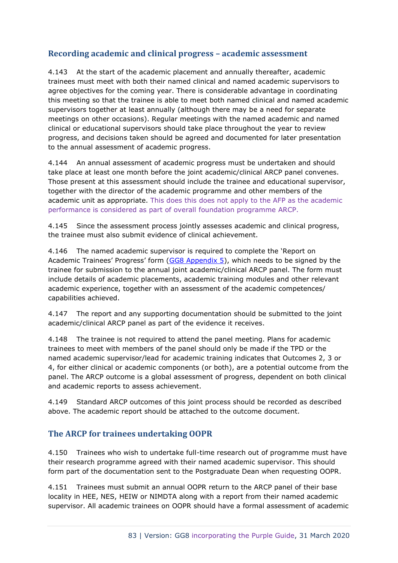## **Recording academic and clinical progress – academic assessment**

4.143 At the start of the academic placement and annually thereafter, academic trainees must meet with both their named clinical and named academic supervisors to agree objectives for the coming year. There is considerable advantage in coordinating this meeting so that the trainee is able to meet both named clinical and named academic supervisors together at least annually (although there may be a need for separate meetings on other occasions). Regular meetings with the named academic and named clinical or educational supervisors should take place throughout the year to review progress, and decisions taken should be agreed and documented for later presentation to the annual assessment of academic progress.

4.144 An annual assessment of academic progress must be undertaken and should take place at least one month before the joint academic/clinical ARCP panel convenes. Those present at this assessment should include the trainee and educational supervisor, together with the director of the academic programme and other members of the academic unit as appropriate. This does this does not apply to the AFP as the academic performance is considered as part of overall foundation programme ARCP.

4.145 Since the assessment process jointly assesses academic and clinical progress, the trainee must also submit evidence of clinical achievement.

4.146 The named academic supervisor is required to complete the 'Report on Academic Trainees' Progress' form [\(GG8 Appendix 5\)](https://www.copmed.org.uk/images/docs/gold_guide_8th_edition/GG8_Appendix_5_-_Report_on_Academic_Trainees_Progress.docx), which needs to be signed by the trainee for submission to the annual joint academic/clinical ARCP panel. The form must include details of academic placements, academic training modules and other relevant academic experience, together with an assessment of the academic competences/ capabilities achieved.

4.147 The report and any supporting documentation should be submitted to the joint academic/clinical ARCP panel as part of the evidence it receives.

4.148 The trainee is not required to attend the panel meeting. Plans for academic trainees to meet with members of the panel should only be made if the TPD or the named academic supervisor/lead for academic training indicates that Outcomes 2, 3 or 4, for either clinical or academic components (or both), are a potential outcome from the panel. The ARCP outcome is a global assessment of progress, dependent on both clinical and academic reports to assess achievement.

4.149 Standard ARCP outcomes of this joint process should be recorded as described above. The academic report should be attached to the outcome document.

## **The ARCP for trainees undertaking OOPR**

4.150 Trainees who wish to undertake full-time research out of programme must have their research programme agreed with their named academic supervisor. This should form part of the documentation sent to the Postgraduate Dean when requesting OOPR.

4.151 Trainees must submit an annual OOPR return to the ARCP panel of their base locality in HEE, NES, HEIW or NIMDTA along with a report from their named academic supervisor. All academic trainees on OOPR should have a formal assessment of academic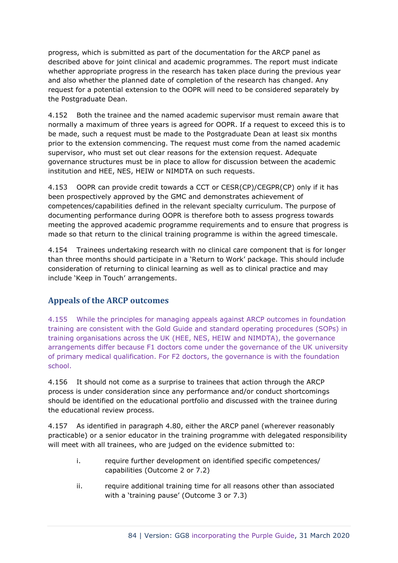progress, which is submitted as part of the documentation for the ARCP panel as described above for joint clinical and academic programmes. The report must indicate whether appropriate progress in the research has taken place during the previous year and also whether the planned date of completion of the research has changed. Any request for a potential extension to the OOPR will need to be considered separately by the Postgraduate Dean.

4.152 Both the trainee and the named academic supervisor must remain aware that normally a maximum of three years is agreed for OOPR. If a request to exceed this is to be made, such a request must be made to the Postgraduate Dean at least six months prior to the extension commencing. The request must come from the named academic supervisor, who must set out clear reasons for the extension request. Adequate governance structures must be in place to allow for discussion between the academic institution and HEE, NES, HEIW or NIMDTA on such requests.

4.153 OOPR can provide credit towards a CCT or CESR(CP)/CEGPR(CP) only if it has been prospectively approved by the GMC and demonstrates achievement of competences/capabilities defined in the relevant specialty curriculum. The purpose of documenting performance during OOPR is therefore both to assess progress towards meeting the approved academic programme requirements and to ensure that progress is made so that return to the clinical training programme is within the agreed timescale.

4.154 Trainees undertaking research with no clinical care component that is for longer than three months should participate in a 'Return to Work' package. This should include consideration of returning to clinical learning as well as to clinical practice and may include 'Keep in Touch' arrangements.

## **Appeals of the ARCP outcomes**

4.155 While the principles for managing appeals against ARCP outcomes in foundation training are consistent with the Gold Guide and standard operating procedures (SOPs) in training organisations across the UK (HEE, NES, HEIW and NIMDTA), the governance arrangements differ because F1 doctors come under the governance of the UK university of primary medical qualification. For F2 doctors, the governance is with the foundation school.

4.156 It should not come as a surprise to trainees that action through the ARCP process is under consideration since any performance and/or conduct shortcomings should be identified on the educational portfolio and discussed with the trainee during the educational review process.

4.157 As identified in paragraph 4.80, either the ARCP panel (wherever reasonably practicable) or a senior educator in the training programme with delegated responsibility will meet with all trainees, who are judged on the evidence submitted to:

- i. require further development on identified specific competences/ capabilities (Outcome 2 or 7.2)
- ii. require additional training time for all reasons other than associated with a 'training pause' (Outcome 3 or 7.3)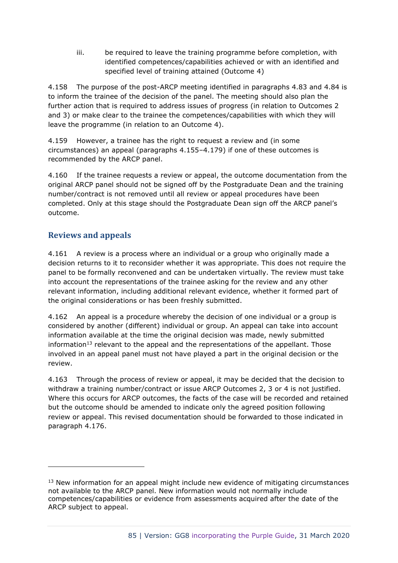iii. be required to leave the training programme before completion, with identified competences/capabilities achieved or with an identified and specified level of training attained (Outcome 4)

4.158 The purpose of the post-ARCP meeting identified in paragraphs 4.83 and 4.84 is to inform the trainee of the decision of the panel. The meeting should also plan the further action that is required to address issues of progress (in relation to Outcomes 2 and 3) or make clear to the trainee the competences/capabilities with which they will leave the programme (in relation to an Outcome 4).

4.159 However, a trainee has the right to request a review and (in some circumstances) an appeal (paragraphs 4.155–4.179) if one of these outcomes is recommended by the ARCP panel.

4.160 If the trainee requests a review or appeal, the outcome documentation from the original ARCP panel should not be signed off by the Postgraduate Dean and the training number/contract is not removed until all review or appeal procedures have been completed. Only at this stage should the Postgraduate Dean sign off the ARCP panel's outcome.

## **Reviews and appeals**

4.161 A review is a process where an individual or a group who originally made a decision returns to it to reconsider whether it was appropriate. This does not require the panel to be formally reconvened and can be undertaken virtually. The review must take into account the representations of the trainee asking for the review and any other relevant information, including additional relevant evidence, whether it formed part of the original considerations or has been freshly submitted.

4.162 An appeal is a procedure whereby the decision of one individual or a group is considered by another (different) individual or group. An appeal can take into account information available at the time the original decision was made, newly submitted information $13$  relevant to the appeal and the representations of the appellant. Those involved in an appeal panel must not have played a part in the original decision or the review.

4.163 Through the process of review or appeal, it may be decided that the decision to withdraw a training number/contract or issue ARCP Outcomes 2, 3 or 4 is not justified. Where this occurs for ARCP outcomes, the facts of the case will be recorded and retained but the outcome should be amended to indicate only the agreed position following review or appeal. This revised documentation should be forwarded to those indicated in paragraph 4.176.

<sup>&</sup>lt;sup>13</sup> New information for an appeal might include new evidence of mitigating circumstances not available to the ARCP panel. New information would not normally include competences/capabilities or evidence from assessments acquired after the date of the ARCP subject to appeal.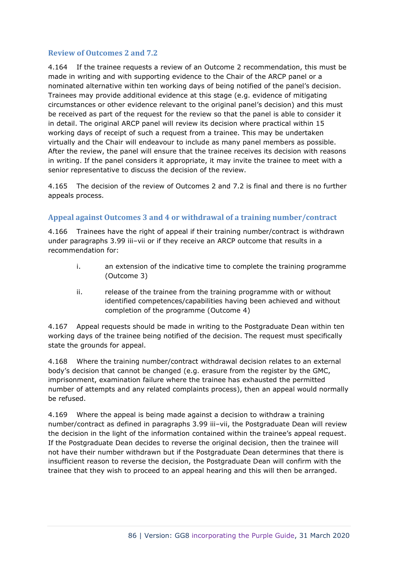#### **Review of Outcomes 2 and 7.2**

4.164 If the trainee requests a review of an Outcome 2 recommendation, this must be made in writing and with supporting evidence to the Chair of the ARCP panel or a nominated alternative within ten working days of being notified of the panel's decision. Trainees may provide additional evidence at this stage (e.g. evidence of mitigating circumstances or other evidence relevant to the original panel's decision) and this must be received as part of the request for the review so that the panel is able to consider it in detail. The original ARCP panel will review its decision where practical within 15 working days of receipt of such a request from a trainee. This may be undertaken virtually and the Chair will endeavour to include as many panel members as possible. After the review, the panel will ensure that the trainee receives its decision with reasons in writing. If the panel considers it appropriate, it may invite the trainee to meet with a senior representative to discuss the decision of the review.

4.165 The decision of the review of Outcomes 2 and 7.2 is final and there is no further appeals process.

#### **Appeal against Outcomes 3 and 4 or withdrawal of a training number/contract**

4.166 Trainees have the right of appeal if their training number/contract is withdrawn under paragraphs 3.99 iii–vii or if they receive an ARCP outcome that results in a recommendation for:

- i. an extension of the indicative time to complete the training programme (Outcome 3)
- ii. release of the trainee from the training programme with or without identified competences/capabilities having been achieved and without completion of the programme (Outcome 4)

4.167 Appeal requests should be made in writing to the Postgraduate Dean within ten working days of the trainee being notified of the decision. The request must specifically state the grounds for appeal.

4.168 Where the training number/contract withdrawal decision relates to an external body's decision that cannot be changed (e.g. erasure from the register by the GMC, imprisonment, examination failure where the trainee has exhausted the permitted number of attempts and any related complaints process), then an appeal would normally be refused.

4.169 Where the appeal is being made against a decision to withdraw a training number/contract as defined in paragraphs 3.99 iii–vii, the Postgraduate Dean will review the decision in the light of the information contained within the trainee's appeal request. If the Postgraduate Dean decides to reverse the original decision, then the trainee will not have their number withdrawn but if the Postgraduate Dean determines that there is insufficient reason to reverse the decision, the Postgraduate Dean will confirm with the trainee that they wish to proceed to an appeal hearing and this will then be arranged.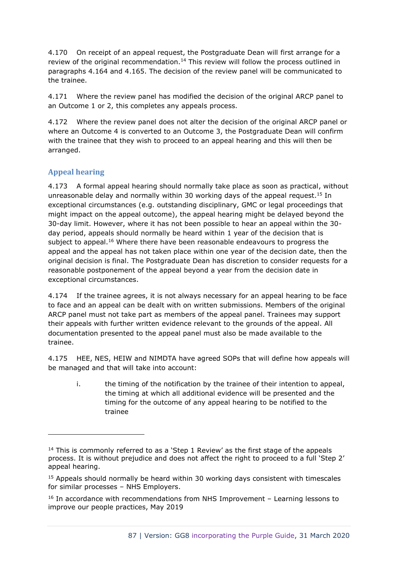4.170 On receipt of an appeal request, the Postgraduate Dean will first arrange for a review of the original recommendation.<sup>14</sup> This review will follow the process outlined in paragraphs 4.164 and 4.165. The decision of the review panel will be communicated to the trainee.

4.171 Where the review panel has modified the decision of the original ARCP panel to an Outcome 1 or 2, this completes any appeals process.

4.172 Where the review panel does not alter the decision of the original ARCP panel or where an Outcome 4 is converted to an Outcome 3, the Postgraduate Dean will confirm with the trainee that they wish to proceed to an appeal hearing and this will then be arranged.

## **Appeal hearing**

4.173 A formal appeal hearing should normally take place as soon as practical, without unreasonable delay and normally within 30 working days of the appeal request.<sup>15</sup> In exceptional circumstances (e.g. outstanding disciplinary, GMC or legal proceedings that might impact on the appeal outcome), the appeal hearing might be delayed beyond the 30-day limit. However, where it has not been possible to hear an appeal within the 30 day period, appeals should normally be heard within 1 year of the decision that is subject to appeal.<sup>16</sup> Where there have been reasonable endeavours to progress the appeal and the appeal has not taken place within one year of the decision date, then the original decision is final. The Postgraduate Dean has discretion to consider requests for a reasonable postponement of the appeal beyond a year from the decision date in exceptional circumstances.

4.174 If the trainee agrees, it is not always necessary for an appeal hearing to be face to face and an appeal can be dealt with on written submissions. Members of the original ARCP panel must not take part as members of the appeal panel. Trainees may support their appeals with further written evidence relevant to the grounds of the appeal. All documentation presented to the appeal panel must also be made available to the trainee.

4.175 HEE, NES, HEIW and NIMDTA have agreed SOPs that will define how appeals will be managed and that will take into account:

i. the timing of the notification by the trainee of their intention to appeal, the timing at which all additional evidence will be presented and the timing for the outcome of any appeal hearing to be notified to the trainee

 $14$  This is commonly referred to as a 'Step 1 Review' as the first stage of the appeals process. It is without prejudice and does not affect the right to proceed to a full 'Step 2' appeal hearing.

<sup>&</sup>lt;sup>15</sup> Appeals should normally be heard within 30 working days consistent with timescales for similar processes – NHS Employers.

 $16$  In accordance with recommendations from NHS Improvement – Learning lessons to improve our people practices, May 2019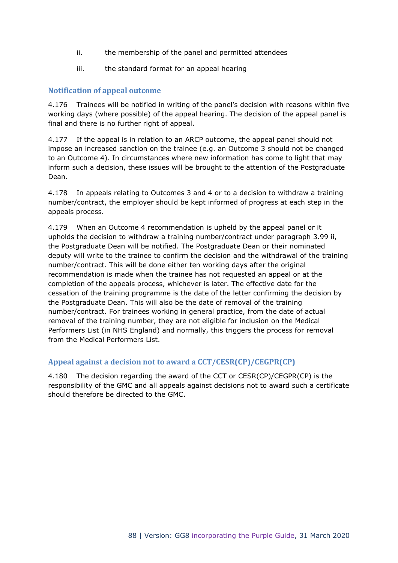- ii. the membership of the panel and permitted attendees
- iii. the standard format for an appeal hearing

#### **Notification of appeal outcome**

4.176 Trainees will be notified in writing of the panel's decision with reasons within five working days (where possible) of the appeal hearing. The decision of the appeal panel is final and there is no further right of appeal.

4.177 If the appeal is in relation to an ARCP outcome, the appeal panel should not impose an increased sanction on the trainee (e.g. an Outcome 3 should not be changed to an Outcome 4). In circumstances where new information has come to light that may inform such a decision, these issues will be brought to the attention of the Postgraduate Dean.

4.178 In appeals relating to Outcomes 3 and 4 or to a decision to withdraw a training number/contract, the employer should be kept informed of progress at each step in the appeals process.

4.179 When an Outcome 4 recommendation is upheld by the appeal panel or it upholds the decision to withdraw a training number/contract under paragraph 3.99 ii, the Postgraduate Dean will be notified. The Postgraduate Dean or their nominated deputy will write to the trainee to confirm the decision and the withdrawal of the training number/contract. This will be done either ten working days after the original recommendation is made when the trainee has not requested an appeal or at the completion of the appeals process, whichever is later. The effective date for the cessation of the training programme is the date of the letter confirming the decision by the Postgraduate Dean. This will also be the date of removal of the training number/contract. For trainees working in general practice, from the date of actual removal of the training number, they are not eligible for inclusion on the Medical Performers List (in NHS England) and normally, this triggers the process for removal from the Medical Performers List.

#### **Appeal against a decision not to award a CCT/CESR(CP)/CEGPR(CP)**

4.180 The decision regarding the award of the CCT or CESR(CP)/CEGPR(CP) is the responsibility of the GMC and all appeals against decisions not to award such a certificate should therefore be directed to the GMC.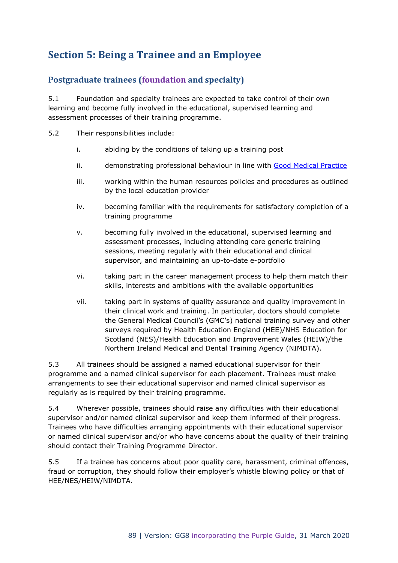## **Section 5: Being a Trainee and an Employee**

## **Postgraduate trainees (foundation and specialty)**

5.1 Foundation and specialty trainees are expected to take control of their own learning and become fully involved in the educational, supervised learning and assessment processes of their training programme.

- 5.2 Their responsibilities include:
	- i. abiding by the conditions of taking up a training post
	- ii. demonstrating professional behaviour in line with [Good Medical Practice](http://www.gmc-uk.org/guidance/good_medical_practice.asp)
	- iii. working within the human resources policies and procedures as outlined by the local education provider
	- iv. becoming familiar with the requirements for satisfactory completion of a training programme
	- v. becoming fully involved in the educational, supervised learning and assessment processes, including attending core generic training sessions, meeting regularly with their educational and clinical supervisor, and maintaining an up-to-date e-portfolio
	- vi. taking part in the career management process to help them match their skills, interests and ambitions with the available opportunities
	- vii. taking part in systems of quality assurance and quality improvement in their clinical work and training. In particular, doctors should complete the General Medical Council's (GMC's) national training survey and other surveys required by Health Education England (HEE)/NHS Education for Scotland (NES)/Health Education and Improvement Wales (HEIW)/the Northern Ireland Medical and Dental Training Agency (NIMDTA).

5.3 All trainees should be assigned a named educational supervisor for their programme and a named clinical supervisor for each placement. Trainees must make arrangements to see their educational supervisor and named clinical supervisor as regularly as is required by their training programme.

5.4 Wherever possible, trainees should raise any difficulties with their educational supervisor and/or named clinical supervisor and keep them informed of their progress. Trainees who have difficulties arranging appointments with their educational supervisor or named clinical supervisor and/or who have concerns about the quality of their training should contact their Training Programme Director.

5.5 If a trainee has concerns about poor quality care, harassment, criminal offences, fraud or corruption, they should follow their employer's whistle blowing policy or that of HEE/NES/HEIW/NIMDTA.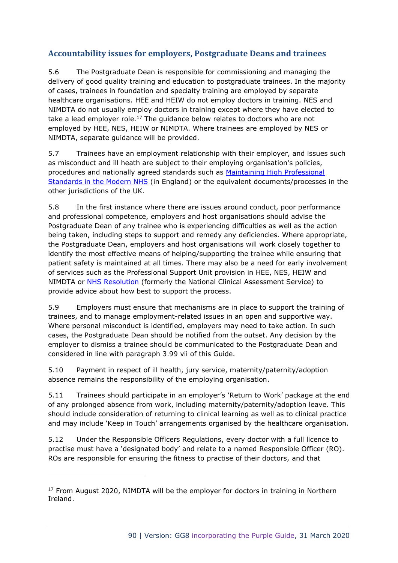## **Accountability issues for employers, Postgraduate Deans and trainees**

5.6 The Postgraduate Dean is responsible for commissioning and managing the delivery of good quality training and education to postgraduate trainees. In the majority of cases, trainees in foundation and specialty training are employed by separate healthcare organisations. HEE and HEIW do not employ doctors in training. NES and NIMDTA do not usually employ doctors in training except where they have elected to take a lead employer role.<sup>17</sup> The guidance below relates to doctors who are not employed by HEE, NES, HEIW or NIMDTA. Where trainees are employed by NES or NIMDTA, separate guidance will be provided.

5.7 Trainees have an employment relationship with their employer, and issues such as misconduct and ill heath are subject to their employing organisation's policies, procedures and nationally agreed standards such as [Maintaining High Professional](http://webarchive.nationalarchives.gov.uk/20130124065523/http:/www.dh.gov.uk/prod_consum_dh/groups/dh_digitalassets/@dh/@en/documents/digitalasset/dh_4103344.pdf)  [Standards in the Modern NHS](http://webarchive.nationalarchives.gov.uk/20130124065523/http:/www.dh.gov.uk/prod_consum_dh/groups/dh_digitalassets/@dh/@en/documents/digitalasset/dh_4103344.pdf) (in England) or the equivalent documents/processes in the other jurisdictions of the UK.

5.8 In the first instance where there are issues around conduct, poor performance and professional competence, employers and host organisations should advise the Postgraduate Dean of any trainee who is experiencing difficulties as well as the action being taken, including steps to support and remedy any deficiencies. Where appropriate, the Postgraduate Dean, employers and host organisations will work closely together to identify the most effective means of helping/supporting the trainee while ensuring that patient safety is maintained at all times. There may also be a need for early involvement of services such as the Professional Support Unit provision in HEE, NES, HEIW and NIMDTA or [NHS Resolution](https://resolution.nhs.uk/) (formerly the National Clinical Assessment Service) to provide advice about how best to support the process.

5.9 Employers must ensure that mechanisms are in place to support the training of trainees, and to manage employment-related issues in an open and supportive way. Where personal misconduct is identified, employers may need to take action. In such cases, the Postgraduate Dean should be notified from the outset. Any decision by the employer to dismiss a trainee should be communicated to the Postgraduate Dean and considered in line with paragraph 3.99 vii of this Guide.

5.10 Payment in respect of ill health, jury service, maternity/paternity/adoption absence remains the responsibility of the employing organisation.

5.11 Trainees should participate in an employer's 'Return to Work' package at the end of any prolonged absence from work, including maternity/paternity/adoption leave. This should include consideration of returning to clinical learning as well as to clinical practice and may include 'Keep in Touch' arrangements organised by the healthcare organisation.

5.12 Under the Responsible Officers Regulations, every doctor with a full licence to practise must have a 'designated body' and relate to a named Responsible Officer (RO). ROs are responsible for ensuring the fitness to practise of their doctors, and that

<sup>&</sup>lt;sup>17</sup> From August 2020, NIMDTA will be the employer for doctors in training in Northern Ireland.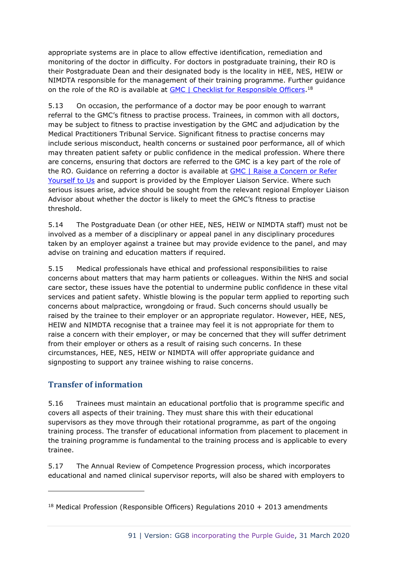appropriate systems are in place to allow effective identification, remediation and monitoring of the doctor in difficulty. For doctors in postgraduate training, their RO is their Postgraduate Dean and their designated body is the locality in HEE, NES, HEIW or NIMDTA responsible for the management of their training programme. Further guidance on the role of the RO is available at [GMC | Checklist for Responsible Officers.](https://www.gmc-uk.org/registration-and-licensing/managing-your-registration/revalidation/the-responsibilities-of-responsible-officers-and-designated-bodies-in-preparing-for-revalidation/checklist-for-responsible-officers)<sup>18</sup>

5.13 On occasion, the performance of a doctor may be poor enough to warrant referral to the GMC's fitness to practise process. Trainees, in common with all doctors, may be subject to fitness to practise investigation by the GMC and adjudication by the Medical Practitioners Tribunal Service. Significant fitness to practise concerns may include serious misconduct, health concerns or sustained poor performance, all of which may threaten patient safety or public confidence in the medical profession. Where there are concerns, ensuring that doctors are referred to the GMC is a key part of the role of the RO. Guidance on referring a doctor is available at **GMC | Raise a Concern or Refer** [Yourself to Us](http://www.gmc-uk.org/concerns/making_a_complaint/a_guide_for_health_professionals.asp) and support is provided by the Employer Liaison Service. Where such serious issues arise, advice should be sought from the relevant regional Employer Liaison Advisor about whether the doctor is likely to meet the GMC's fitness to practise threshold.

5.14 The Postgraduate Dean (or other HEE, NES, HEIW or NIMDTA staff) must not be involved as a member of a disciplinary or appeal panel in any disciplinary procedures taken by an employer against a trainee but may provide evidence to the panel, and may advise on training and education matters if required.

5.15 Medical professionals have ethical and professional responsibilities to raise concerns about matters that may harm patients or colleagues. Within the NHS and social care sector, these issues have the potential to undermine public confidence in these vital services and patient safety. Whistle blowing is the popular term applied to reporting such concerns about malpractice, wrongdoing or fraud. Such concerns should usually be raised by the trainee to their employer or an appropriate regulator. However, HEE, NES, HEIW and NIMDTA recognise that a trainee may feel it is not appropriate for them to raise a concern with their employer, or may be concerned that they will suffer detriment from their employer or others as a result of raising such concerns. In these circumstances, HEE, NES, HEIW or NIMDTA will offer appropriate guidance and signposting to support any trainee wishing to raise concerns.

## **Transfer of information**

5.16 Trainees must maintain an educational portfolio that is programme specific and covers all aspects of their training. They must share this with their educational supervisors as they move through their rotational programme, as part of the ongoing training process. The transfer of educational information from placement to placement in the training programme is fundamental to the training process and is applicable to every trainee.

5.17 The Annual Review of Competence Progression process, which incorporates educational and named clinical supervisor reports, will also be shared with employers to

<sup>&</sup>lt;sup>18</sup> Medical Profession (Responsible Officers) Regulations  $2010 + 2013$  amendments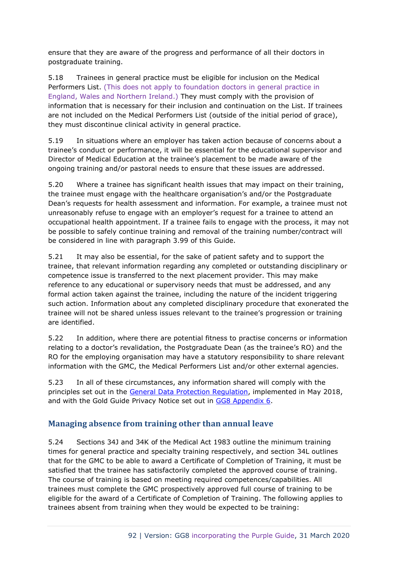ensure that they are aware of the progress and performance of all their doctors in postgraduate training.

5.18 Trainees in general practice must be eligible for inclusion on the Medical Performers List. (This does not apply to foundation doctors in general practice in England, Wales and Northern Ireland.) They must comply with the provision of information that is necessary for their inclusion and continuation on the List. If trainees are not included on the Medical Performers List (outside of the initial period of grace), they must discontinue clinical activity in general practice.

5.19 In situations where an employer has taken action because of concerns about a trainee's conduct or performance, it will be essential for the educational supervisor and Director of Medical Education at the trainee's placement to be made aware of the ongoing training and/or pastoral needs to ensure that these issues are addressed.

5.20 Where a trainee has significant health issues that may impact on their training, the trainee must engage with the healthcare organisation's and/or the Postgraduate Dean's requests for health assessment and information. For example, a trainee must not unreasonably refuse to engage with an employer's request for a trainee to attend an occupational health appointment. If a trainee fails to engage with the process, it may not be possible to safely continue training and removal of the training number/contract will be considered in line with paragraph 3.99 of this Guide.

5.21 It may also be essential, for the sake of patient safety and to support the trainee, that relevant information regarding any completed or outstanding disciplinary or competence issue is transferred to the next placement provider. This may make reference to any educational or supervisory needs that must be addressed, and any formal action taken against the trainee, including the nature of the incident triggering such action. Information about any completed disciplinary procedure that exonerated the trainee will not be shared unless issues relevant to the trainee's progression or training are identified.

5.22 In addition, where there are potential fitness to practise concerns or information relating to a doctor's revalidation, the Postgraduate Dean (as the trainee's RO) and the RO for the employing organisation may have a statutory responsibility to share relevant information with the GMC, the Medical Performers List and/or other external agencies.

5.23 In all of these circumstances, any information shared will comply with the principles set out in the General [Data Protection Regulation,](https://gdpr-info.eu/) implemented in May 2018, and with the Gold Guide Privacy Notice set out in [GG8 Appendix 6.](https://www.copmed.org.uk/images/docs/gold_guide_8th_edition/GG8_Appendix_6_-_Gold_Guide_Privacy_Notice.pdf)

## **Managing absence from training other than annual leave**

5.24 Sections 34J and 34K of the Medical Act 1983 outline the minimum training times for general practice and specialty training respectively, and section 34L outlines that for the GMC to be able to award a Certificate of Completion of Training, it must be satisfied that the trainee has satisfactorily completed the approved course of training. The course of training is based on meeting required competences/capabilities. All trainees must complete the GMC prospectively approved full course of training to be eligible for the award of a Certificate of Completion of Training. The following applies to trainees absent from training when they would be expected to be training: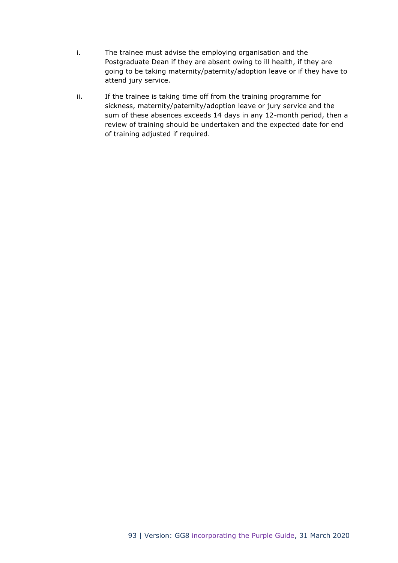- i. The trainee must advise the employing organisation and the Postgraduate Dean if they are absent owing to ill health, if they are going to be taking maternity/paternity/adoption leave or if they have to attend jury service.
- ii. If the trainee is taking time off from the training programme for sickness, maternity/paternity/adoption leave or jury service and the sum of these absences exceeds 14 days in any 12-month period, then a review of training should be undertaken and the expected date for end of training adjusted if required.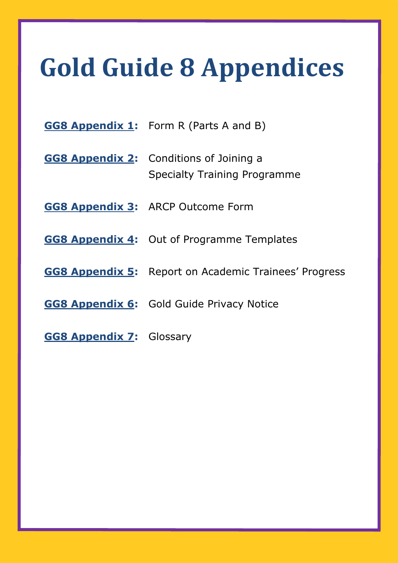# **Gold Guide 8 Appendices**

- **[GG8 Appendix 1:](https://www.copmed.org.uk/images/docs/gold_guide_8th_edition/GG8_Appendix_1_-_Form_R_Parts_A_and_B.docx)** Form R (Parts A and B)
- **[GG8 Appendix 2:](https://www.copmed.org.uk/images/docs/gold_guide_8th_edition/GG8_Appendix_2_-_Conditions_of_joining_a_specialty_training_programme.docx)** Conditions of Joining a Specialty Training Programme
- **[GG8 Appendix 3:](https://www.copmed.org.uk/images/docs/gold_guide_8th_edition/GG8_Appendix_3_-_ARCP_Outcome_Form.docx)** ARCP Outcome Form
- **[GG8 Appendix 4:](https://www.copmed.org.uk/images/docs/gold_guide_8th_edition/GG8_Appendix_4_-_Out_of_Programme_Form.docx)** Out of Programme Templates
- **[GG8 Appendix 5:](https://www.copmed.org.uk/images/docs/gold_guide_8th_edition/GG8_Appendix_5_-_Report_on_Academic_Trainees_Progress.docx)** Report on Academic Trainees' Progress
- **[GG8 Appendix 6:](https://www.copmed.org.uk/images/docs/gold_guide_8th_edition/GG8_Appendix_6_-_Gold_Guide_Privacy_Notice.pdf)** Gold Guide Privacy Notice
- **[GG8 Appendix 7:](https://www.copmed.org.uk/images/docs/gold_guide_8th_edition/GG8_Appendix_7_Gold_Guide_Glossary.pdf)** Glossary